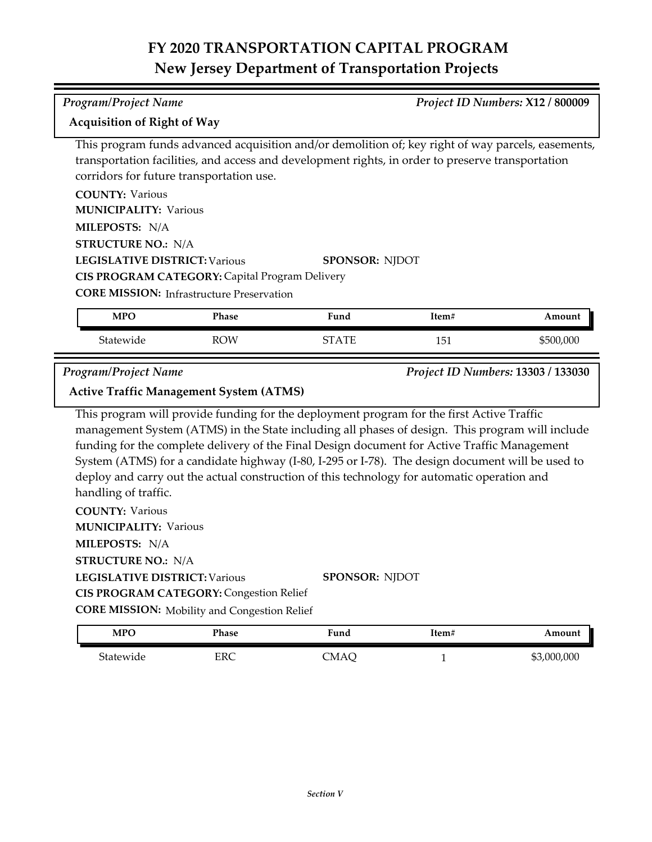#### *Program/Project Name Project ID Numbers:* **X12 / 800009**

### **Acquisition of Right of Way**

This program funds advanced acquisition and/or demolition of; key right of way parcels, easements, transportation facilities, and access and development rights, in order to preserve transportation corridors for future transportation use.

| <b>COUNTY: Various</b>                           |                       |
|--------------------------------------------------|-----------------------|
| <b>MUNICIPALITY: Various</b>                     |                       |
| <b>MILEPOSTS: N/A</b>                            |                       |
| <b>STRUCTURE NO.: N/A</b>                        |                       |
| <b>LEGISLATIVE DISTRICT: Various</b>             | <b>SPONSOR: NIDOT</b> |
| CIS PROGRAM CATEGORY: Capital Program Delivery   |                       |
| <b>CORE MISSION:</b> Infrastructure Preservation |                       |

| <b>MPO</b> | Phase      | $\mathbf{r}$<br>Fund | ltem#      | Amount    |
|------------|------------|----------------------|------------|-----------|
| Statewide  | <b>ROW</b> | $\Delta$ TP<br>rт    | 151<br>⊥∪⊥ | \$500,000 |

*Program/Project Name Project ID Numbers:* **13303 / 133030**

## **Active Traffic Management System (ATMS)**

This program will provide funding for the deployment program for the first Active Traffic management System (ATMS) in the State including all phases of design. This program will include funding for the complete delivery of the Final Design document for Active Traffic Management System (ATMS) for a candidate highway (I-80, I-295 or I-78). The design document will be used to deploy and carry out the actual construction of this technology for automatic operation and handling of traffic.

**COUNTY:** Various **LEGISLATIVE DISTRICT:** Various **MILEPOSTS:** N/A **STRUCTURE NO.:** N/A **MUNICIPALITY: Various SPONSOR:** NJDOT **CIS PROGRAM CATEGORY:** Congestion Relief

**CORE MISSION:** Mobility and Congestion Relief

| <b>MPO</b> | Phase | Fund | Item# | Amount      |
|------------|-------|------|-------|-------------|
| Statewide  | ERC   | CMAC |       | \$3,000,000 |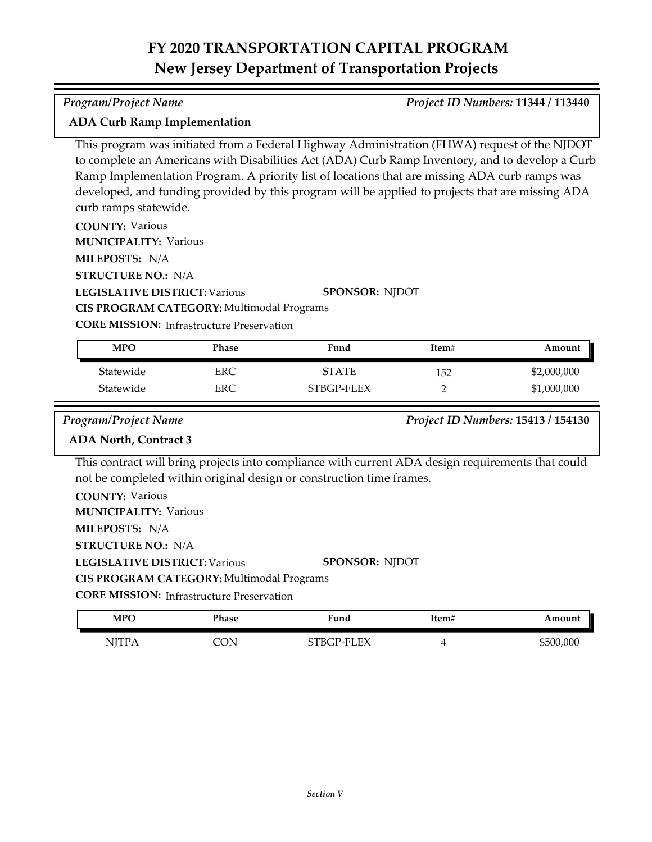### *Program/Project Name Project ID Numbers:* **11344 / 113440**

### **ADA Curb Ramp Implementation**

This program was initiated from a Federal Highway Administration (FHWA) request of the NJDOT to complete an Americans with Disabilities Act (ADA) Curb Ramp Inventory, and to develop a Curb Ramp Implementation Program. A priority list of locations that are missing ADA curb ramps was developed, and funding provided by this program will be applied to projects that are missing ADA curb ramps statewide.

**COUNTY:** Various

**MUNICIPALITY: Various** 

**MILEPOSTS:** N/A

**STRUCTURE NO.:** N/A

**LEGISLATIVE DISTRICT:** Various

**SPONSOR:** NJDOT

**CORE MISSION: Infrastructure Preservation** 

**CIS PROGRAM CATEGORY:** Multimodal Programs

| <b>MPO</b> | Phase | Fund         | Item# | Amount      |
|------------|-------|--------------|-------|-------------|
| Statewide  | ERC   | <b>STATE</b> | 152   | \$2,000,000 |
| Statewide  | ERC   | STBGP-FLEX   |       | \$1,000,000 |

### *Program/Project Name Project ID Numbers:* **15413 / 154130**

## **ADA North, Contract 3**

This contract will bring projects into compliance with current ADA design requirements that could not be completed within original design or construction time frames.

| <b>COUNTY: Various</b>                           |                       |
|--------------------------------------------------|-----------------------|
| <b>MUNICIPALITY: Various</b>                     |                       |
| <b>MILEPOSTS:</b> N/A                            |                       |
| <b>STRUCTURE NO.: N/A</b>                        |                       |
| <b>LEGISLATIVE DISTRICT: Various</b>             | <b>SPONSOR: NIDOT</b> |
| CIS PROGRAM CATEGORY: Multimodal Programs        |                       |
| <b>CORE MISSION: Infrastructure Preservation</b> |                       |
|                                                  |                       |

| <b>MPO</b>   | Phase | $\mathbf{r}$<br>Fund | ítem# | Amount    |
|--------------|-------|----------------------|-------|-----------|
| <b>NJTPA</b> | CON   | STBGP-FLEX           |       | \$500,000 |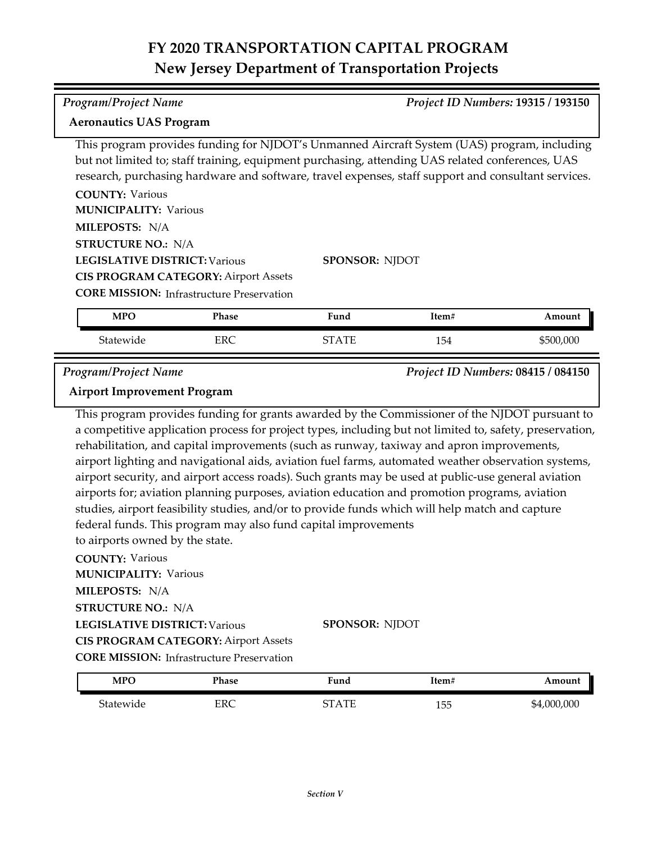## *Program/Project Name Project ID Numbers:* **19315 / 193150**

### **Aeronautics UAS Program**

This program provides funding for NJDOT's Unmanned Aircraft System (UAS) program, including but not limited to; staff training, equipment purchasing, attending UAS related conferences, UAS research, purchasing hardware and software, travel expenses, staff support and consultant services.

| <b>COUNTY: Various</b>                      |
|---------------------------------------------|
| <b>MUNICIPALITY: Various</b>                |
| MILEPOSTS: N/A                              |
| <b>STRUCTURE NO.: N/A</b>                   |
| <b>LEGISLATIVE DISTRICT: Various</b>        |
| <b>CIS PROGRAM CATEGORY: Airport Assets</b> |
|                                             |

**SPONSOR:** NJDOT

**CORE MISSION:** Infrastructure Preservation

| <b>MPO</b> | <b>Phase</b>        | $\mathbf{r}$<br>Fund | Item# | Amount |
|------------|---------------------|----------------------|-------|--------|
| Statewide  | $_{\rm{EPC}}$<br>ᅛᄔ | $\Delta \text{TF}$   | 154   | 00.000 |

*Program/Project Name Project ID Numbers:* **08415 / 084150**

## **Airport Improvement Program**

This program provides funding for grants awarded by the Commissioner of the NJDOT pursuant to a competitive application process for project types, including but not limited to, safety, preservation, rehabilitation, and capital improvements (such as runway, taxiway and apron improvements, airport lighting and navigational aids, aviation fuel farms, automated weather observation systems, airport security, and airport access roads). Such grants may be used at public‐use general aviation airports for; aviation planning purposes, aviation education and promotion programs, aviation studies, airport feasibility studies, and/or to provide funds which will help match and capture federal funds. This program may also fund capital improvements to airports owned by the state.

**COUNTY:** Various **LEGISLATIVE DISTRICT:** Various **MILEPOSTS:** N/A **STRUCTURE NO.:** N/A **MUNICIPALITY: Various CORE MISSION: Infrastructure Preservation SPONSOR:** NJDOT **CIS PROGRAM CATEGORY:** Airport Assets

| <b>MPO</b> | Phase | $F$ und             | Item# | Amount      |
|------------|-------|---------------------|-------|-------------|
| Statewide  | ERC   | $\Lambda$ TI<br>חדי | 155   | \$4,000,000 |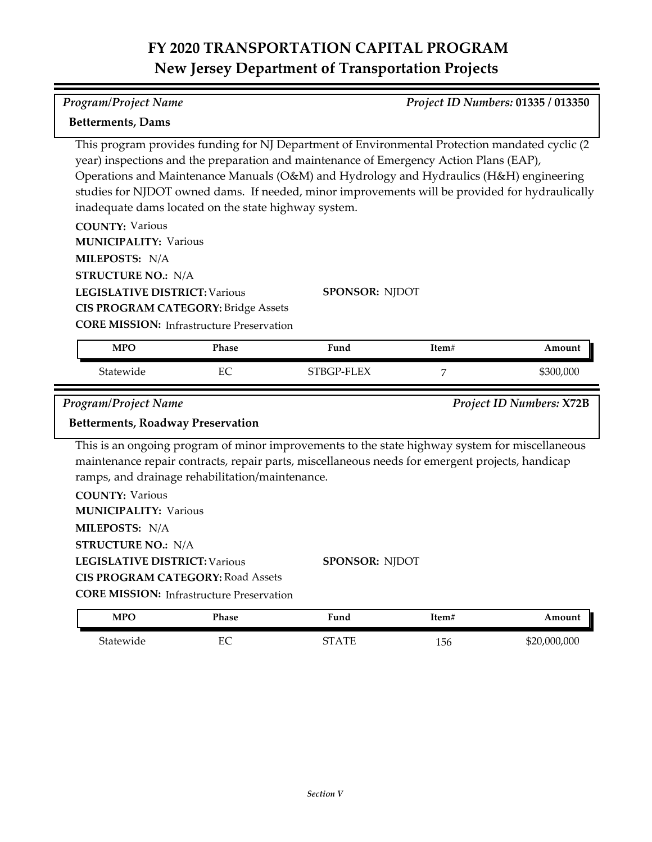| <b>Program/Project Name</b>                                                                                                                                                                                                                                                                                                                                                                                                                                                                                                                                                                                                                                                                                               | Project ID Numbers: 01335 / 013350 |                                                                                                                                                                                                                            |       |                                 |  |
|---------------------------------------------------------------------------------------------------------------------------------------------------------------------------------------------------------------------------------------------------------------------------------------------------------------------------------------------------------------------------------------------------------------------------------------------------------------------------------------------------------------------------------------------------------------------------------------------------------------------------------------------------------------------------------------------------------------------------|------------------------------------|----------------------------------------------------------------------------------------------------------------------------------------------------------------------------------------------------------------------------|-------|---------------------------------|--|
| <b>Betterments, Dams</b>                                                                                                                                                                                                                                                                                                                                                                                                                                                                                                                                                                                                                                                                                                  |                                    |                                                                                                                                                                                                                            |       |                                 |  |
| This program provides funding for NJ Department of Environmental Protection mandated cyclic (2<br>year) inspections and the preparation and maintenance of Emergency Action Plans (EAP),<br>Operations and Maintenance Manuals (O&M) and Hydrology and Hydraulics (H&H) engineering<br>studies for NJDOT owned dams. If needed, minor improvements will be provided for hydraulically<br>inadequate dams located on the state highway system.<br><b>COUNTY: Various</b><br><b>MUNICIPALITY: Various</b><br>MILEPOSTS: N/A<br><b>STRUCTURE NO.: N/A</b><br><b>LEGISLATIVE DISTRICT: Various</b><br><b>SPONSOR: NJDOT</b><br><b>CIS PROGRAM CATEGORY: Bridge Assets</b><br><b>CORE MISSION: Infrastructure Preservation</b> |                                    |                                                                                                                                                                                                                            |       |                                 |  |
| <b>MPO</b>                                                                                                                                                                                                                                                                                                                                                                                                                                                                                                                                                                                                                                                                                                                | Phase                              | Fund                                                                                                                                                                                                                       | Item# | Amount                          |  |
| Statewide                                                                                                                                                                                                                                                                                                                                                                                                                                                                                                                                                                                                                                                                                                                 | EC                                 | STBGP-FLEX                                                                                                                                                                                                                 | 7     | \$300,000                       |  |
|                                                                                                                                                                                                                                                                                                                                                                                                                                                                                                                                                                                                                                                                                                                           |                                    |                                                                                                                                                                                                                            |       |                                 |  |
| <b>Program/Project Name</b>                                                                                                                                                                                                                                                                                                                                                                                                                                                                                                                                                                                                                                                                                               |                                    |                                                                                                                                                                                                                            |       | <b>Project ID Numbers: X72B</b> |  |
| <b>Betterments, Roadway Preservation</b>                                                                                                                                                                                                                                                                                                                                                                                                                                                                                                                                                                                                                                                                                  |                                    |                                                                                                                                                                                                                            |       |                                 |  |
| ramps, and drainage rehabilitation/maintenance.<br><b>COUNTY: Various</b><br><b>MUNICIPALITY: Various</b><br>MILEPOSTS: N/A<br><b>STRUCTURE NO.: N/A</b><br><b>LEGISLATIVE DISTRICT: Various</b><br><b>CIS PROGRAM CATEGORY: Road Assets</b>                                                                                                                                                                                                                                                                                                                                                                                                                                                                              |                                    | This is an ongoing program of minor improvements to the state highway system for miscellaneous<br>maintenance repair contracts, repair parts, miscellaneous needs for emergent projects, handicap<br><b>SPONSOR: NJDOT</b> |       |                                 |  |
| <b>CORE MISSION:</b> Infrastructure Preservation<br><b>MPO</b>                                                                                                                                                                                                                                                                                                                                                                                                                                                                                                                                                                                                                                                            | Phase                              | Fund                                                                                                                                                                                                                       | Item# | Amount                          |  |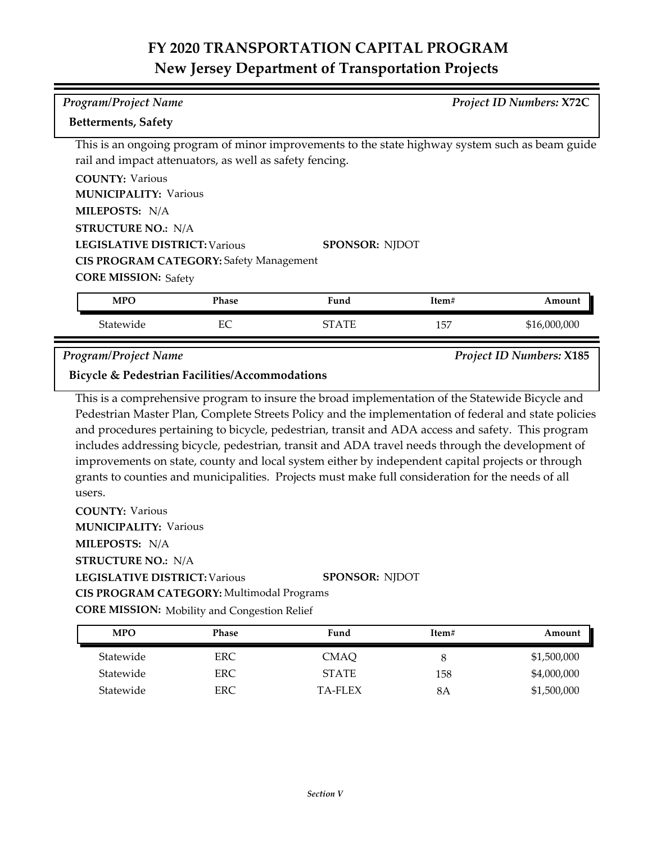| <b>Program/Project Name</b>                                                   |       |                                                                                                 |       | <b>Project ID Numbers: X72C</b> |  |  |
|-------------------------------------------------------------------------------|-------|-------------------------------------------------------------------------------------------------|-------|---------------------------------|--|--|
| <b>Betterments, Safety</b>                                                    |       |                                                                                                 |       |                                 |  |  |
| rail and impact attenuators, as well as safety fencing.                       |       | This is an ongoing program of minor improvements to the state highway system such as beam guide |       |                                 |  |  |
| <b>COUNTY: Various</b>                                                        |       |                                                                                                 |       |                                 |  |  |
| <b>MUNICIPALITY: Various</b>                                                  |       |                                                                                                 |       |                                 |  |  |
| MILEPOSTS: N/A                                                                |       |                                                                                                 |       |                                 |  |  |
| <b>STRUCTURE NO.: N/A</b>                                                     |       |                                                                                                 |       |                                 |  |  |
| <b>LEGISLATIVE DISTRICT: Various</b>                                          |       | <b>SPONSOR: NJDOT</b>                                                                           |       |                                 |  |  |
| <b>CIS PROGRAM CATEGORY: Safety Management</b>                                |       |                                                                                                 |       |                                 |  |  |
| <b>CORE MISSION: Safety</b>                                                   |       |                                                                                                 |       |                                 |  |  |
| <b>MPO</b>                                                                    | Phase | Fund                                                                                            | Item# | Amount                          |  |  |
| Statewide                                                                     | EC    | <b>STATE</b>                                                                                    | 157   | \$16,000,000                    |  |  |
| <b>Program/Project Name</b><br>Bicycle & Pedestrian Facilities/Accommodations |       |                                                                                                 |       | <b>Project ID Numbers: X185</b> |  |  |

This is a comprehensive program to insure the broad implementation of the Statewide Bicycle and Pedestrian Master Plan, Complete Streets Policy and the implementation of federal and state policies and procedures pertaining to bicycle, pedestrian, transit and ADA access and safety. This program includes addressing bicycle, pedestrian, transit and ADA travel needs through the development of improvements on state, county and local system either by independent capital projects or through grants to counties and municipalities. Projects must make full consideration for the needs of all users.

### **COUNTY:** Various **LEGISLATIVE DISTRICT:** Various **MILEPOSTS:** N/A **STRUCTURE NO.:** N/A **MUNICIPALITY: Various CORE MISSION:** Mobility and Congestion Relief **SPONSOR:** NJDOT **CIS PROGRAM CATEGORY:** Multimodal Programs

| <b>MPO</b> | Phase      | Fund         | Item# | Amount      |
|------------|------------|--------------|-------|-------------|
| Statewide  | ERC        | <b>CMAQ</b>  |       | \$1,500,000 |
| Statewide  | <b>ERC</b> | <b>STATE</b> | 158   | \$4,000,000 |
| Statewide  | ERC        | TA-FLEX      | 8Α    | \$1,500,000 |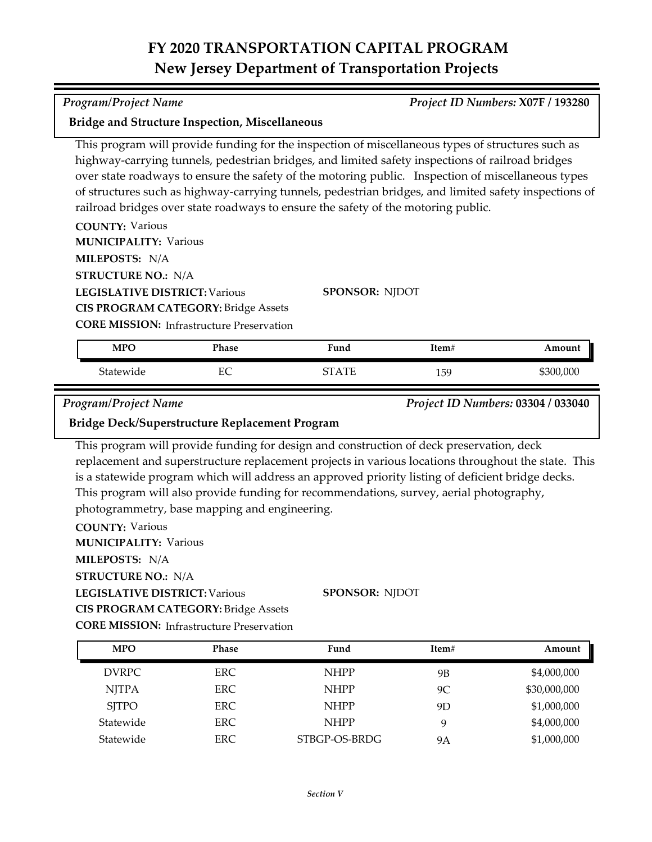| This program will provide funding for the inspection of miscellaneous types of structures such as<br>highway-carrying tunnels, pedestrian bridges, and limited safety inspections of railroad bridges<br>over state roadways to ensure the safety of the motoring public. Inspection of miscellaneous types<br>of structures such as highway-carrying tunnels, pedestrian bridges, and limited safety inspections of<br>railroad bridges over state roadways to ensure the safety of the motoring public.<br><b>COUNTY: Various</b><br><b>MUNICIPALITY: Various</b> |                                                                                                     |              |       |                                    |  |
|---------------------------------------------------------------------------------------------------------------------------------------------------------------------------------------------------------------------------------------------------------------------------------------------------------------------------------------------------------------------------------------------------------------------------------------------------------------------------------------------------------------------------------------------------------------------|-----------------------------------------------------------------------------------------------------|--------------|-------|------------------------------------|--|
| MILEPOSTS: N/A                                                                                                                                                                                                                                                                                                                                                                                                                                                                                                                                                      |                                                                                                     |              |       |                                    |  |
|                                                                                                                                                                                                                                                                                                                                                                                                                                                                                                                                                                     | <b>STRUCTURE NO.: N/A</b>                                                                           |              |       |                                    |  |
|                                                                                                                                                                                                                                                                                                                                                                                                                                                                                                                                                                     | <b>LEGISLATIVE DISTRICT: Various</b><br><b>SPONSOR: NJDOT</b>                                       |              |       |                                    |  |
|                                                                                                                                                                                                                                                                                                                                                                                                                                                                                                                                                                     | <b>CIS PROGRAM CATEGORY: Bridge Assets</b>                                                          |              |       |                                    |  |
|                                                                                                                                                                                                                                                                                                                                                                                                                                                                                                                                                                     | <b>CORE MISSION:</b> Infrastructure Preservation                                                    |              |       |                                    |  |
|                                                                                                                                                                                                                                                                                                                                                                                                                                                                                                                                                                     | Phase                                                                                               | Fund         | Item# | Amount                             |  |
| <b>MPO</b>                                                                                                                                                                                                                                                                                                                                                                                                                                                                                                                                                          |                                                                                                     |              |       |                                    |  |
| Statewide                                                                                                                                                                                                                                                                                                                                                                                                                                                                                                                                                           | EC                                                                                                  | <b>STATE</b> | 159   | \$300,000                          |  |
| <b>Program/Project Name</b>                                                                                                                                                                                                                                                                                                                                                                                                                                                                                                                                         |                                                                                                     |              |       | Project ID Numbers: 03304 / 033040 |  |
|                                                                                                                                                                                                                                                                                                                                                                                                                                                                                                                                                                     | Bridge Deck/Superstructure Replacement Program                                                      |              |       |                                    |  |
|                                                                                                                                                                                                                                                                                                                                                                                                                                                                                                                                                                     | This program will provide funding for design and construction of deck preservation, deck            |              |       |                                    |  |
|                                                                                                                                                                                                                                                                                                                                                                                                                                                                                                                                                                     | replacement and superstructure replacement projects in various locations throughout the state. This |              |       |                                    |  |
|                                                                                                                                                                                                                                                                                                                                                                                                                                                                                                                                                                     | is a statewide program which will address an approved priority listing of deficient bridge decks.   |              |       |                                    |  |
|                                                                                                                                                                                                                                                                                                                                                                                                                                                                                                                                                                     | This program will also provide funding for recommendations, survey, aerial photography,             |              |       |                                    |  |
|                                                                                                                                                                                                                                                                                                                                                                                                                                                                                                                                                                     | photogrammetry, base mapping and engineering.                                                       |              |       |                                    |  |

**LEGISLATIVE DISTRICT:** Various **MILEPOSTS:** N/A **STRUCTURE NO.:** N/A **MUNICIPALITY: Various CORE MISSION:** Infrastructure Preservation **SPONSOR:** NJDOT **CIS PROGRAM CATEGORY:** Bridge Assets

DVRPC ERC NHPP 9B \$4,000,000 NJTPA ERC NHPP 9C \$30,000,000 SJTPO ERC NHPP 9D \$1,000,000 Statewide ERC NHPP 9 \$4,000,000 Statewide ERC STBGP-OS-BRDG 9A \$1,000,000 **MPO Phase Fund Item# Amount**

*Program/Project Name Project ID Numbers:* **X07F / 193280**

## **Bridge and Structure Inspection, Miscellaneous**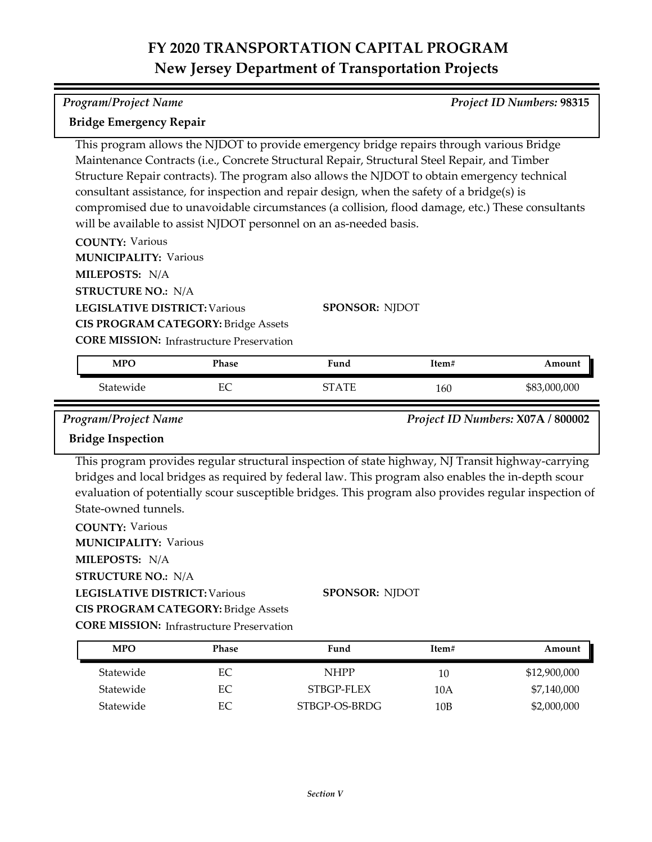| Program/Project Name<br>Project ID Numbers: 98315                                                                                                                                                 |          |                                                                                                                                                                                                                                                                                                                                                                                                                                                                                                                                                                  |            |                            |
|---------------------------------------------------------------------------------------------------------------------------------------------------------------------------------------------------|----------|------------------------------------------------------------------------------------------------------------------------------------------------------------------------------------------------------------------------------------------------------------------------------------------------------------------------------------------------------------------------------------------------------------------------------------------------------------------------------------------------------------------------------------------------------------------|------------|----------------------------|
| <b>Bridge Emergency Repair</b>                                                                                                                                                                    |          |                                                                                                                                                                                                                                                                                                                                                                                                                                                                                                                                                                  |            |                            |
|                                                                                                                                                                                                   |          | This program allows the NJDOT to provide emergency bridge repairs through various Bridge<br>Maintenance Contracts (i.e., Concrete Structural Repair, Structural Steel Repair, and Timber<br>Structure Repair contracts). The program also allows the NJDOT to obtain emergency technical<br>consultant assistance, for inspection and repair design, when the safety of a bridge(s) is<br>compromised due to unavoidable circumstances (a collision, flood damage, etc.) These consultants<br>will be available to assist NJDOT personnel on an as-needed basis. |            |                            |
| <b>COUNTY: Various</b><br><b>MUNICIPALITY: Various</b>                                                                                                                                            |          |                                                                                                                                                                                                                                                                                                                                                                                                                                                                                                                                                                  |            |                            |
| MILEPOSTS: N/A<br><b>STRUCTURE NO.: N/A</b>                                                                                                                                                       |          |                                                                                                                                                                                                                                                                                                                                                                                                                                                                                                                                                                  |            |                            |
| <b>LEGISLATIVE DISTRICT: Various</b><br><b>CIS PROGRAM CATEGORY: Bridge Assets</b><br><b>CORE MISSION:</b> Infrastructure Preservation                                                            |          | SPONSOR: NJDOT                                                                                                                                                                                                                                                                                                                                                                                                                                                                                                                                                   |            |                            |
| <b>MPO</b>                                                                                                                                                                                        | Phase    | Fund                                                                                                                                                                                                                                                                                                                                                                                                                                                                                                                                                             | Item#      | Amount                     |
| Statewide                                                                                                                                                                                         | EC       | <b>STATE</b>                                                                                                                                                                                                                                                                                                                                                                                                                                                                                                                                                     | 160        | \$83,000,000               |
| <b>Bridge Inspection</b><br>State-owned tunnels.<br><b>COUNTY: Various</b><br><b>MUNICIPALITY: Various</b><br>MILEPOSTS: N/A<br><b>STRUCTURE NO.: N/A</b><br><b>LEGISLATIVE DISTRICT: Various</b> |          | This program provides regular structural inspection of state highway, NJ Transit highway-carrying<br>bridges and local bridges as required by federal law. This program also enables the in-depth scour<br>evaluation of potentially scour susceptible bridges. This program also provides regular inspection of<br><b>SPONSOR: NJDOT</b>                                                                                                                                                                                                                        |            |                            |
| <b>CIS PROGRAM CATEGORY: Bridge Assets</b>                                                                                                                                                        |          |                                                                                                                                                                                                                                                                                                                                                                                                                                                                                                                                                                  |            |                            |
| <b>CORE MISSION:</b> Infrastructure Preservation                                                                                                                                                  |          |                                                                                                                                                                                                                                                                                                                                                                                                                                                                                                                                                                  |            |                            |
| <b>MPO</b>                                                                                                                                                                                        | Phase    | Fund                                                                                                                                                                                                                                                                                                                                                                                                                                                                                                                                                             | Item#      | Amount                     |
| Statewide                                                                                                                                                                                         | EC       | <b>NHPP</b>                                                                                                                                                                                                                                                                                                                                                                                                                                                                                                                                                      | 10         | \$12,900,000               |
| Statewide<br>Statewide                                                                                                                                                                            | EC<br>EC | STBGP-FLEX<br>STBGP-OS-BRDG                                                                                                                                                                                                                                                                                                                                                                                                                                                                                                                                      | 10A<br>10B | \$7,140,000<br>\$2,000,000 |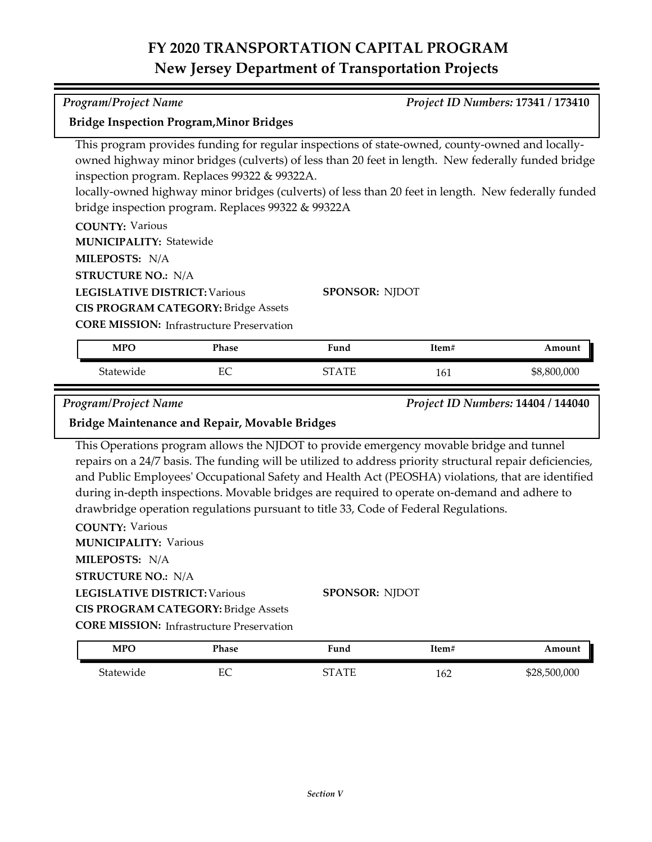| Program/Project Name                                                                                                                                                                                                                                                                                                                                                                                                                                                                                                                                                                    |                                                  |              |       | Project ID Numbers: 17341 / 173410 |
|-----------------------------------------------------------------------------------------------------------------------------------------------------------------------------------------------------------------------------------------------------------------------------------------------------------------------------------------------------------------------------------------------------------------------------------------------------------------------------------------------------------------------------------------------------------------------------------------|--------------------------------------------------|--------------|-------|------------------------------------|
| <b>Bridge Inspection Program, Minor Bridges</b>                                                                                                                                                                                                                                                                                                                                                                                                                                                                                                                                         |                                                  |              |       |                                    |
| This program provides funding for regular inspections of state-owned, county-owned and locally-<br>owned highway minor bridges (culverts) of less than 20 feet in length. New federally funded bridge<br>inspection program. Replaces 99322 & 99322A.<br>locally-owned highway minor bridges (culverts) of less than 20 feet in length. New federally funded<br>bridge inspection program. Replaces 99322 & 99322A<br><b>COUNTY: Various</b><br><b>MUNICIPALITY: Statewide</b><br>MILEPOSTS: N/A<br><b>STRUCTURE NO.: N/A</b><br><b>LEGISLATIVE DISTRICT: Various</b><br>SPONSOR: NJDOT |                                                  |              |       |                                    |
|                                                                                                                                                                                                                                                                                                                                                                                                                                                                                                                                                                                         | <b>CIS PROGRAM CATEGORY: Bridge Assets</b>       |              |       |                                    |
|                                                                                                                                                                                                                                                                                                                                                                                                                                                                                                                                                                                         | <b>CORE MISSION:</b> Infrastructure Preservation |              |       |                                    |
| <b>MPO</b>                                                                                                                                                                                                                                                                                                                                                                                                                                                                                                                                                                              | Phase                                            | Fund         | Item# | Amount                             |
| Statewide                                                                                                                                                                                                                                                                                                                                                                                                                                                                                                                                                                               | EC                                               | <b>STATE</b> | 161   | \$8,800,000                        |
| Program/Project Name                                                                                                                                                                                                                                                                                                                                                                                                                                                                                                                                                                    |                                                  |              |       | Project ID Numbers: 14404 / 144040 |
| Bridge Maintenance and Repair, Movable Bridges                                                                                                                                                                                                                                                                                                                                                                                                                                                                                                                                          |                                                  |              |       |                                    |
| This Operations program allows the NJDOT to provide emergency movable bridge and tunnel                                                                                                                                                                                                                                                                                                                                                                                                                                                                                                 |                                                  |              |       |                                    |

**CORE MISSION:** Infrastructure Preservation **CIS PROGRAM CATEGORY:** Bridge Assets

| <b>MPO</b> | Phase  | $T$ und                     | Item# | Amount       |
|------------|--------|-----------------------------|-------|--------------|
| Statewide  | ᄄ<br>∽ | $\Lambda$ T<br>$\mathbf{u}$ | 162   | \$28,500,000 |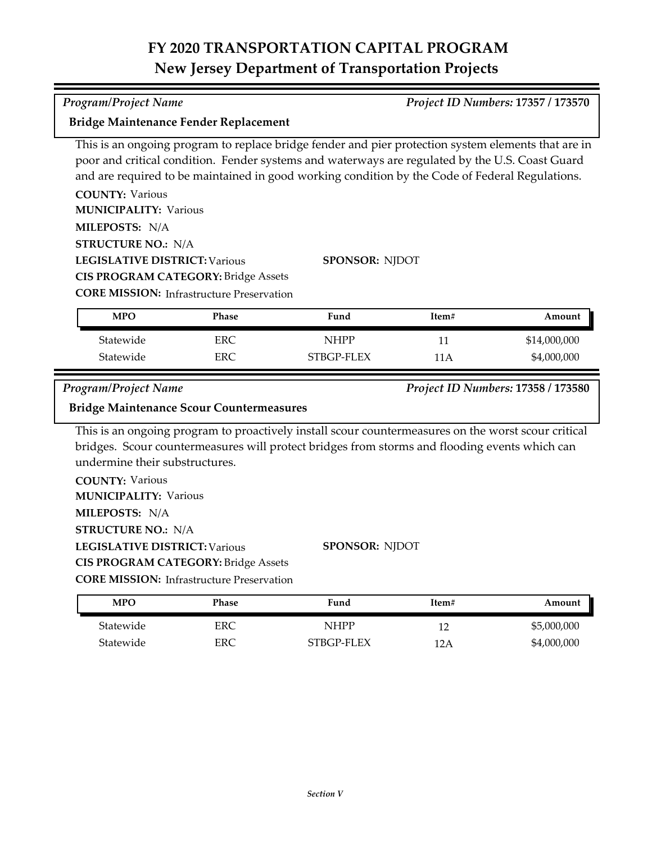and are required to be maintained in good working condition by the Code of Federal Regulations.

| <b>COUNTY: Various</b>               |                                                  |                       |       |                                    |
|--------------------------------------|--------------------------------------------------|-----------------------|-------|------------------------------------|
| <b>MUNICIPALITY: Various</b>         |                                                  |                       |       |                                    |
| MILEPOSTS: N/A                       |                                                  |                       |       |                                    |
| <b>STRUCTURE NO.: N/A</b>            |                                                  |                       |       |                                    |
| <b>LEGISLATIVE DISTRICT: Various</b> |                                                  | <b>SPONSOR: NJDOT</b> |       |                                    |
|                                      | <b>CIS PROGRAM CATEGORY: Bridge Assets</b>       |                       |       |                                    |
|                                      | <b>CORE MISSION:</b> Infrastructure Preservation |                       |       |                                    |
|                                      |                                                  |                       |       |                                    |
| <b>MPO</b>                           | <b>Phase</b>                                     | Fund                  | Item# | Amount                             |
| Statewide                            | <b>ERC</b>                                       | <b>NHPP</b>           | 11    | \$14,000,000                       |
| Statewide                            | <b>ERC</b>                                       | STBGP-FLEX            | 11 A  | \$4,000,000                        |
|                                      |                                                  |                       |       |                                    |
| Program/Project Name                 | <b>Bridge Maintenance Scour Countermeasures</b>  |                       |       | Project ID Numbers: 17358 / 173580 |

This is an ongoing program to proactively install scour countermeasures on the worst scour critical **Bridge Maintenance Scour Countermeasures**

bridges. Scour countermeasures will protect bridges from storms and flooding events which can undermine their substructures.

**COUNTY:** Various **LEGISLATIVE DISTRICT:** Various **MILEPOSTS:** N/A **STRUCTURE NO.:** N/A **MUNICIPALITY: Various CORE MISSION: Infrastructure Preservation SPONSOR:** NJDOT **CIS PROGRAM CATEGORY:** Bridge Assets

Statewide ERC NHPP 12 \$5,000,000 Statewide ERC STBGP-FLEX 12A \$4,000,000 **MPO Phase Fund Item# Amount**

*Program/Project Name Project ID Numbers:* **17357 / 173570**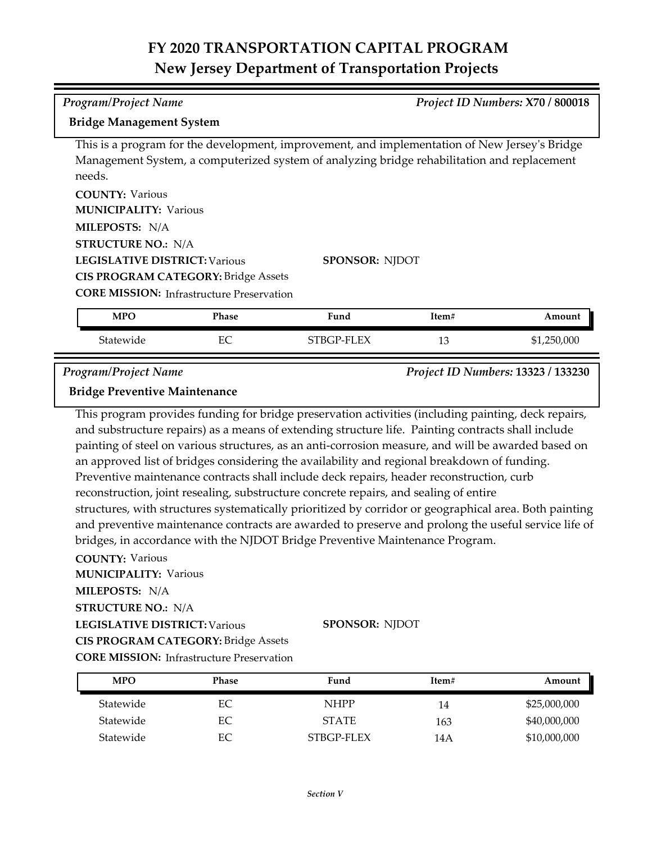# *Program/Project Name Project ID Numbers:* **X70 / 800018**

### **Bridge Management System**

This is a program for the development, improvement, and implementation of New Jersey's Bridge Management System, a computerized system of analyzing bridge rehabilitation and replacement needs.

**COUNTY:** Various **LEGISLATIVE DISTRICT:** Various **MILEPOSTS:** N/A **STRUCTURE NO.:** N/A **MUNICIPALITY: Various CIS PROGRAM CATEGORY:** Bridge Assets

**SPONSOR:** NJDOT

**CORE MISSION:** Infrastructure Preservation

| MPO       | Phase    | Fund       | ltem#    | Amount      |
|-----------|----------|------------|----------|-------------|
| Statewide | FС<br>ĿC | STBGP-FLEX | 11<br>⊥∪ | \$1,250,000 |

*Program/Project Name Project ID Numbers:* **13323 / 133230**

## **Bridge Preventive Maintenance**

This program provides funding for bridge preservation activities (including painting, deck repairs, and substructure repairs) as a means of extending structure life. Painting contracts shall include painting of steel on various structures, as an anti‐corrosion measure, and will be awarded based on an approved list of bridges considering the availability and regional breakdown of funding. Preventive maintenance contracts shall include deck repairs, header reconstruction, curb reconstruction, joint resealing, substructure concrete repairs, and sealing of entire structures, with structures systematically prioritized by corridor or geographical area. Both painting and preventive maintenance contracts are awarded to preserve and prolong the useful service life of bridges, in accordance with the NJDOT Bridge Preventive Maintenance Program.

**COUNTY:** Various

**MILEPOSTS:** N/A **STRUCTURE NO.:** N/A **MUNICIPALITY: Various** 

**LEGISLATIVE DISTRICT:** Various

**SPONSOR:** NJDOT

**CIS PROGRAM CATEGORY:** Bridge Assets

**CORE MISSION: Infrastructure Preservation** 

| <b>MPO</b> | Phase | Fund         | Item# | Amount       |
|------------|-------|--------------|-------|--------------|
| Statewide  | EС    | <b>NHPP</b>  | 14    | \$25,000,000 |
| Statewide  | EС    | <b>STATE</b> | 163   | \$40,000,000 |
| Statewide  |       | STBGP-FLEX   | 14 A  | \$10,000,000 |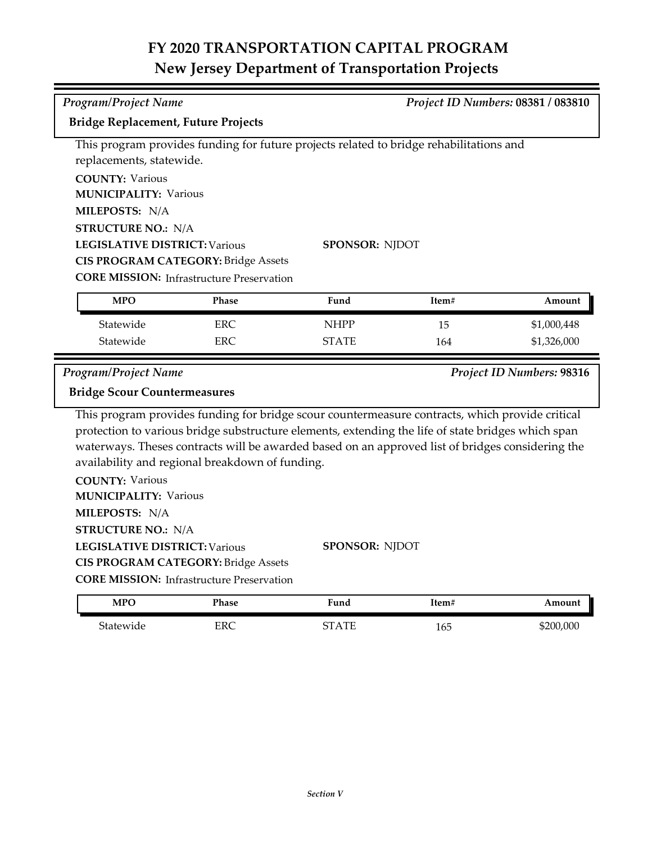| <b>Program/Project Name</b>                                   |                                                  |                                                                                                    |       | Project ID Numbers: 08381 / 083810 |
|---------------------------------------------------------------|--------------------------------------------------|----------------------------------------------------------------------------------------------------|-------|------------------------------------|
| <b>Bridge Replacement, Future Projects</b>                    |                                                  |                                                                                                    |       |                                    |
|                                                               |                                                  | This program provides funding for future projects related to bridge rehabilitations and            |       |                                    |
| replacements, statewide.                                      |                                                  |                                                                                                    |       |                                    |
| <b>COUNTY: Various</b>                                        |                                                  |                                                                                                    |       |                                    |
| <b>MUNICIPALITY: Various</b>                                  |                                                  |                                                                                                    |       |                                    |
| MILEPOSTS: N/A                                                |                                                  |                                                                                                    |       |                                    |
| <b>STRUCTURE NO.: N/A</b>                                     |                                                  |                                                                                                    |       |                                    |
| <b>LEGISLATIVE DISTRICT: Various</b><br><b>SPONSOR: NJDOT</b> |                                                  |                                                                                                    |       |                                    |
| <b>CIS PROGRAM CATEGORY: Bridge Assets</b>                    |                                                  |                                                                                                    |       |                                    |
|                                                               | <b>CORE MISSION:</b> Infrastructure Preservation |                                                                                                    |       |                                    |
| <b>MPO</b>                                                    | Phase                                            | Fund                                                                                               | Item# | Amount                             |
| Statewide                                                     | <b>ERC</b>                                       | <b>NHPP</b>                                                                                        | 15    | \$1,000,448                        |
| Statewide                                                     | <b>ERC</b>                                       | <b>STATE</b>                                                                                       | 164   | \$1,326,000                        |
|                                                               |                                                  |                                                                                                    |       |                                    |
|                                                               |                                                  |                                                                                                    |       |                                    |
| <b>Program/Project Name</b>                                   |                                                  |                                                                                                    |       |                                    |
| <b>Bridge Scour Countermeasures</b>                           |                                                  |                                                                                                    |       |                                    |
|                                                               |                                                  | This program provides funding for bridge scour countermeasure contracts, which provide critical    |       |                                    |
|                                                               |                                                  | protection to various bridge substructure elements, extending the life of state bridges which span |       |                                    |
|                                                               |                                                  | waterways. Theses contracts will be awarded based on an approved list of bridges considering the   |       |                                    |
| availability and regional breakdown of funding.               |                                                  |                                                                                                    |       |                                    |
| <b>COUNTY: Various</b>                                        |                                                  |                                                                                                    |       |                                    |
| <b>MUNICIPALITY: Various</b>                                  |                                                  |                                                                                                    |       |                                    |
| MILEPOSTS: N/A                                                |                                                  |                                                                                                    |       |                                    |
| <b>STRUCTURE NO.: N/A</b>                                     |                                                  |                                                                                                    |       |                                    |
| <b>LEGISLATIVE DISTRICT: Various</b>                          |                                                  | <b>SPONSOR: NJDOT</b>                                                                              |       |                                    |
|                                                               | <b>CIS PROGRAM CATEGORY: Bridge Assets</b>       |                                                                                                    |       |                                    |
|                                                               | <b>CORE MISSION:</b> Infrastructure Preservation |                                                                                                    |       | Project ID Numbers: 98316          |
| <b>MPO</b>                                                    | Phase                                            | Fund                                                                                               | Item# | Amount                             |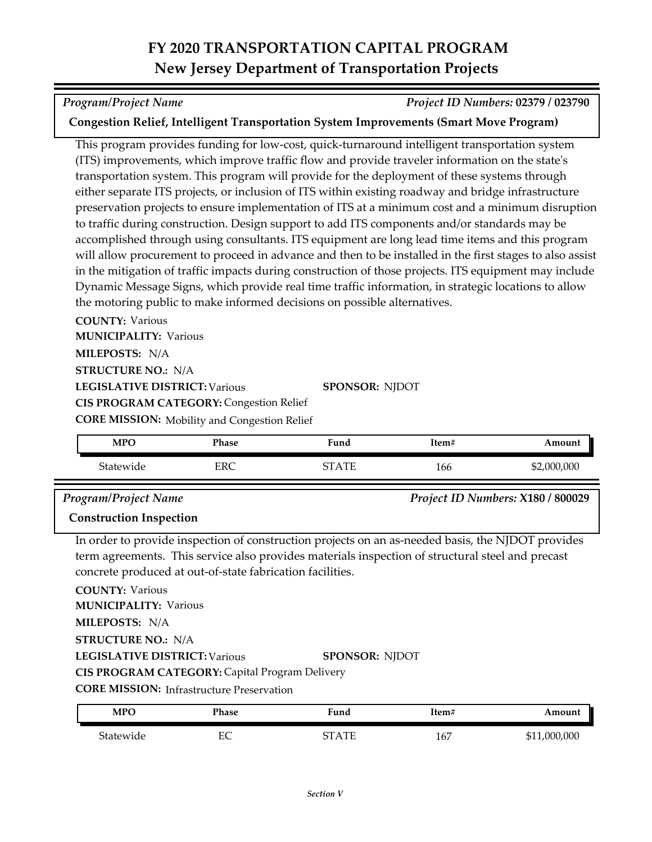### *Program/Project Name Project ID Numbers:* **02379 / 023790**

## **Congestion Relief, Intelligent Transportation System Improvements (Smart Move Program)**

This program provides funding for low‐cost, quick‐turnaround intelligent transportation system (ITS) improvements, which improve traffic flow and provide traveler information on the state's transportation system. This program will provide for the deployment of these systems through either separate ITS projects, or inclusion of ITS within existing roadway and bridge infrastructure preservation projects to ensure implementation of ITS at a minimum cost and a minimum disruption to traffic during construction. Design support to add ITS components and/or standards may be accomplished through using consultants. ITS equipment are long lead time items and this program will allow procurement to proceed in advance and then to be installed in the first stages to also assist in the mitigation of traffic impacts during construction of those projects. ITS equipment may include Dynamic Message Signs, which provide real time traffic information, in strategic locations to allow the motoring public to make informed decisions on possible alternatives.

**COUNTY:** Various

**MILEPOSTS:** N/A **MUNICIPALITY: Various** 

**STRUCTURE NO.:** N/A

**LEGISLATIVE DISTRICT:** Various

**CIS PROGRAM CATEGORY: Congestion Relief** 

**CORE MISSION:** Mobility and Congestion Relief

| <b>MPO</b> | <b>Phase</b> | Fund               | Item# | Amount      |
|------------|--------------|--------------------|-------|-------------|
| Statewide  | EDC<br>ENC   | $\Lambda$ TF<br>∼∼ | 166   | \$2,000,000 |

**SPONSOR:** NJDOT

### *Program/Project Name Project ID Numbers:* **X180 / 800029**

## **Construction Inspection**

In order to provide inspection of construction projects on an as-needed basis, the NJDOT provides term agreements. This service also provides materials inspection of structural steel and precast concrete produced at out-of-state fabrication facilities.

**COUNTY:** Various

**MUNICIPALITY: Various** 

**MILEPOSTS:** N/A

**STRUCTURE NO.:** N/A

**LEGISLATIVE DISTRICT:** Various

#### **SPONSOR:** NJDOT

**CIS PROGRAM CATEGORY:** Capital Program Delivery

**CORE MISSION: Infrastructure Preservation** 

| MPC       | Phase   | Fund  | Item# | Amount       |
|-----------|---------|-------|-------|--------------|
| Statewide | гΩ<br>∽ | STATE | 167   | \$11,000,000 |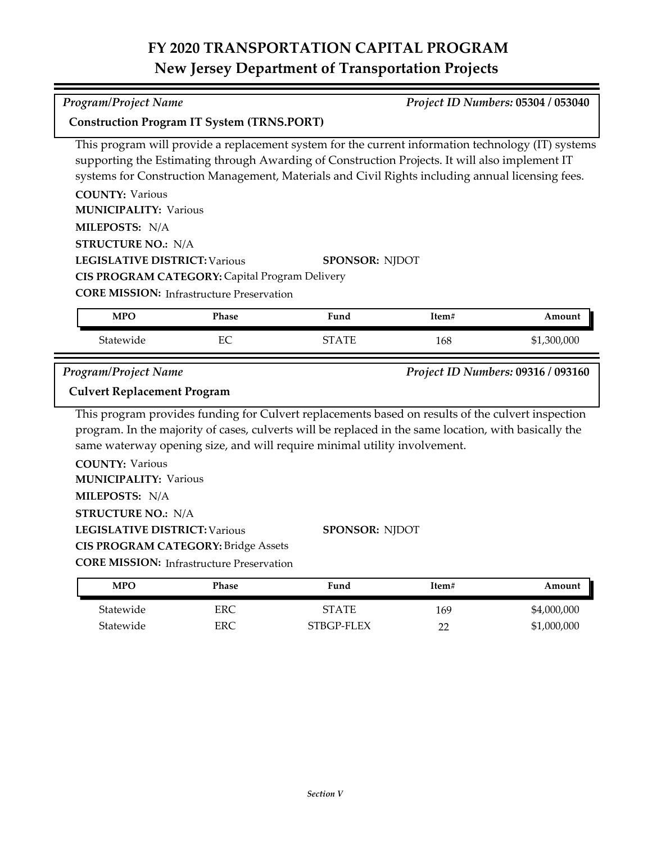This program will provide a replacement system for the current information technology (IT) systems

|                                      |                                                       | supporting the Estimating through Awarding of Construction Projects. It will also implement IT<br>systems for Construction Management, Materials and Civil Rights including annual licensing fees. |       |                                    |
|--------------------------------------|-------------------------------------------------------|----------------------------------------------------------------------------------------------------------------------------------------------------------------------------------------------------|-------|------------------------------------|
| <b>COUNTY: Various</b>               |                                                       |                                                                                                                                                                                                    |       |                                    |
| <b>MUNICIPALITY: Various</b>         |                                                       |                                                                                                                                                                                                    |       |                                    |
| MILEPOSTS: N/A                       |                                                       |                                                                                                                                                                                                    |       |                                    |
| <b>STRUCTURE NO.: N/A</b>            |                                                       |                                                                                                                                                                                                    |       |                                    |
| <b>LEGISLATIVE DISTRICT: Various</b> |                                                       | <b>SPONSOR: NJDOT</b>                                                                                                                                                                              |       |                                    |
|                                      | <b>CIS PROGRAM CATEGORY: Capital Program Delivery</b> |                                                                                                                                                                                                    |       |                                    |
|                                      | <b>CORE MISSION:</b> Infrastructure Preservation      |                                                                                                                                                                                                    |       |                                    |
| <b>MPO</b>                           | Phase                                                 | Fund                                                                                                                                                                                               | Item# | Amount                             |
| Statewide                            | EC.                                                   | <b>STATE</b>                                                                                                                                                                                       | 168   | \$1,300,000                        |
| Program/Project Name                 |                                                       |                                                                                                                                                                                                    |       | Project ID Numbers: 09316 / 093160 |
| <b>Culvert Replacement Program</b>   |                                                       |                                                                                                                                                                                                    |       |                                    |
|                                      |                                                       | This program provides funding for Culvert replacements based on results of the culvert inspection                                                                                                  |       |                                    |

This program provides funding for Culvert replacements based on results of the culvert inspection program. In the majority of cases, culverts will be replaced in the same location, with basically the same waterway opening size, and will require minimal utility involvement.

**COUNTY:** Various **LEGISLATIVE DISTRICT:** Various **MILEPOSTS:** N/A **STRUCTURE NO.:** N/A **MUNICIPALITY: Various CIS PROGRAM CATEGORY:** Bridge Assets

**SPONSOR:** NJDOT

**CORE MISSION: Infrastructure Preservation** 

| <b>MPO</b> | Phase | Fund         | Item# | Amount      |
|------------|-------|--------------|-------|-------------|
| Statewide  | ERC   | <b>STATE</b> | 169   | \$4,000,000 |
| Statewide  | ERC   | STBGP-FLEX   | າາ    | \$1,000,000 |

*Program/Project Name Project ID Numbers:* **05304 / 053040**

**Construction Program IT System (TRNS.PORT)**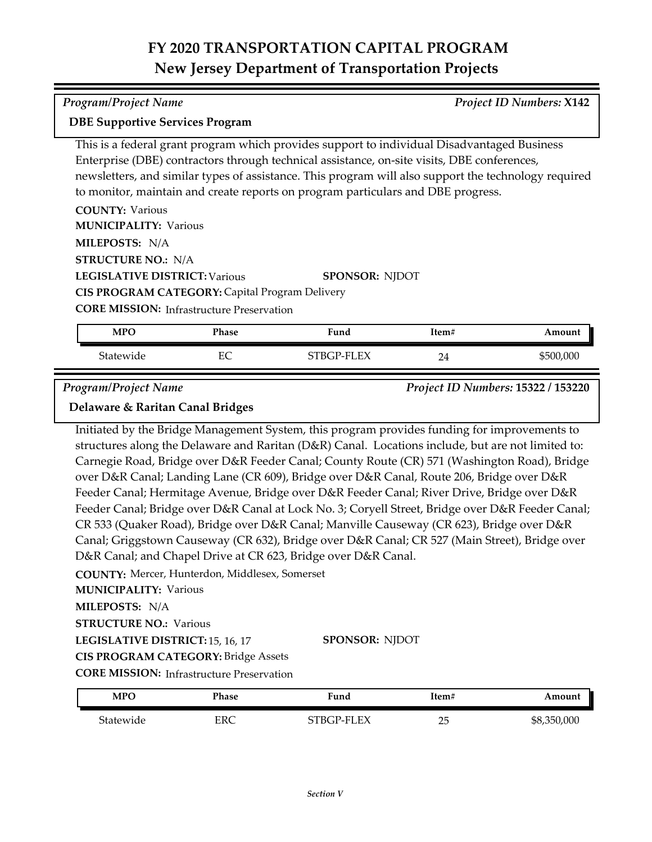| <b>DBE Supportive Services Program</b> |                                                                                                      |
|----------------------------------------|------------------------------------------------------------------------------------------------------|
|                                        | This is a federal grant program which provides support to individual Disadvantaged Business          |
|                                        | Enterprise (DBE) contractors through technical assistance, on-site visits, DBE conferences,          |
|                                        | newsletters, and similar types of assistance. This program will also support the technology required |
|                                        | to monitor, maintain and create reports on program particulars and DBE progress.                     |
| <b>COUNTY: Various</b>                 |                                                                                                      |
| <b>MUNICIPALITY: Various</b>           |                                                                                                      |
| MILEPOSTS: N/A                         |                                                                                                      |
| <b>STRUCTURE NO.: N/A</b>              |                                                                                                      |
| <b>LEGISLATIVE DISTRICT: Various</b>   | <b>SPONSOR: NIDOT</b>                                                                                |

**CIS PROGRAM CATEGORY:** Capital Program Delivery

**CORE MISSION: Infrastructure Preservation** 

| <b>MPO</b> | Phase    | Fund       | Item# | Amount    |
|------------|----------|------------|-------|-----------|
| Statewide  | FС<br>ĿC | STBGP-FLEX | 24    | \$500,000 |

*Program/Project Name Project ID Numbers:* **15322 / 153220**

### **Delaware & Raritan Canal Bridges**

Initiated by the Bridge Management System, this program provides funding for improvements to structures along the Delaware and Raritan (D&R) Canal. Locations include, but are not limited to: Carnegie Road, Bridge over D&R Feeder Canal; County Route (CR) 571 (Washington Road), Bridge over D&R Canal; Landing Lane (CR 609), Bridge over D&R Canal, Route 206, Bridge over D&R Feeder Canal; Hermitage Avenue, Bridge over D&R Feeder Canal; River Drive, Bridge over D&R Feeder Canal; Bridge over D&R Canal at Lock No. 3; Coryell Street, Bridge over D&R Feeder Canal; CR 533 (Quaker Road), Bridge over D&R Canal; Manville Causeway (CR 623), Bridge over D&R Canal; Griggstown Causeway (CR 632), Bridge over D&R Canal; CR 527 (Main Street), Bridge over D&R Canal; and Chapel Drive at CR 623, Bridge over D&R Canal.

**COUNTY:** Mercer, Hunterdon, Middlesex, Somerset

**MUNICIPALITY: Various** 

**MILEPOSTS:** N/A

**STRUCTURE NO.: Various** 

**LEGISLATIVE DISTRICT:** 15, 16, 17

**SPONSOR:** NJDOT

**CORE MISSION:** Infrastructure Preservation **CIS PROGRAM CATEGORY:** Bridge Assets

| MPO       | Phase | Fund       | Item#   | Amount      |
|-----------|-------|------------|---------|-------------|
| Statewide | ERC   | STBGP-FLEX | つに<br>∠ | \$8,350,000 |

*Program/Project Name Project ID Numbers:* **X142**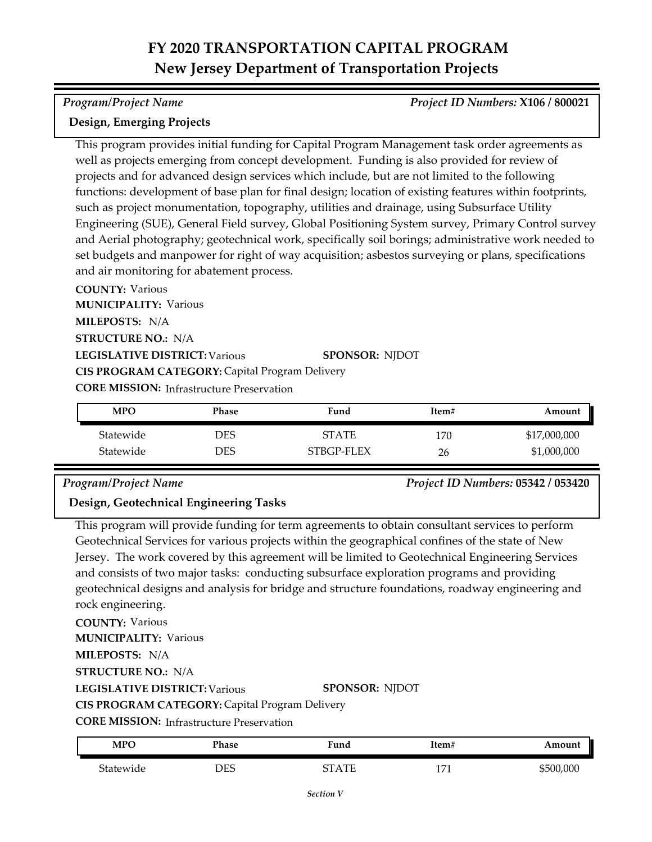#### *Program/Project Name Project ID Numbers:* **X106 / 800021**

## **Design, Emerging Projects**

This program provides initial funding for Capital Program Management task order agreements as well as projects emerging from concept development. Funding is also provided for review of projects and for advanced design services which include, but are not limited to the following functions: development of base plan for final design; location of existing features within footprints, such as project monumentation, topography, utilities and drainage, using Subsurface Utility Engineering (SUE), General Field survey, Global Positioning System survey, Primary Control survey and Aerial photography; geotechnical work, specifically soil borings; administrative work needed to set budgets and manpower for right of way acquisition; asbestos surveying or plans, specifications and air monitoring for abatement process.

**COUNTY:** Various **LEGISLATIVE DISTRICT:** Various **MILEPOSTS:** N/A **STRUCTURE NO.:** N/A **MUNICIPALITY: Various CORE MISSION: Infrastructure Preservation SPONSOR:** NJDOT **CIS PROGRAM CATEGORY:** Capital Program Delivery

| <b>MPO</b> | Phase | Fund         | Item# | Amount       |
|------------|-------|--------------|-------|--------------|
| Statewide  | DES   | <b>STATE</b> | 170   | \$17,000,000 |
| Statewide  | DES   | STBGP-FLEX   | 26    | \$1,000,000  |

*Program/Project Name Project ID Numbers:* **05342 / 053420**

## **Design, Geotechnical Engineering Tasks**

This program will provide funding for term agreements to obtain consultant services to perform Geotechnical Services for various projects within the geographical confines of the state of New Jersey. The work covered by this agreement will be limited to Geotechnical Engineering Services and consists of two major tasks: conducting subsurface exploration programs and providing geotechnical designs and analysis for bridge and structure foundations, roadway engineering and rock engineering.

**COUNTY:** Various **LEGISLATIVE DISTRICT:** Various **MILEPOSTS:** N/A **STRUCTURE NO.:** N/A **MUNICIPALITY: Various CORE MISSION:** Infrastructure Preservation **SPONSOR:** NJDOT **CIS PROGRAM CATEGORY:** Capital Program Delivery

| <b>MPO</b> | Phase      | Fund  | Item# | Amount    |
|------------|------------|-------|-------|-----------|
| Statewide  | <b>DES</b> | STATE | 1171  | \$500,000 |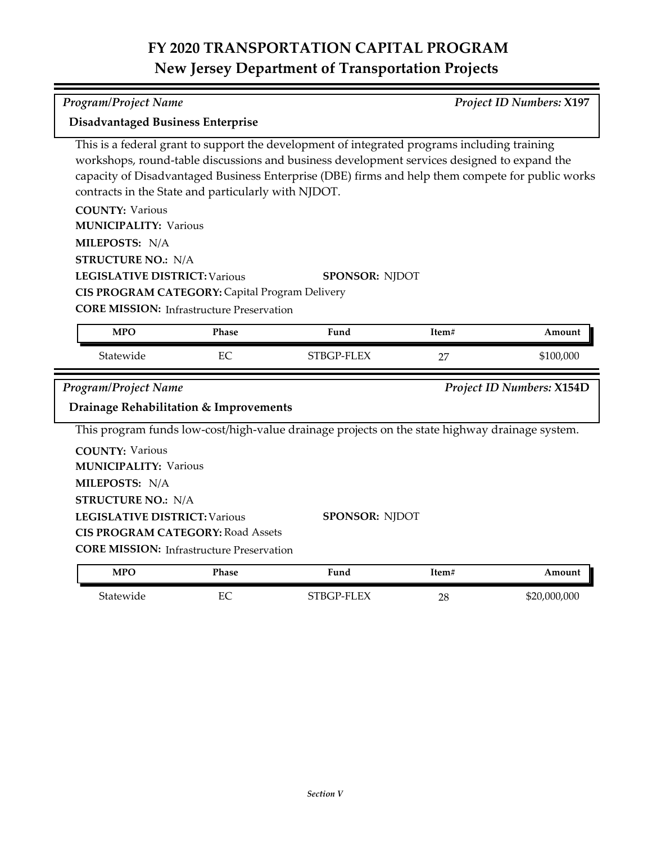| <b>Program/Project Name</b>                                                                                                                                                                                                                   |              |                                                                                                                                                                                                                                                                                                 |       | Project ID Numbers: X197         |
|-----------------------------------------------------------------------------------------------------------------------------------------------------------------------------------------------------------------------------------------------|--------------|-------------------------------------------------------------------------------------------------------------------------------------------------------------------------------------------------------------------------------------------------------------------------------------------------|-------|----------------------------------|
| Disadvantaged Business Enterprise                                                                                                                                                                                                             |              |                                                                                                                                                                                                                                                                                                 |       |                                  |
| contracts in the State and particularly with NJDOT.                                                                                                                                                                                           |              | This is a federal grant to support the development of integrated programs including training<br>workshops, round-table discussions and business development services designed to expand the<br>capacity of Disadvantaged Business Enterprise (DBE) firms and help them compete for public works |       |                                  |
| <b>COUNTY: Various</b><br><b>MUNICIPALITY: Various</b><br>MILEPOSTS: N/A                                                                                                                                                                      |              |                                                                                                                                                                                                                                                                                                 |       |                                  |
| <b>STRUCTURE NO.: N/A</b><br><b>LEGISLATIVE DISTRICT: Various</b><br>CIS PROGRAM CATEGORY: Capital Program Delivery<br><b>CORE MISSION:</b> Infrastructure Preservation                                                                       |              | <b>SPONSOR: NJDOT</b>                                                                                                                                                                                                                                                                           |       |                                  |
| <b>MPO</b>                                                                                                                                                                                                                                    | <b>Phase</b> | Fund                                                                                                                                                                                                                                                                                            | Item# | Amount                           |
|                                                                                                                                                                                                                                               |              |                                                                                                                                                                                                                                                                                                 |       |                                  |
| Statewide                                                                                                                                                                                                                                     | EC           | STBGP-FLEX                                                                                                                                                                                                                                                                                      | 27    | \$100,000                        |
| Program/Project Name<br>Drainage Rehabilitation & Improvements                                                                                                                                                                                |              |                                                                                                                                                                                                                                                                                                 |       | <b>Project ID Numbers: X154D</b> |
|                                                                                                                                                                                                                                               |              | This program funds low-cost/high-value drainage projects on the state highway drainage system.                                                                                                                                                                                                  |       |                                  |
| <b>COUNTY: Various</b><br><b>MUNICIPALITY: Various</b><br>MILEPOSTS: N/A<br><b>STRUCTURE NO.: N/A</b><br><b>LEGISLATIVE DISTRICT: Various</b><br><b>CIS PROGRAM CATEGORY: Road Assets</b><br><b>CORE MISSION:</b> Infrastructure Preservation |              | <b>SPONSOR: NJDOT</b>                                                                                                                                                                                                                                                                           |       |                                  |
| <b>MPO</b>                                                                                                                                                                                                                                    | Phase        | Fund                                                                                                                                                                                                                                                                                            | Item# | Amount                           |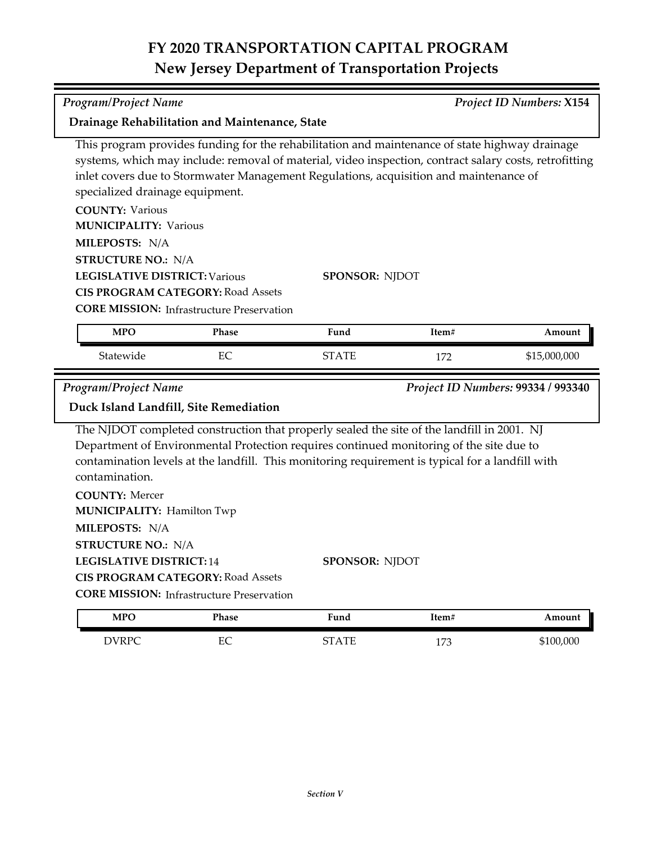| <b>Program/Project Name</b>                            |                                                  |                                                                                                                                                                                                                                                                                                   |       | <b>Project ID Numbers: X154</b>    |
|--------------------------------------------------------|--------------------------------------------------|---------------------------------------------------------------------------------------------------------------------------------------------------------------------------------------------------------------------------------------------------------------------------------------------------|-------|------------------------------------|
|                                                        | Drainage Rehabilitation and Maintenance, State   |                                                                                                                                                                                                                                                                                                   |       |                                    |
| specialized drainage equipment.                        |                                                  | This program provides funding for the rehabilitation and maintenance of state highway drainage<br>systems, which may include: removal of material, video inspection, contract salary costs, retrofitting<br>inlet covers due to Stormwater Management Regulations, acquisition and maintenance of |       |                                    |
| <b>COUNTY: Various</b><br><b>MUNICIPALITY: Various</b> |                                                  |                                                                                                                                                                                                                                                                                                   |       |                                    |
| MILEPOSTS: N/A                                         |                                                  |                                                                                                                                                                                                                                                                                                   |       |                                    |
| <b>STRUCTURE NO.: N/A</b>                              |                                                  |                                                                                                                                                                                                                                                                                                   |       |                                    |
| <b>LEGISLATIVE DISTRICT: Various</b>                   | <b>CIS PROGRAM CATEGORY: Road Assets</b>         | <b>SPONSOR: NJDOT</b>                                                                                                                                                                                                                                                                             |       |                                    |
|                                                        | <b>CORE MISSION: Infrastructure Preservation</b> |                                                                                                                                                                                                                                                                                                   |       |                                    |
| <b>MPO</b>                                             | Phase                                            | Fund                                                                                                                                                                                                                                                                                              | Item# | Amount                             |
| Statewide                                              | EC                                               | <b>STATE</b>                                                                                                                                                                                                                                                                                      | 172   | \$15,000,000                       |
|                                                        |                                                  |                                                                                                                                                                                                                                                                                                   |       |                                    |
| <b>Program/Project Name</b>                            |                                                  |                                                                                                                                                                                                                                                                                                   |       | Project ID Numbers: 99334 / 993340 |
|                                                        | Duck Island Landfill, Site Remediation           |                                                                                                                                                                                                                                                                                                   |       |                                    |
| contamination.<br><b>COUNTY: Mercer</b>                |                                                  | The NJDOT completed construction that properly sealed the site of the landfill in 2001. NJ<br>Department of Environmental Protection requires continued monitoring of the site due to<br>contamination levels at the landfill. This monitoring requirement is typical for a landfill with         |       |                                    |
| <b>MUNICIPALITY: Hamilton Twp</b>                      |                                                  |                                                                                                                                                                                                                                                                                                   |       |                                    |
| MILEPOSTS: N/A                                         |                                                  |                                                                                                                                                                                                                                                                                                   |       |                                    |
| <b>STRUCTURE NO.: N/A</b>                              |                                                  |                                                                                                                                                                                                                                                                                                   |       |                                    |
| <b>LEGISLATIVE DISTRICT: 14</b>                        |                                                  | <b>SPONSOR: NJDOT</b>                                                                                                                                                                                                                                                                             |       |                                    |
|                                                        | <b>CIS PROGRAM CATEGORY: Road Assets</b>         |                                                                                                                                                                                                                                                                                                   |       |                                    |
|                                                        | <b>CORE MISSION:</b> Infrastructure Preservation |                                                                                                                                                                                                                                                                                                   |       |                                    |
| <b>MPO</b>                                             | Phase                                            | Fund                                                                                                                                                                                                                                                                                              | Item# | Amount                             |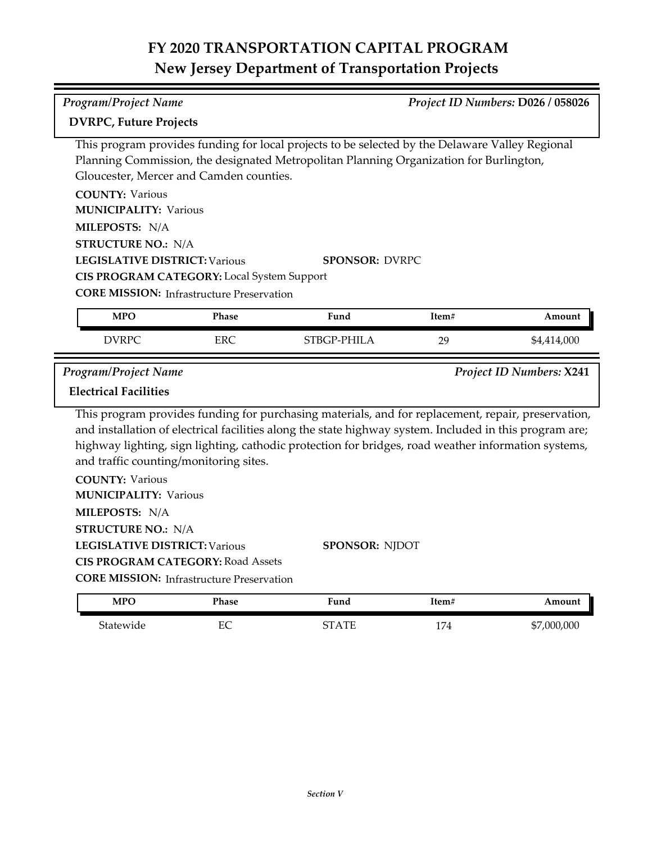| <b>Program/Project Name</b>                            |                                                  |                                                                                                                                                                                                                                                                                                                      |       | Project ID Numbers: D026 / 058026 |
|--------------------------------------------------------|--------------------------------------------------|----------------------------------------------------------------------------------------------------------------------------------------------------------------------------------------------------------------------------------------------------------------------------------------------------------------------|-------|-----------------------------------|
| <b>DVRPC, Future Projects</b>                          |                                                  |                                                                                                                                                                                                                                                                                                                      |       |                                   |
|                                                        |                                                  | This program provides funding for local projects to be selected by the Delaware Valley Regional                                                                                                                                                                                                                      |       |                                   |
|                                                        |                                                  | Planning Commission, the designated Metropolitan Planning Organization for Burlington,                                                                                                                                                                                                                               |       |                                   |
|                                                        | Gloucester, Mercer and Camden counties.          |                                                                                                                                                                                                                                                                                                                      |       |                                   |
| <b>COUNTY: Various</b><br><b>MUNICIPALITY: Various</b> |                                                  |                                                                                                                                                                                                                                                                                                                      |       |                                   |
| MILEPOSTS: N/A                                         |                                                  |                                                                                                                                                                                                                                                                                                                      |       |                                   |
| <b>STRUCTURE NO.: N/A</b>                              |                                                  |                                                                                                                                                                                                                                                                                                                      |       |                                   |
| <b>LEGISLATIVE DISTRICT: Various</b>                   |                                                  | <b>SPONSOR: DVRPC</b>                                                                                                                                                                                                                                                                                                |       |                                   |
|                                                        | CIS PROGRAM CATEGORY: Local System Support       |                                                                                                                                                                                                                                                                                                                      |       |                                   |
|                                                        | <b>CORE MISSION:</b> Infrastructure Preservation |                                                                                                                                                                                                                                                                                                                      |       |                                   |
| <b>MPO</b>                                             | Phase                                            | Fund                                                                                                                                                                                                                                                                                                                 | Item# | Amount                            |
| <b>DVRPC</b>                                           | <b>ERC</b>                                       | STBGP-PHILA                                                                                                                                                                                                                                                                                                          | 29    | \$4,414,000                       |
|                                                        |                                                  |                                                                                                                                                                                                                                                                                                                      |       |                                   |
| Program/Project Name                                   |                                                  |                                                                                                                                                                                                                                                                                                                      |       |                                   |
| <b>Electrical Facilities</b>                           |                                                  |                                                                                                                                                                                                                                                                                                                      |       |                                   |
| and traffic counting/monitoring sites.                 |                                                  | This program provides funding for purchasing materials, and for replacement, repair, preservation,<br>and installation of electrical facilities along the state highway system. Included in this program are;<br>highway lighting, sign lighting, cathodic protection for bridges, road weather information systems, |       | Project ID Numbers: X241          |
| <b>COUNTY: Various</b>                                 |                                                  |                                                                                                                                                                                                                                                                                                                      |       |                                   |
| <b>MUNICIPALITY: Various</b>                           |                                                  |                                                                                                                                                                                                                                                                                                                      |       |                                   |
| MILEPOSTS: N/A                                         |                                                  |                                                                                                                                                                                                                                                                                                                      |       |                                   |
| <b>STRUCTURE NO.: N/A</b>                              |                                                  |                                                                                                                                                                                                                                                                                                                      |       |                                   |
| <b>LEGISLATIVE DISTRICT: Various</b>                   |                                                  | <b>SPONSOR: NJDOT</b>                                                                                                                                                                                                                                                                                                |       |                                   |
|                                                        | <b>CIS PROGRAM CATEGORY: Road Assets</b>         |                                                                                                                                                                                                                                                                                                                      |       |                                   |
|                                                        | <b>CORE MISSION: Infrastructure Preservation</b> |                                                                                                                                                                                                                                                                                                                      |       |                                   |
| <b>MPO</b>                                             | Phase                                            | Fund                                                                                                                                                                                                                                                                                                                 | Item# | Amount                            |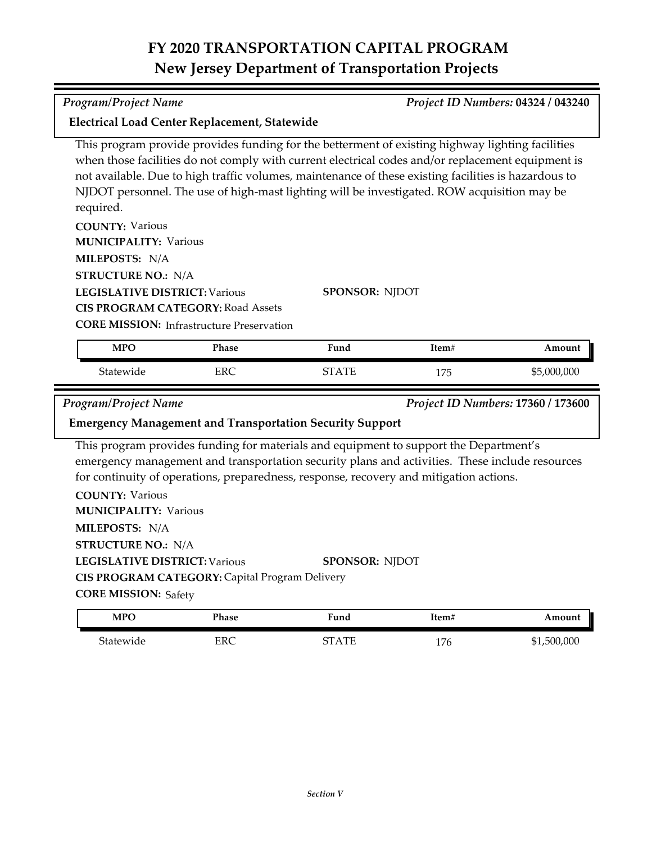| <b>Electrical Load Center Replacement, Statewide</b>   |                                                  |                                                                                                                                                                                                                                                                                                                                                                                                              |       |                                    |
|--------------------------------------------------------|--------------------------------------------------|--------------------------------------------------------------------------------------------------------------------------------------------------------------------------------------------------------------------------------------------------------------------------------------------------------------------------------------------------------------------------------------------------------------|-------|------------------------------------|
| required.                                              |                                                  | This program provide provides funding for the betterment of existing highway lighting facilities<br>when those facilities do not comply with current electrical codes and/or replacement equipment is<br>not available. Due to high traffic volumes, maintenance of these existing facilities is hazardous to<br>NJDOT personnel. The use of high-mast lighting will be investigated. ROW acquisition may be |       |                                    |
| <b>COUNTY: Various</b><br><b>MUNICIPALITY: Various</b> |                                                  |                                                                                                                                                                                                                                                                                                                                                                                                              |       |                                    |
| MILEPOSTS: N/A                                         |                                                  |                                                                                                                                                                                                                                                                                                                                                                                                              |       |                                    |
| <b>STRUCTURE NO.: N/A</b>                              |                                                  |                                                                                                                                                                                                                                                                                                                                                                                                              |       |                                    |
| <b>LEGISLATIVE DISTRICT: Various</b>                   |                                                  | <b>SPONSOR: NJDOT</b>                                                                                                                                                                                                                                                                                                                                                                                        |       |                                    |
|                                                        | <b>CIS PROGRAM CATEGORY: Road Assets</b>         |                                                                                                                                                                                                                                                                                                                                                                                                              |       |                                    |
|                                                        | <b>CORE MISSION: Infrastructure Preservation</b> |                                                                                                                                                                                                                                                                                                                                                                                                              |       |                                    |
| <b>MPO</b>                                             | <b>Phase</b>                                     | Fund                                                                                                                                                                                                                                                                                                                                                                                                         | Item# | Amount                             |
| Statewide                                              | <b>ERC</b>                                       | <b>STATE</b>                                                                                                                                                                                                                                                                                                                                                                                                 | 175   | \$5,000,000                        |
|                                                        |                                                  |                                                                                                                                                                                                                                                                                                                                                                                                              |       |                                    |
| <b>Program/Project Name</b>                            |                                                  |                                                                                                                                                                                                                                                                                                                                                                                                              |       | Project ID Numbers: 17360 / 173600 |
|                                                        |                                                  | <b>Emergency Management and Transportation Security Support</b>                                                                                                                                                                                                                                                                                                                                              |       |                                    |
|                                                        |                                                  | This program provides funding for materials and equipment to support the Department's<br>emergency management and transportation security plans and activities. These include resources<br>for continuity of operations, preparedness, response, recovery and mitigation actions.                                                                                                                            |       |                                    |
| <b>COUNTY: Various</b><br><b>MUNICIPALITY: Various</b> |                                                  |                                                                                                                                                                                                                                                                                                                                                                                                              |       |                                    |
| MILEPOSTS: N/A                                         |                                                  |                                                                                                                                                                                                                                                                                                                                                                                                              |       |                                    |
| <b>STRUCTURE NO.: N/A</b>                              |                                                  |                                                                                                                                                                                                                                                                                                                                                                                                              |       |                                    |
| <b>LEGISLATIVE DISTRICT: Various</b>                   |                                                  | <b>SPONSOR: NJDOT</b>                                                                                                                                                                                                                                                                                                                                                                                        |       |                                    |
|                                                        | CIS PROGRAM CATEGORY: Capital Program Delivery   |                                                                                                                                                                                                                                                                                                                                                                                                              |       |                                    |
| <b>CORE MISSION: Safety</b>                            |                                                  |                                                                                                                                                                                                                                                                                                                                                                                                              |       |                                    |
| <b>MPO</b>                                             | <b>Phase</b>                                     | Fund                                                                                                                                                                                                                                                                                                                                                                                                         | Item# | Amount                             |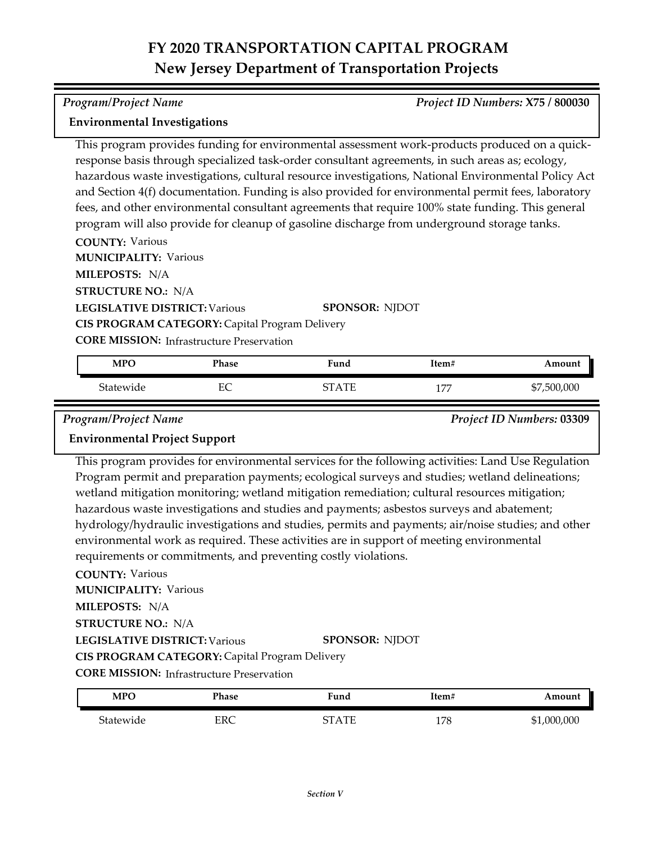#### *Program/Project Name Project ID Numbers:* **X75 / 800030**

### **Environmental Investigations**

This program provides funding for environmental assessment work-products produced on a quick‐ response basis through specialized task-order consultant agreements, in such areas as; ecology, hazardous waste investigations, cultural resource investigations, National Environmental Policy Act and Section 4(f) documentation. Funding is also provided for environmental permit fees, laboratory fees, and other environmental consultant agreements that require 100% state funding. This general program will also provide for cleanup of gasoline discharge from underground storage tanks.

**COUNTY:** Various

**MUNICIPALITY: Various** 

**MILEPOSTS:** N/A

**STRUCTURE NO.:** N/A

**LEGISLATIVE DISTRICT:** Various

**SPONSOR:** NJDOT

**CIS PROGRAM CATEGORY:** Capital Program Delivery

**CORE MISSION:** Infrastructure Preservation

| <b>MPO</b>            | Phase     | Fund | Item#       | Amount      |
|-----------------------|-----------|------|-------------|-------------|
| <sup>c</sup> tatewide | EС<br>EC. | . TC | 1.77<br>. . | \$7,500,000 |

*Program/Project Name Project ID Numbers:* **03309**

## **Environmental Project Support**

This program provides for environmental services for the following activities: Land Use Regulation Program permit and preparation payments; ecological surveys and studies; wetland delineations; wetland mitigation monitoring; wetland mitigation remediation; cultural resources mitigation; hazardous waste investigations and studies and payments; asbestos surveys and abatement; hydrology/hydraulic investigations and studies, permits and payments; air/noise studies; and other environmental work as required. These activities are in support of meeting environmental requirements or commitments, and preventing costly violations.

### **COUNTY:** Various

**LEGISLATIVE DISTRICT:** Various **MILEPOSTS:** N/A **STRUCTURE NO.:** N/A **MUNICIPALITY: Various CORE MISSION:** Infrastructure Preservation **SPONSOR:** NJDOT **CIS PROGRAM CATEGORY:** Capital Program Delivery

| <b>MPO</b> | Phase      | Fund    | Item# | Amount      |
|------------|------------|---------|-------|-------------|
| Statewide  | <b>ERC</b> | CT A TE | 178   | \$1,000,000 |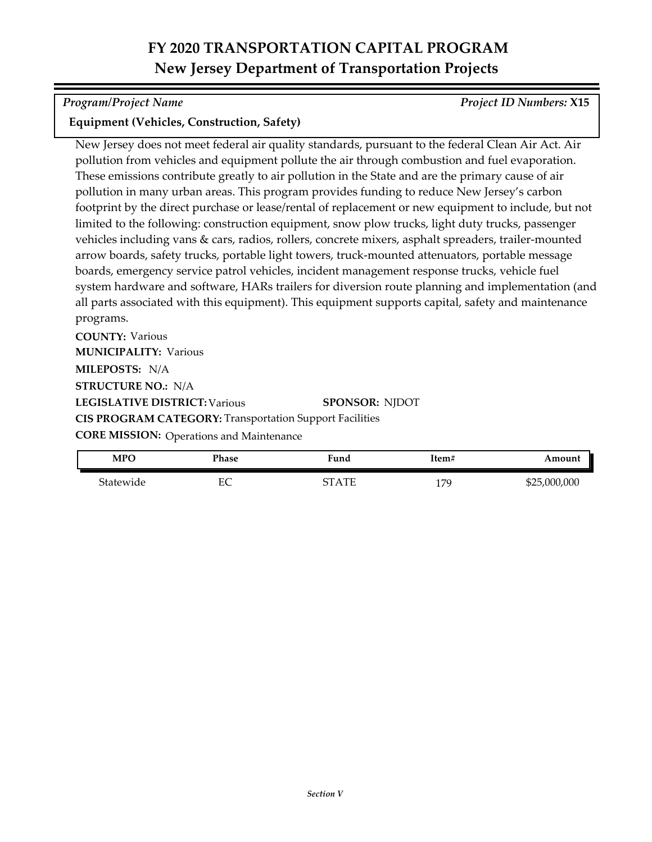*Program/Project Name Project ID Numbers:* **X15**

## **Equipment (Vehicles, Construction, Safety)**

New Jersey does not meet federal air quality standards, pursuant to the federal Clean Air Act. Air pollution from vehicles and equipment pollute the air through combustion and fuel evaporation. These emissions contribute greatly to air pollution in the State and are the primary cause of air pollution in many urban areas. This program provides funding to reduce New Jersey's carbon footprint by the direct purchase or lease/rental of replacement or new equipment to include, but not limited to the following: construction equipment, snow plow trucks, light duty trucks, passenger vehicles including vans & cars, radios, rollers, concrete mixers, asphalt spreaders, trailer-mounted arrow boards, safety trucks, portable light towers, truck-mounted attenuators, portable message boards, emergency service patrol vehicles, incident management response trucks, vehicle fuel system hardware and software, HARs trailers for diversion route planning and implementation (and all parts associated with this equipment). This equipment supports capital, safety and maintenance programs.

**COUNTY:** Various **LEGISLATIVE DISTRICT:** Various **MILEPOSTS:** N/A **STRUCTURE NO.:** N/A **MUNICIPALITY: Various CORE MISSION: Operations and Maintenance SPONSOR:** NJDOT **CIS PROGRAM CATEGORY:** Transportation Support Facilities

| <b>MPO</b> | Phase  | Fund        | Item#                 | Amount    |
|------------|--------|-------------|-----------------------|-----------|
| Statewide  | ᠇<br>∽ | . TT<br>חדי | 17C<br>$\overline{ }$ | 5,000,000 |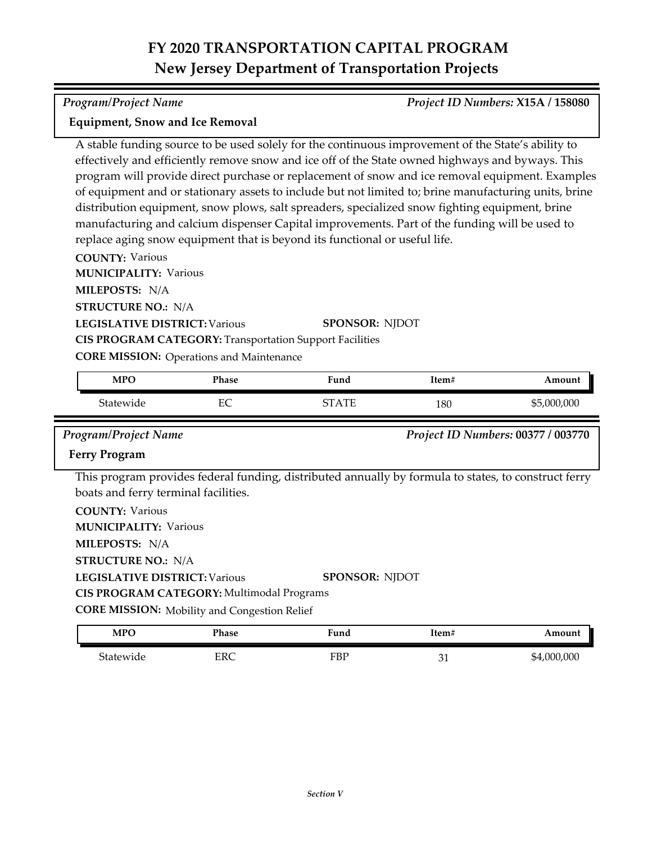#### *Program/Project Name Project ID Numbers:* **X15A / 158080**

### **Equipment, Snow and Ice Removal**

A stable funding source to be used solely for the continuous improvement of the State's ability to effectively and efficiently remove snow and ice off of the State owned highways and byways. This program will provide direct purchase or replacement of snow and ice removal equipment. Examples of equipment and or stationary assets to include but not limited to; brine manufacturing units, brine distribution equipment, snow plows, salt spreaders, specialized snow fighting equipment, brine manufacturing and calcium dispenser Capital improvements. Part of the funding will be used to replace aging snow equipment that is beyond its functional or useful life.

**COUNTY:** Various

**MUNICIPALITY: Various** 

**MILEPOSTS:** N/A

**STRUCTURE NO.:** N/A

**LEGISLATIVE DISTRICT:** Various

**SPONSOR:** NJDOT

**CIS PROGRAM CATEGORY:** Transportation Support Facilities

**CORE MISSION: Operations and Maintenance** 

| MPO       | Phase    | Fund       | Item# | Amount      |
|-----------|----------|------------|-------|-------------|
| Statewide | EС<br>حد | ATF<br>חחר | 180   | \$5,000,000 |

#### *Program/Project Name Project ID Numbers:* **00377 / 003770**

### **Ferry Program**

This program provides federal funding, distributed annually by formula to states, to construct ferry boats and ferry terminal facilities.

**COUNTY:** Various

**MUNICIPALITY: Various** 

**MILEPOSTS:** N/A

**STRUCTURE NO.:** N/A

**LEGISLATIVE DISTRICT:** Various **SPONSOR:** NJDOT

**CIS PROGRAM CATEGORY:** Multimodal Programs

**CORE MISSION:** Mobility and Congestion Relief

| <b>MPO</b> | Phase | :und | Item#    | Amount      |
|------------|-------|------|----------|-------------|
| Statewide  | ERC   | FBP  | n.<br>◡▴ | \$4,000,000 |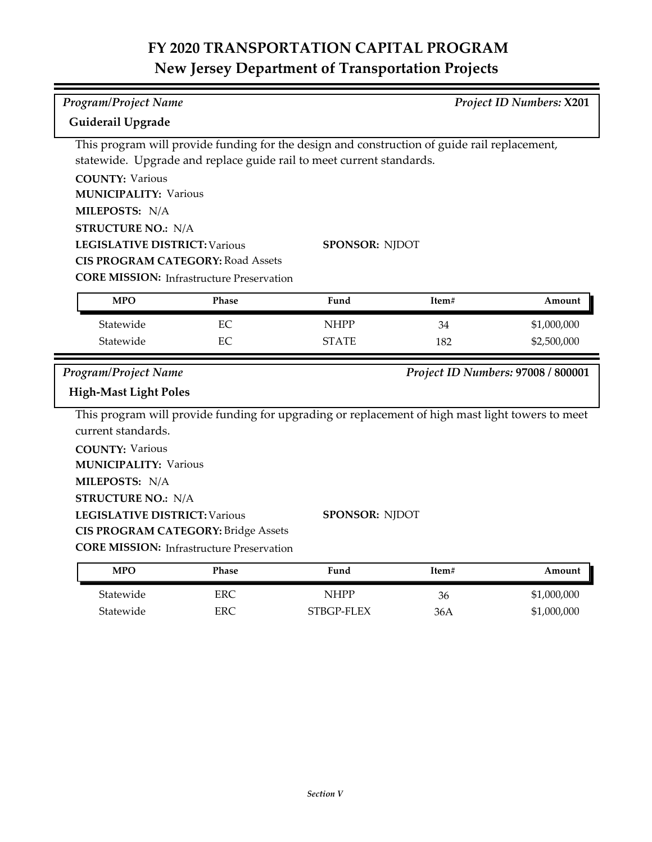| Program/Project Name                                                                         |              |                                                                                                  |       | Project ID Numbers: X201           |
|----------------------------------------------------------------------------------------------|--------------|--------------------------------------------------------------------------------------------------|-------|------------------------------------|
|                                                                                              |              |                                                                                                  |       |                                    |
| Guiderail Upgrade                                                                            |              |                                                                                                  |       |                                    |
|                                                                                              |              | This program will provide funding for the design and construction of guide rail replacement,     |       |                                    |
|                                                                                              |              | statewide. Upgrade and replace guide rail to meet current standards.                             |       |                                    |
| <b>COUNTY: Various</b>                                                                       |              |                                                                                                  |       |                                    |
| <b>MUNICIPALITY: Various</b>                                                                 |              |                                                                                                  |       |                                    |
| MILEPOSTS: N/A                                                                               |              |                                                                                                  |       |                                    |
| <b>STRUCTURE NO.: N/A</b>                                                                    |              |                                                                                                  |       |                                    |
| <b>LEGISLATIVE DISTRICT: Various</b><br>SPONSOR: NJDOT                                       |              |                                                                                                  |       |                                    |
| <b>CIS PROGRAM CATEGORY: Road Assets</b><br><b>CORE MISSION:</b> Infrastructure Preservation |              |                                                                                                  |       |                                    |
|                                                                                              |              |                                                                                                  |       |                                    |
| <b>MPO</b>                                                                                   | <b>Phase</b> | Fund                                                                                             | Item# | Amount                             |
| Statewide                                                                                    | EC           | <b>NHPP</b>                                                                                      | 34    | \$1,000,000                        |
| Statewide                                                                                    | EC           | <b>STATE</b>                                                                                     | 182   | \$2,500,000                        |
| Program/Project Name                                                                         |              |                                                                                                  |       | Project ID Numbers: 97008 / 800001 |
|                                                                                              |              |                                                                                                  |       |                                    |
| <b>High-Mast Light Poles</b>                                                                 |              |                                                                                                  |       |                                    |
|                                                                                              |              | This program will provide funding for upgrading or replacement of high mast light towers to meet |       |                                    |
| current standards.                                                                           |              |                                                                                                  |       |                                    |
| <b>COUNTY: Various</b>                                                                       |              |                                                                                                  |       |                                    |
| <b>MUNICIPALITY: Various</b>                                                                 |              |                                                                                                  |       |                                    |
|                                                                                              |              |                                                                                                  |       |                                    |
| MILEPOSTS: N/A                                                                               |              |                                                                                                  |       |                                    |
| <b>STRUCTURE NO.: N/A</b>                                                                    |              |                                                                                                  |       |                                    |
| <b>LEGISLATIVE DISTRICT: Various</b>                                                         |              | SPONSOR: NJDOT                                                                                   |       |                                    |
| <b>CIS PROGRAM CATEGORY: Bridge Assets</b>                                                   |              |                                                                                                  |       |                                    |
| <b>CORE MISSION:</b> Infrastructure Preservation                                             |              |                                                                                                  |       |                                    |
| <b>MPO</b>                                                                                   | Phase        | Fund                                                                                             | Item# | Amount                             |
| Statewide                                                                                    | <b>ERC</b>   | <b>NHPP</b>                                                                                      | 36    | \$1,000,000                        |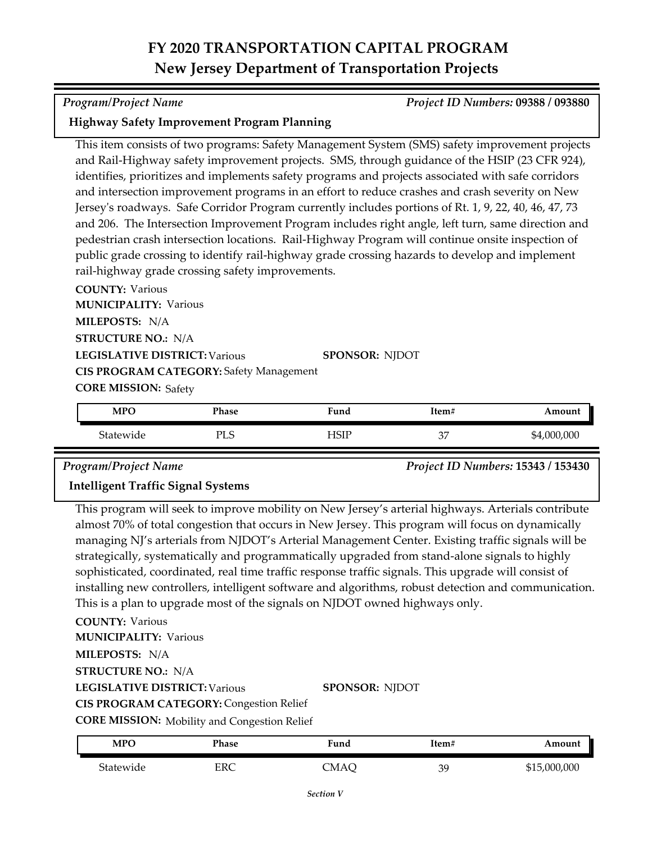### *Program/Project Name Project ID Numbers:* **09388 / 093880**

## **Highway Safety Improvement Program Planning**

This item consists of two programs: Safety Management System (SMS) safety improvement projects and Rail-Highway safety improvement projects. SMS, through guidance of the HSIP (23 CFR 924), identifies, prioritizes and implements safety programs and projects associated with safe corridors and intersection improvement programs in an effort to reduce crashes and crash severity on New Jersey's roadways. Safe Corridor Program currently includes portions of Rt. 1, 9, 22, 40, 46, 47, 73 and 206. The Intersection Improvement Program includes right angle, left turn, same direction and pedestrian crash intersection locations. Rail-Highway Program will continue onsite inspection of public grade crossing to identify rail-highway grade crossing hazards to develop and implement rail-highway grade crossing safety improvements.

**COUNTY:** Various **LEGISLATIVE DISTRICT:** Various **MILEPOSTS:** N/A **STRUCTURE NO.:** N/A **MUNICIPALITY: Various CORE MISSION: Safety SPONSOR:** NJDOT **CIS PROGRAM CATEGORY:** Safety Management

| <b>MPC</b> | Phase      | $\blacksquare$<br>Fund | Item#         | Amount      |
|------------|------------|------------------------|---------------|-------------|
| Statewide  | <b>PLS</b> | HSIP                   | $\sim$<br>ر ر | \$4,000,000 |

*Program/Project Name Project ID Numbers:* **15343 / 153430**

## **Intelligent Traffic Signal Systems**

This program will seek to improve mobility on New Jersey's arterial highways. Arterials contribute almost 70% of total congestion that occurs in New Jersey. This program will focus on dynamically managing NJ's arterials from NJDOT's Arterial Management Center. Existing traffic signals will be strategically, systematically and programmatically upgraded from stand-alone signals to highly sophisticated, coordinated, real time traffic response traffic signals. This upgrade will consist of installing new controllers, intelligent software and algorithms, robust detection and communication. This is a plan to upgrade most of the signals on NJDOT owned highways only.

**COUNTY:** Various **LEGISLATIVE DISTRICT:** Various **MILEPOSTS:** N/A **STRUCTURE NO.:** N/A **MUNICIPALITY: Various** 

**SPONSOR:** NJDOT

**CIS PROGRAM CATEGORY:** Congestion Relief

**CORE MISSION:** Mobility and Congestion Relief

| MPO       | Phase | Fund | ltem# | Amount       |
|-----------|-------|------|-------|--------------|
| Statewide | ERC   | CMAQ | 39    | \$15,000,000 |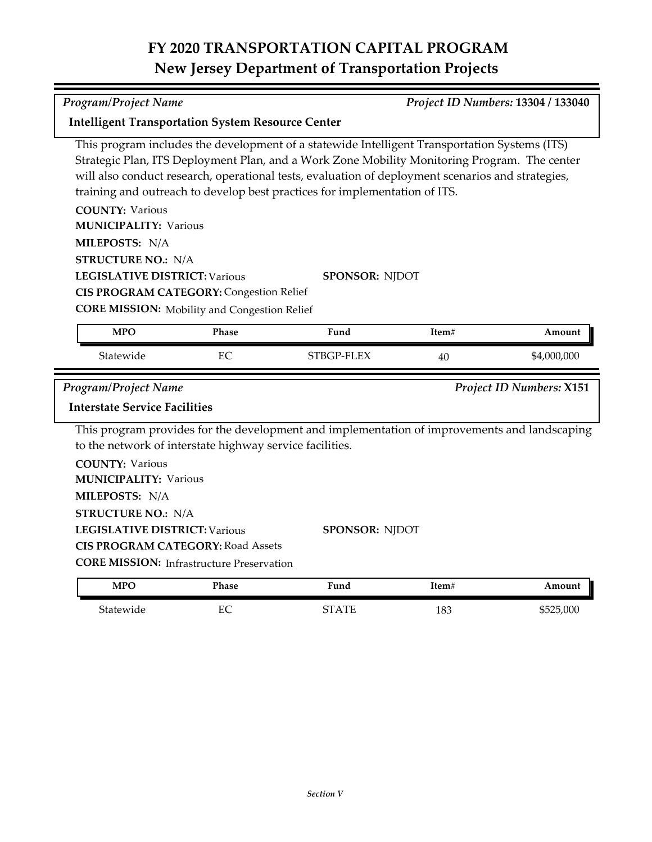*Program/Project Name Project ID Numbers:* **13304 / 133040**

| <b>Intelligent Transportation System Resource Center</b>            |                                                                                                       |                                                                                                                                                                                                                                                                                                                                                                                  |       |                                 |
|---------------------------------------------------------------------|-------------------------------------------------------------------------------------------------------|----------------------------------------------------------------------------------------------------------------------------------------------------------------------------------------------------------------------------------------------------------------------------------------------------------------------------------------------------------------------------------|-------|---------------------------------|
|                                                                     |                                                                                                       | This program includes the development of a statewide Intelligent Transportation Systems (ITS)<br>Strategic Plan, ITS Deployment Plan, and a Work Zone Mobility Monitoring Program. The center<br>will also conduct research, operational tests, evaluation of deployment scenarios and strategies,<br>training and outreach to develop best practices for implementation of ITS. |       |                                 |
| <b>COUNTY: Various</b><br><b>MUNICIPALITY: Various</b>              |                                                                                                       |                                                                                                                                                                                                                                                                                                                                                                                  |       |                                 |
| MILEPOSTS: N/A<br><b>STRUCTURE NO.: N/A</b>                         |                                                                                                       |                                                                                                                                                                                                                                                                                                                                                                                  |       |                                 |
| <b>LEGISLATIVE DISTRICT: Various</b>                                | <b>CIS PROGRAM CATEGORY: Congestion Relief</b><br><b>CORE MISSION:</b> Mobility and Congestion Relief | <b>SPONSOR: NJDOT</b>                                                                                                                                                                                                                                                                                                                                                            |       |                                 |
| <b>MPO</b>                                                          | Phase                                                                                                 | Fund                                                                                                                                                                                                                                                                                                                                                                             | Item# | Amount                          |
| Statewide                                                           | EC                                                                                                    | STBGP-FLEX                                                                                                                                                                                                                                                                                                                                                                       | 40    | \$4,000,000                     |
|                                                                     |                                                                                                       |                                                                                                                                                                                                                                                                                                                                                                                  |       |                                 |
| <b>Program/Project Name</b><br><b>Interstate Service Facilities</b> |                                                                                                       |                                                                                                                                                                                                                                                                                                                                                                                  |       | <b>Project ID Numbers: X151</b> |
|                                                                     | to the network of interstate highway service facilities.                                              | This program provides for the development and implementation of improvements and landscaping                                                                                                                                                                                                                                                                                     |       |                                 |
| <b>COUNTY: Various</b><br><b>MUNICIPALITY: Various</b>              |                                                                                                       |                                                                                                                                                                                                                                                                                                                                                                                  |       |                                 |
| MILEPOSTS: N/A<br><b>STRUCTURE NO.: N/A</b>                         |                                                                                                       |                                                                                                                                                                                                                                                                                                                                                                                  |       |                                 |
| <b>LEGISLATIVE DISTRICT: Various</b>                                | <b>CIS PROGRAM CATEGORY: Road Assets</b>                                                              | SPONSOR: NJDOT                                                                                                                                                                                                                                                                                                                                                                   |       |                                 |
|                                                                     | <b>CORE MISSION:</b> Infrastructure Preservation                                                      |                                                                                                                                                                                                                                                                                                                                                                                  |       |                                 |
| <b>MPO</b>                                                          | Phase                                                                                                 | Fund                                                                                                                                                                                                                                                                                                                                                                             | Item# | Amount                          |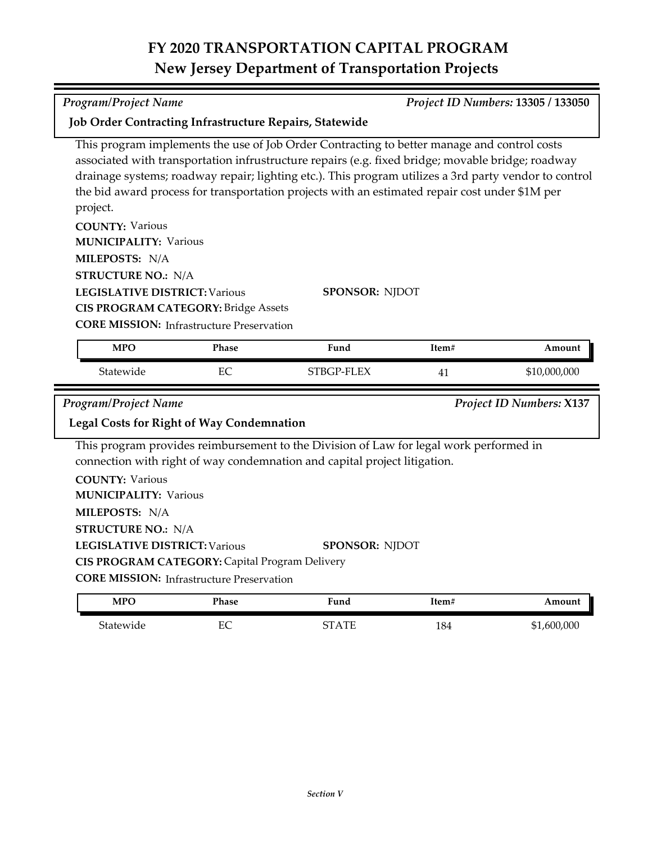| <b>Program/Project Name</b>                                                                                                                               | Project ID Numbers: 13305 / 133050                                                             |                                                                                                                                                                                                                                                                                                                                                                                                                                      |       |                          |  |
|-----------------------------------------------------------------------------------------------------------------------------------------------------------|------------------------------------------------------------------------------------------------|--------------------------------------------------------------------------------------------------------------------------------------------------------------------------------------------------------------------------------------------------------------------------------------------------------------------------------------------------------------------------------------------------------------------------------------|-------|--------------------------|--|
|                                                                                                                                                           | Job Order Contracting Infrastructure Repairs, Statewide                                        |                                                                                                                                                                                                                                                                                                                                                                                                                                      |       |                          |  |
| project.<br><b>COUNTY: Various</b><br><b>MUNICIPALITY: Various</b><br>MILEPOSTS: N/A<br><b>STRUCTURE NO.: N/A</b><br><b>LEGISLATIVE DISTRICT: Various</b> | <b>CIS PROGRAM CATEGORY: Bridge Assets</b><br><b>CORE MISSION:</b> Infrastructure Preservation | This program implements the use of Job Order Contracting to better manage and control costs<br>associated with transportation infrustructure repairs (e.g. fixed bridge; movable bridge; roadway<br>drainage systems; roadway repair; lighting etc.). This program utilizes a 3rd party vendor to control<br>the bid award process for transportation projects with an estimated repair cost under \$1M per<br><b>SPONSOR: NJDOT</b> |       |                          |  |
| <b>MPO</b>                                                                                                                                                | Phase                                                                                          | Fund                                                                                                                                                                                                                                                                                                                                                                                                                                 | Item# | Amount                   |  |
|                                                                                                                                                           |                                                                                                |                                                                                                                                                                                                                                                                                                                                                                                                                                      |       |                          |  |
| Statewide                                                                                                                                                 | EC                                                                                             | STBGP-FLEX                                                                                                                                                                                                                                                                                                                                                                                                                           | 41    | \$10,000,000             |  |
| <b>Program/Project Name</b>                                                                                                                               |                                                                                                |                                                                                                                                                                                                                                                                                                                                                                                                                                      |       | Project ID Numbers: X137 |  |
|                                                                                                                                                           | <b>Legal Costs for Right of Way Condemnation</b>                                               |                                                                                                                                                                                                                                                                                                                                                                                                                                      |       |                          |  |
|                                                                                                                                                           |                                                                                                | This program provides reimbursement to the Division of Law for legal work performed in<br>connection with right of way condemnation and capital project litigation.                                                                                                                                                                                                                                                                  |       |                          |  |
| <b>COUNTY: Various</b><br><b>MUNICIPALITY: Various</b>                                                                                                    |                                                                                                |                                                                                                                                                                                                                                                                                                                                                                                                                                      |       |                          |  |
| MILEPOSTS: N/A                                                                                                                                            |                                                                                                |                                                                                                                                                                                                                                                                                                                                                                                                                                      |       |                          |  |
| <b>STRUCTURE NO.: N/A</b>                                                                                                                                 |                                                                                                |                                                                                                                                                                                                                                                                                                                                                                                                                                      |       |                          |  |
| <b>LEGISLATIVE DISTRICT: Various</b>                                                                                                                      |                                                                                                | <b>SPONSOR: NJDOT</b>                                                                                                                                                                                                                                                                                                                                                                                                                |       |                          |  |
|                                                                                                                                                           | CIS PROGRAM CATEGORY: Capital Program Delivery                                                 |                                                                                                                                                                                                                                                                                                                                                                                                                                      |       |                          |  |
|                                                                                                                                                           | <b>CORE MISSION:</b> Infrastructure Preservation                                               |                                                                                                                                                                                                                                                                                                                                                                                                                                      |       |                          |  |
| <b>MPO</b>                                                                                                                                                | Phase                                                                                          | Fund                                                                                                                                                                                                                                                                                                                                                                                                                                 | Item# | Amount                   |  |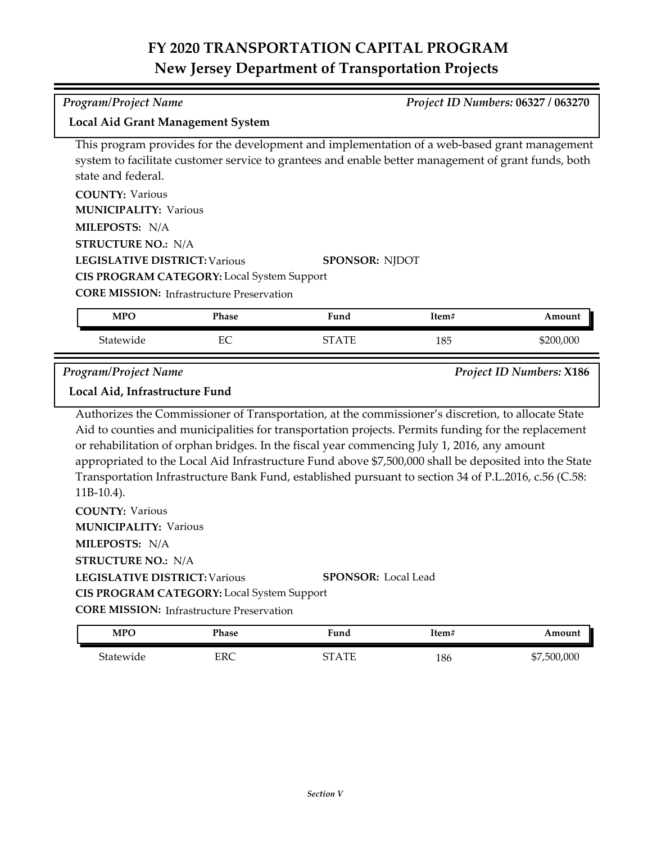*Program/Project Name Project ID Numbers:* **06327 / 063270**

| <b>Local Aid Grant Management System</b>                                                            |              |                       |       |           |  |  |
|-----------------------------------------------------------------------------------------------------|--------------|-----------------------|-------|-----------|--|--|
| This program provides for the development and implementation of a web-based grant management        |              |                       |       |           |  |  |
| system to facilitate customer service to grantees and enable better management of grant funds, both |              |                       |       |           |  |  |
| state and federal.                                                                                  |              |                       |       |           |  |  |
| <b>COUNTY: Various</b>                                                                              |              |                       |       |           |  |  |
| <b>MUNICIPALITY: Various</b>                                                                        |              |                       |       |           |  |  |
| MILEPOSTS: N/A                                                                                      |              |                       |       |           |  |  |
| <b>STRUCTURE NO.: N/A</b>                                                                           |              |                       |       |           |  |  |
| <b>LEGISLATIVE DISTRICT: Various</b>                                                                |              | <b>SPONSOR: NIDOT</b> |       |           |  |  |
| <b>CIS PROGRAM CATEGORY:</b> Local System Support                                                   |              |                       |       |           |  |  |
| <b>CORE MISSION:</b> Infrastructure Preservation                                                    |              |                       |       |           |  |  |
| <b>MPO</b>                                                                                          | <b>Phase</b> | Fund                  | Item# | Amount    |  |  |
|                                                                                                     |              |                       |       |           |  |  |
| Statewide                                                                                           | EC           | <b>STATE</b>          | 185   | \$200,000 |  |  |

*Program/Project Name Project ID Numbers:* **X186**

**Local Aid, Infrastructure Fund**

Authorizes the Commissioner of Transportation, at the commissioner's discretion, to allocate State Aid to counties and municipalities for transportation projects. Permits funding for the replacement or rehabilitation of orphan bridges. In the fiscal year commencing July 1, 2016, any amount appropriated to the Local Aid Infrastructure Fund above \$7,500,000 shall be deposited into the State Transportation Infrastructure Bank Fund, established pursuant to section 34 of P.L.2016, c.56 (C.58: 11B‐10.4).

**COUNTY:** Various **LEGISLATIVE DISTRICT:** Various **MILEPOSTS:** N/A **STRUCTURE NO.:** N/A **MUNICIPALITY: Various SPONSOR:** Local Lead **CIS PROGRAM CATEGORY:** Local System Support

**CORE MISSION: Infrastructure Preservation** 

| <b>MPO</b> | Phase | Fund                                        | Item# | Amount      |
|------------|-------|---------------------------------------------|-------|-------------|
| Statewide  | ERC   | $\begin{array}{ll} {\rm STATE} \end{array}$ | 186   | \$7,500,000 |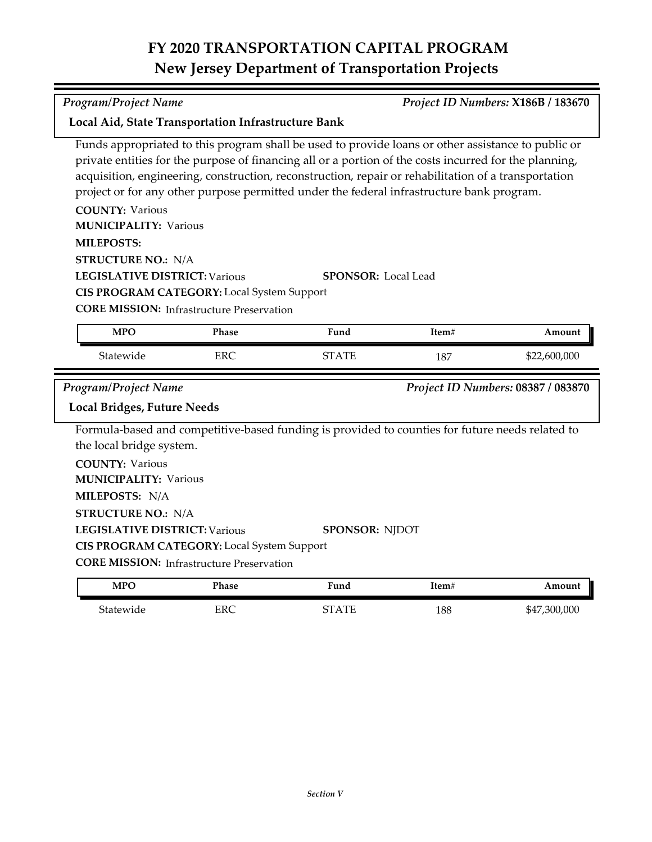Funds appropriated to this program shall be used to provide loans or other assistance to public or private entities for the purpose of financing all or a portion of the costs incurred for the planning, acquisition, engineering, construction, reconstruction, repair or rehabilitation of a transportation

|                                      |                                                   | project or for any other purpose permitted under the federal infrastructure bank program.       |       |                                    |
|--------------------------------------|---------------------------------------------------|-------------------------------------------------------------------------------------------------|-------|------------------------------------|
| <b>COUNTY: Various</b>               |                                                   |                                                                                                 |       |                                    |
| <b>MUNICIPALITY: Various</b>         |                                                   |                                                                                                 |       |                                    |
| <b>MILEPOSTS:</b>                    |                                                   |                                                                                                 |       |                                    |
| <b>STRUCTURE NO.: N/A</b>            |                                                   |                                                                                                 |       |                                    |
| <b>LEGISLATIVE DISTRICT: Various</b> |                                                   | <b>SPONSOR:</b> Local Lead                                                                      |       |                                    |
|                                      | CIS PROGRAM CATEGORY: Local System Support        |                                                                                                 |       |                                    |
|                                      | <b>CORE MISSION:</b> Infrastructure Preservation  |                                                                                                 |       |                                    |
| <b>MPO</b>                           | <b>Phase</b>                                      | Fund                                                                                            | Item# | Amount                             |
| Statewide                            | <b>ERC</b>                                        | <b>STATE</b>                                                                                    | 187   | \$22,600,000                       |
|                                      |                                                   |                                                                                                 |       |                                    |
| <b>Program/Project Name</b>          |                                                   |                                                                                                 |       | Project ID Numbers: 08387 / 083870 |
| <b>Local Bridges, Future Needs</b>   |                                                   |                                                                                                 |       |                                    |
|                                      |                                                   | Formula-based and competitive-based funding is provided to counties for future needs related to |       |                                    |
| the local bridge system.             |                                                   |                                                                                                 |       |                                    |
| <b>COUNTY: Various</b>               |                                                   |                                                                                                 |       |                                    |
| <b>MUNICIPALITY: Various</b>         |                                                   |                                                                                                 |       |                                    |
| MILEPOSTS: N/A                       |                                                   |                                                                                                 |       |                                    |
| <b>STRUCTURE NO.: N/A</b>            |                                                   |                                                                                                 |       |                                    |
| <b>LEGISLATIVE DISTRICT: Various</b> |                                                   | <b>SPONSOR: NJDOT</b>                                                                           |       |                                    |
|                                      | <b>CIS PROGRAM CATEGORY:</b> Local System Support |                                                                                                 |       |                                    |

## **MPO Phase Fund Item# Amount**

| $\mathbf{v}$ | <b>A TIMOL</b><br>. | 1 unu      | 11111 |                  |
|--------------|---------------------|------------|-------|------------------|
| nae          | ERC                 | $\sqrt{2}$ | 188   | .300.000<br>\$47 |

*Program/Project Name Project ID Numbers:* **X186B / 183670**

**Local Aid, State Transportation Infrastructure Bank**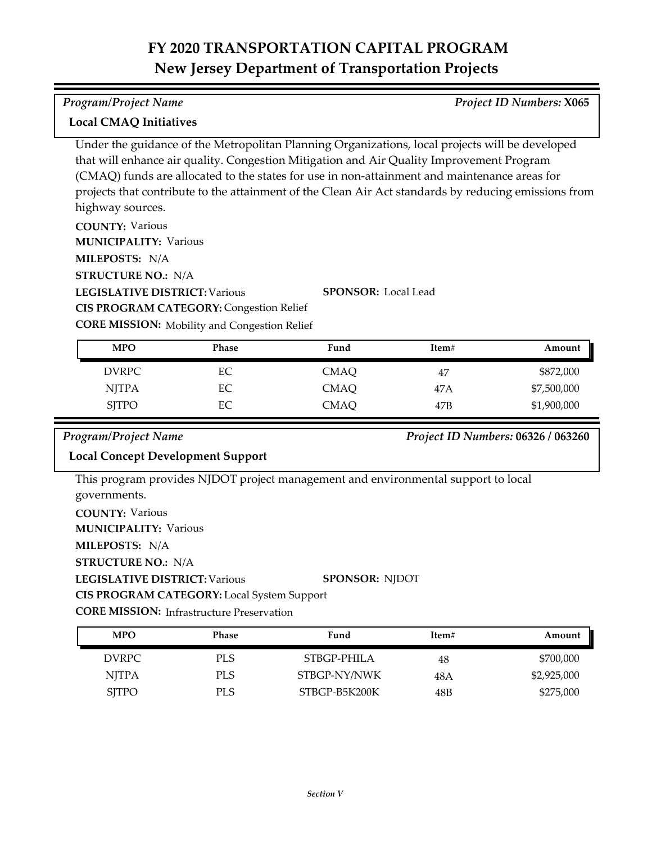## *Program/Project Name Project ID Numbers:* **X065**

## **Local CMAQ Initiatives**

Under the guidance of the Metropolitan Planning Organizations, local projects will be developed that will enhance air quality. Congestion Mitigation and Air Quality Improvement Program (CMAQ) funds are allocated to the states for use in non-attainment and maintenance areas for projects that contribute to the attainment of the Clean Air Act standards by reducing emissions from highway sources.

**COUNTY:** Various **MILEPOSTS:** N/A **MUNICIPALITY: Various** 

**STRUCTURE NO.:** N/A

**LEGISLATIVE DISTRICT:** Various

**SPONSOR:** Local Lead

**CIS PROGRAM CATEGORY: Congestion Relief** 

**CORE MISSION:** Mobility and Congestion Relief

| <b>MPO</b>   | <b>Phase</b> | Fund        | Item# | Amount      |
|--------------|--------------|-------------|-------|-------------|
| DVRPC        | EС           | CMAO        | 47    | \$872,000   |
| <b>NJTPA</b> | EС           | <b>CMAQ</b> | 47A   | \$7,500,000 |
| <b>SITPO</b> | EС           | CMAQ        | 47B   | \$1,900,000 |

## *Program/Project Name Project ID Numbers:* **06326 / 063260**

## **Local Concept Development Support**

This program provides NJDOT project management and environmental support to local governments.

**COUNTY:** Various

**MUNICIPALITY: Various** 

**MILEPOSTS:** N/A

**STRUCTURE NO.:** N/A

**LEGISLATIVE DISTRICT:** Various **SPONSOR:** NJDOT

**CIS PROGRAM CATEGORY:** Local System Support

**CORE MISSION:** Infrastructure Preservation

| <b>MPO</b>      | Phase | Fund          | Item# | Amount      |
|-----------------|-------|---------------|-------|-------------|
| DVRPC <b>DV</b> | PLS   | STBGP-PHILA   | 48    | \$700,000   |
| <b>NITPA</b>    | PLS   | STBGP-NY/NWK  | 48 A  | \$2,925,000 |
| <b>SITPO</b>    | PLS.  | STBGP-B5K200K | 48B   | \$275,000   |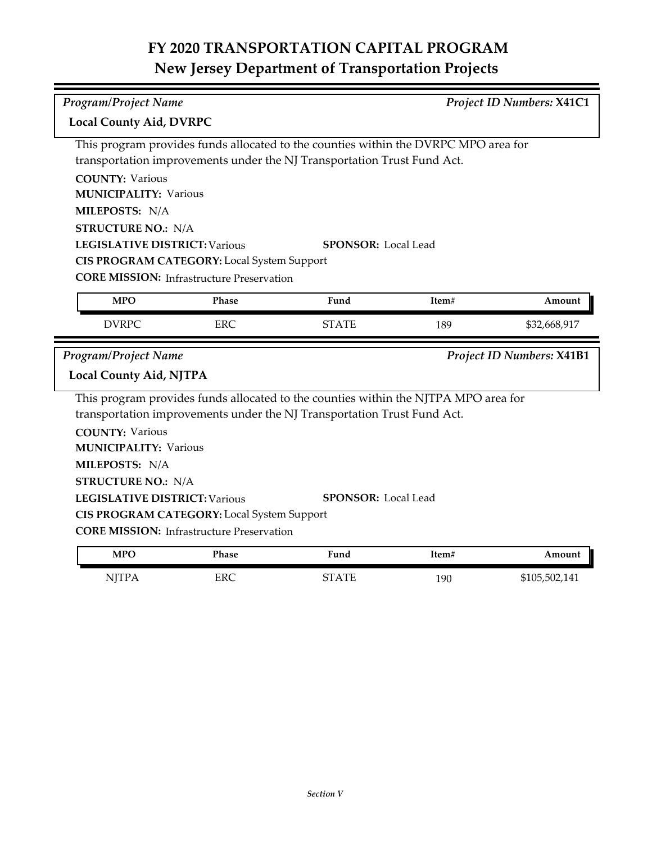| <b>Program/Project Name</b>          |                                                                                                       |                                                                                     |       | Project ID Numbers: X41C1 |
|--------------------------------------|-------------------------------------------------------------------------------------------------------|-------------------------------------------------------------------------------------|-------|---------------------------|
| <b>Local County Aid, DVRPC</b>       |                                                                                                       |                                                                                     |       |                           |
|                                      |                                                                                                       | This program provides funds allocated to the counties within the DVRPC MPO area for |       |                           |
|                                      |                                                                                                       | transportation improvements under the NJ Transportation Trust Fund Act.             |       |                           |
| <b>COUNTY: Various</b>               |                                                                                                       |                                                                                     |       |                           |
| <b>MUNICIPALITY: Various</b>         |                                                                                                       |                                                                                     |       |                           |
| MILEPOSTS: N/A                       |                                                                                                       |                                                                                     |       |                           |
| <b>STRUCTURE NO.: N/A</b>            |                                                                                                       |                                                                                     |       |                           |
| <b>LEGISLATIVE DISTRICT: Various</b> |                                                                                                       | <b>SPONSOR:</b> Local Lead                                                          |       |                           |
|                                      | CIS PROGRAM CATEGORY: Local System Support                                                            |                                                                                     |       |                           |
|                                      | <b>CORE MISSION:</b> Infrastructure Preservation                                                      |                                                                                     |       |                           |
| <b>MPO</b>                           | Phase                                                                                                 | Fund                                                                                | Item# | Amount                    |
| <b>DVRPC</b>                         | <b>ERC</b>                                                                                            | <b>STATE</b>                                                                        | 189   | \$32,668,917              |
|                                      |                                                                                                       |                                                                                     |       |                           |
| <b>Program/Project Name</b>          |                                                                                                       |                                                                                     |       | Project ID Numbers: X41B1 |
| <b>Local County Aid, NJTPA</b>       |                                                                                                       |                                                                                     |       |                           |
|                                      |                                                                                                       | This program provides funds allocated to the counties within the NJTPA MPO area for |       |                           |
|                                      |                                                                                                       | transportation improvements under the NJ Transportation Trust Fund Act.             |       |                           |
| <b>COUNTY: Various</b>               |                                                                                                       |                                                                                     |       |                           |
| <b>MUNICIPALITY: Various</b>         |                                                                                                       |                                                                                     |       |                           |
| MILEPOSTS: N/A                       |                                                                                                       |                                                                                     |       |                           |
| <b>STRUCTURE NO.: N/A</b>            |                                                                                                       |                                                                                     |       |                           |
| <b>LEGISLATIVE DISTRICT: Various</b> |                                                                                                       | <b>SPONSOR: Local Lead</b>                                                          |       |                           |
|                                      |                                                                                                       |                                                                                     |       |                           |
|                                      | <b>CIS PROGRAM CATEGORY:</b> Local System Support<br><b>CORE MISSION: Infrastructure Preservation</b> |                                                                                     |       |                           |
| <b>MPO</b>                           | Phase                                                                                                 | Fund                                                                                | Item# | Amount                    |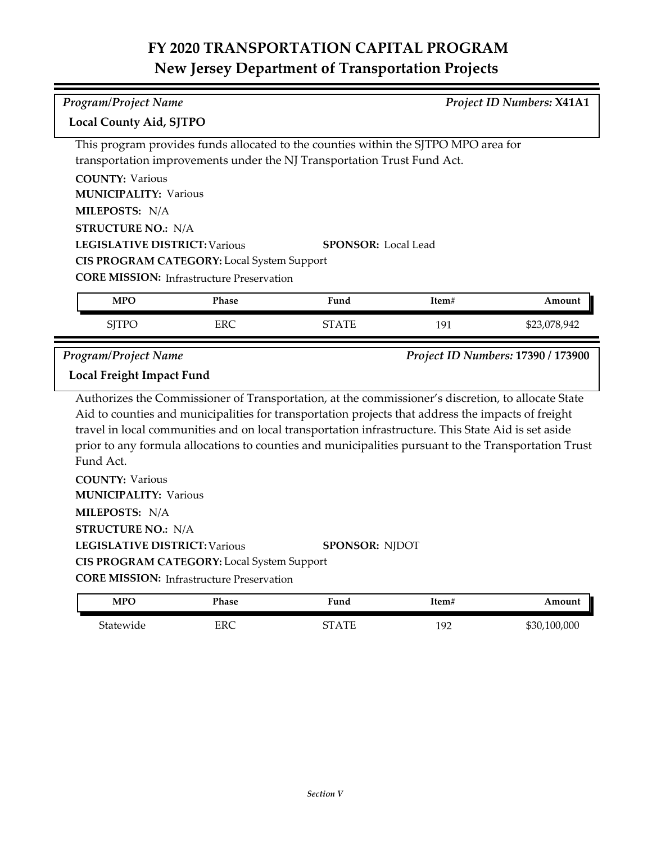|                                                        | Program/Project Name<br>Project ID Numbers: X41A1 |                                                                                                      |       |                                    |
|--------------------------------------------------------|---------------------------------------------------|------------------------------------------------------------------------------------------------------|-------|------------------------------------|
| <b>Local County Aid, SJTPO</b>                         |                                                   |                                                                                                      |       |                                    |
|                                                        |                                                   | This program provides funds allocated to the counties within the SJTPO MPO area for                  |       |                                    |
|                                                        |                                                   | transportation improvements under the NJ Transportation Trust Fund Act.                              |       |                                    |
| <b>COUNTY: Various</b>                                 |                                                   |                                                                                                      |       |                                    |
| <b>MUNICIPALITY: Various</b>                           |                                                   |                                                                                                      |       |                                    |
| MILEPOSTS: N/A                                         |                                                   |                                                                                                      |       |                                    |
| <b>STRUCTURE NO.: N/A</b>                              |                                                   |                                                                                                      |       |                                    |
| <b>LEGISLATIVE DISTRICT: Various</b>                   |                                                   | <b>SPONSOR:</b> Local Lead                                                                           |       |                                    |
|                                                        | CIS PROGRAM CATEGORY: Local System Support        |                                                                                                      |       |                                    |
|                                                        | <b>CORE MISSION:</b> Infrastructure Preservation  |                                                                                                      |       |                                    |
| <b>MPO</b>                                             | <b>Phase</b>                                      | Fund                                                                                                 | Item# | Amount                             |
| <b>SJTPO</b>                                           | <b>ERC</b>                                        | <b>STATE</b>                                                                                         | 191   | \$23,078,942                       |
| <b>Program/Project Name</b>                            |                                                   |                                                                                                      |       | Project ID Numbers: 17390 / 173900 |
| Local Freight Impact Fund                              |                                                   |                                                                                                      |       |                                    |
|                                                        |                                                   |                                                                                                      |       |                                    |
|                                                        |                                                   | Authorizes the Commissioner of Transportation, at the commissioner's discretion, to allocate State   |       |                                    |
|                                                        |                                                   | Aid to counties and municipalities for transportation projects that address the impacts of freight   |       |                                    |
|                                                        |                                                   | travel in local communities and on local transportation infrastructure. This State Aid is set aside  |       |                                    |
| Fund Act.                                              |                                                   | prior to any formula allocations to counties and municipalities pursuant to the Transportation Trust |       |                                    |
|                                                        |                                                   |                                                                                                      |       |                                    |
| <b>COUNTY: Various</b><br><b>MUNICIPALITY: Various</b> |                                                   |                                                                                                      |       |                                    |
| MILEPOSTS: N/A                                         |                                                   |                                                                                                      |       |                                    |
|                                                        |                                                   |                                                                                                      |       |                                    |
| <b>STRUCTURE NO.: N/A</b>                              |                                                   |                                                                                                      |       |                                    |
| <b>LEGISLATIVE DISTRICT: Various</b>                   | CIS PROGRAM CATEGORY: Local System Support        | <b>SPONSOR: NJDOT</b>                                                                                |       |                                    |
|                                                        | <b>CORE MISSION:</b> Infrastructure Preservation  |                                                                                                      |       |                                    |
| <b>MPO</b>                                             | <b>Phase</b>                                      | Fund                                                                                                 | Item# | Amount                             |
| Statewide                                              | ERC                                               | <b>STATE</b>                                                                                         | 192   | \$30,100,000                       |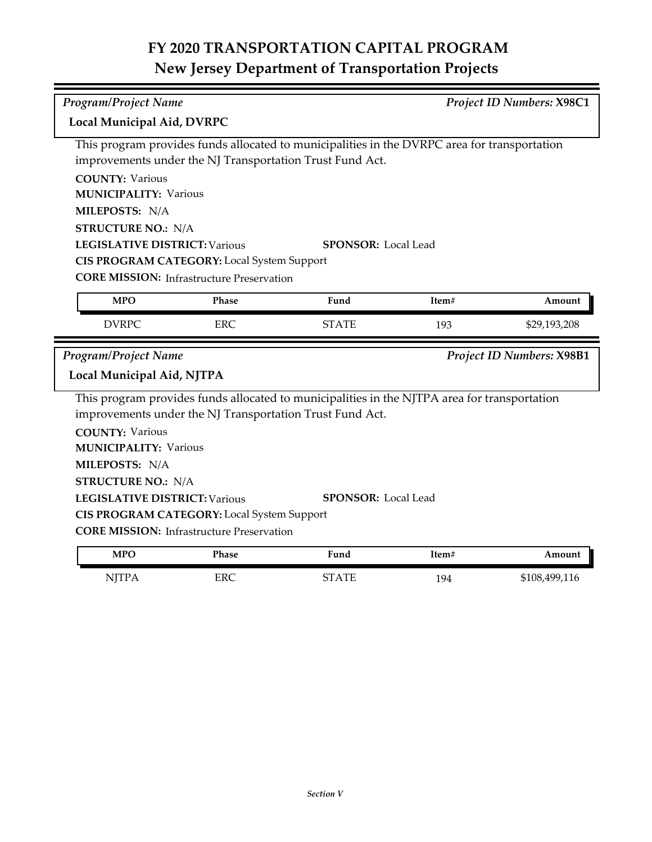| <b>Program/Project Name</b>                    |                                                   |                                                                                                                                                          | <b>Project ID Numbers: X98C1</b> |                           |
|------------------------------------------------|---------------------------------------------------|----------------------------------------------------------------------------------------------------------------------------------------------------------|----------------------------------|---------------------------|
| Local Municipal Aid, DVRPC                     |                                                   |                                                                                                                                                          |                                  |                           |
|                                                |                                                   | This program provides funds allocated to municipalities in the DVRPC area for transportation<br>improvements under the NJ Transportation Trust Fund Act. |                                  |                           |
| <b>COUNTY: Various</b>                         |                                                   |                                                                                                                                                          |                                  |                           |
| <b>MUNICIPALITY: Various</b><br>MILEPOSTS: N/A |                                                   |                                                                                                                                                          |                                  |                           |
| <b>STRUCTURE NO.: N/A</b>                      |                                                   |                                                                                                                                                          |                                  |                           |
| <b>LEGISLATIVE DISTRICT: Various</b>           |                                                   | <b>SPONSOR:</b> Local Lead                                                                                                                               |                                  |                           |
|                                                | CIS PROGRAM CATEGORY: Local System Support        |                                                                                                                                                          |                                  |                           |
|                                                | <b>CORE MISSION:</b> Infrastructure Preservation  |                                                                                                                                                          |                                  |                           |
| <b>MPO</b>                                     | Phase                                             | Fund                                                                                                                                                     | Item#                            | Amount                    |
| <b>DVRPC</b>                                   | <b>ERC</b>                                        | <b>STATE</b>                                                                                                                                             | 193                              | \$29,193,208              |
|                                                |                                                   |                                                                                                                                                          |                                  |                           |
| <b>Program/Project Name</b>                    |                                                   |                                                                                                                                                          |                                  | Project ID Numbers: X98B1 |
| Local Municipal Aid, NJTPA                     |                                                   |                                                                                                                                                          |                                  |                           |
|                                                |                                                   | This program provides funds allocated to municipalities in the NJTPA area for transportation<br>improvements under the NJ Transportation Trust Fund Act. |                                  |                           |
| <b>COUNTY: Various</b>                         |                                                   |                                                                                                                                                          |                                  |                           |
| <b>MUNICIPALITY: Various</b>                   |                                                   |                                                                                                                                                          |                                  |                           |
| MILEPOSTS: N/A                                 |                                                   |                                                                                                                                                          |                                  |                           |
| <b>STRUCTURE NO.: N/A</b>                      |                                                   |                                                                                                                                                          |                                  |                           |
| <b>LEGISLATIVE DISTRICT: Various</b>           |                                                   | <b>SPONSOR: Local Lead</b>                                                                                                                               |                                  |                           |
|                                                | <b>CIS PROGRAM CATEGORY:</b> Local System Support |                                                                                                                                                          |                                  |                           |
|                                                | <b>CORE MISSION:</b> Infrastructure Preservation  |                                                                                                                                                          |                                  |                           |
| <b>MPO</b>                                     | Phase                                             | Fund                                                                                                                                                     | Item#                            | Amount                    |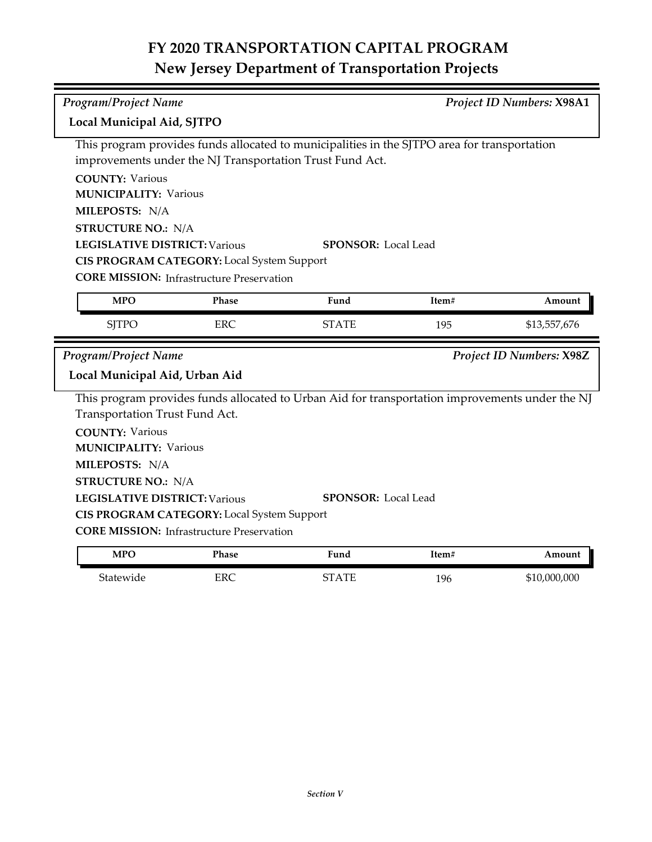| <b>Program/Project Name</b><br>Project ID Numbers: X98A1 |                                                  |                                                                                                 |       |                          |
|----------------------------------------------------------|--------------------------------------------------|-------------------------------------------------------------------------------------------------|-------|--------------------------|
| Local Municipal Aid, SJTPO                               |                                                  |                                                                                                 |       |                          |
|                                                          |                                                  | This program provides funds allocated to municipalities in the SJTPO area for transportation    |       |                          |
|                                                          |                                                  | improvements under the NJ Transportation Trust Fund Act.                                        |       |                          |
| <b>COUNTY: Various</b>                                   |                                                  |                                                                                                 |       |                          |
| <b>MUNICIPALITY: Various</b>                             |                                                  |                                                                                                 |       |                          |
| MILEPOSTS: N/A                                           |                                                  |                                                                                                 |       |                          |
| <b>STRUCTURE NO.: N/A</b>                                |                                                  |                                                                                                 |       |                          |
| <b>LEGISLATIVE DISTRICT: Various</b>                     |                                                  | <b>SPONSOR:</b> Local Lead                                                                      |       |                          |
|                                                          | CIS PROGRAM CATEGORY: Local System Support       |                                                                                                 |       |                          |
|                                                          | <b>CORE MISSION:</b> Infrastructure Preservation |                                                                                                 |       |                          |
| <b>MPO</b>                                               | Phase                                            | Fund                                                                                            | Item# | Amount                   |
| <b>SJTPO</b>                                             | <b>ERC</b>                                       | <b>STATE</b>                                                                                    | 195   | \$13,557,676             |
|                                                          |                                                  |                                                                                                 |       |                          |
| Program/Project Name                                     |                                                  |                                                                                                 |       | Project ID Numbers: X98Z |
| Local Municipal Aid, Urban Aid                           |                                                  |                                                                                                 |       |                          |
|                                                          |                                                  | This program provides funds allocated to Urban Aid for transportation improvements under the NJ |       |                          |
| Transportation Trust Fund Act.                           |                                                  |                                                                                                 |       |                          |
| <b>COUNTY: Various</b>                                   |                                                  |                                                                                                 |       |                          |
| <b>MUNICIPALITY: Various</b>                             |                                                  |                                                                                                 |       |                          |
| MILEPOSTS: N/A                                           |                                                  |                                                                                                 |       |                          |
| <b>STRUCTURE NO.: N/A</b>                                |                                                  |                                                                                                 |       |                          |
| <b>LEGISLATIVE DISTRICT: Various</b>                     |                                                  | <b>SPONSOR: Local Lead</b>                                                                      |       |                          |
|                                                          | CIS PROGRAM CATEGORY: Local System Support       |                                                                                                 |       |                          |
|                                                          | <b>CORE MISSION:</b> Infrastructure Preservation |                                                                                                 |       |                          |
| <b>MPO</b>                                               | Phase                                            | Fund                                                                                            | Item# | Amount                   |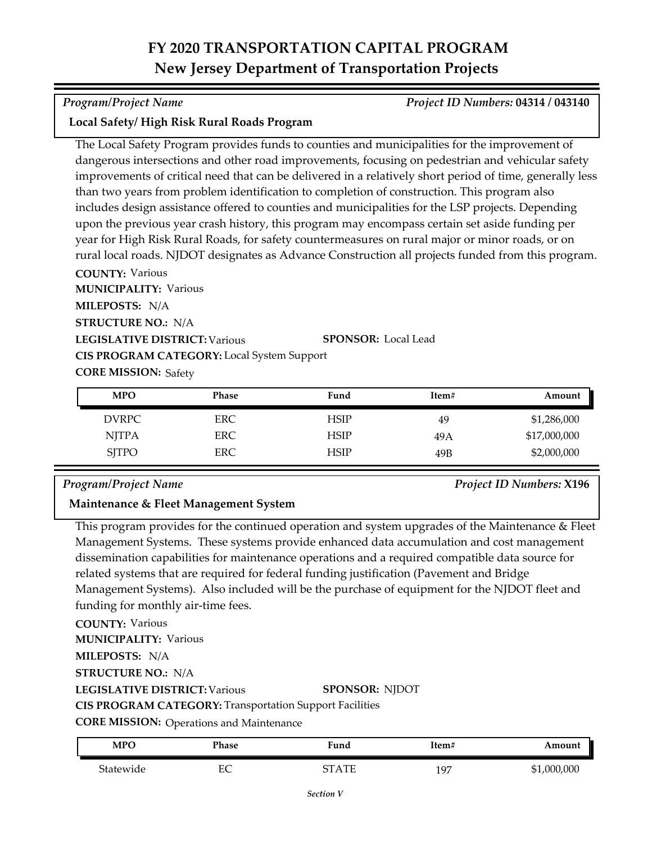### *Program/Project Name Project ID Numbers:* **04314 / 043140**

## **Local Safety/ High Risk Rural Roads Program**

The Local Safety Program provides funds to counties and municipalities for the improvement of dangerous intersections and other road improvements, focusing on pedestrian and vehicular safety improvements of critical need that can be delivered in a relatively short period of time, generally less than two years from problem identification to completion of construction. This program also includes design assistance offered to counties and municipalities for the LSP projects. Depending upon the previous year crash history, this program may encompass certain set aside funding per year for High Risk Rural Roads, for safety countermeasures on rural major or minor roads, or on rural local roads. NJDOT designates as Advance Construction all projects funded from this program.

**COUNTY:** Various **LEGISLATIVE DISTRICT:** Various **MILEPOSTS:** N/A **STRUCTURE NO.:** N/A **MUNICIPALITY: Various CORE MISSION: Safety SPONSOR:** Local Lead **CIS PROGRAM CATEGORY:** Local System Support

| <b>MPO</b>   | Phase      | Fund        | Item# | Amount       |
|--------------|------------|-------------|-------|--------------|
| DVRPC.       | <b>ERC</b> | <b>HSIP</b> | 49    | \$1,286,000  |
| <b>NJTPA</b> | ERC.       | <b>HSIP</b> | 49 A  | \$17,000,000 |
| <b>SITPO</b> | ERC        | <b>HSIP</b> | 49B   | \$2,000,000  |

### *Program/Project Name Project ID Numbers:* **X196**

## **Maintenance & Fleet Management System**

This program provides for the continued operation and system upgrades of the Maintenance & Fleet Management Systems. These systems provide enhanced data accumulation and cost management dissemination capabilities for maintenance operations and a required compatible data source for related systems that are required for federal funding justification (Pavement and Bridge Management Systems). Also included will be the purchase of equipment for the NJDOT fleet and funding for monthly air-time fees.

**COUNTY:** Various **LEGISLATIVE DISTRICT:** Various **MILEPOSTS:** N/A **STRUCTURE NO.:** N/A **MUNICIPALITY: Various CORE MISSION:** Operations and Maintenance **SPONSOR:** NJDOT **CIS PROGRAM CATEGORY:** Transportation Support Facilities

| <b>MPC</b> | Phase  | $T$ una   | Ttem#           | moun)      |
|------------|--------|-----------|-----------------|------------|
| Statewide  | ᠇<br>∽ | ATE<br>ст | 197<br><b>1</b> | 1,000,000; |

*Section V*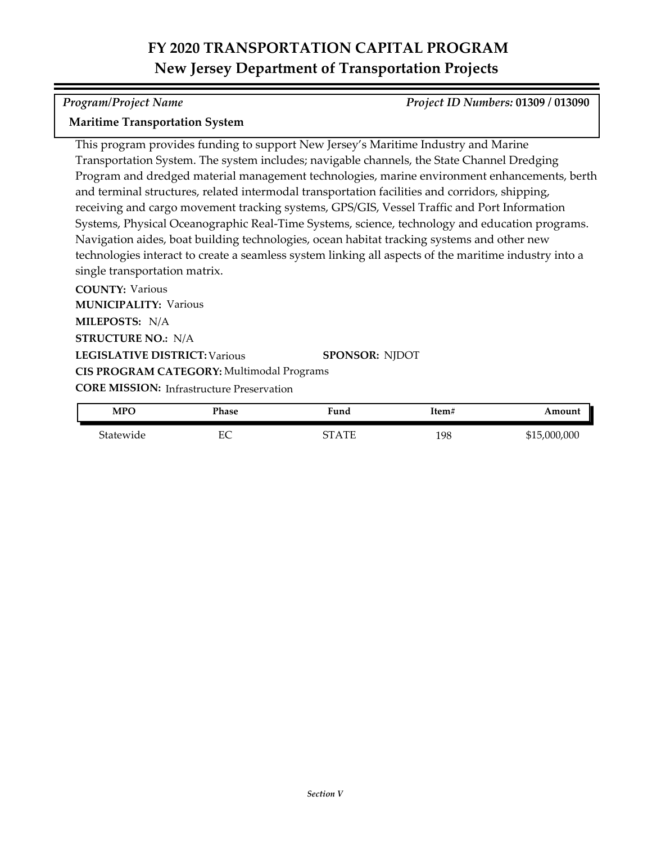### *Program/Project Name Project ID Numbers:* **01309 / 013090**

### **Maritime Transportation System**

This program provides funding to support New Jersey's Maritime Industry and Marine Transportation System. The system includes; navigable channels, the State Channel Dredging Program and dredged material management technologies, marine environment enhancements, berth and terminal structures, related intermodal transportation facilities and corridors, shipping, receiving and cargo movement tracking systems, GPS/GIS, Vessel Traffic and Port Information Systems, Physical Oceanographic Real-Time Systems, science, technology and education programs. Navigation aides, boat building technologies, ocean habitat tracking systems and other new technologies interact to create a seamless system linking all aspects of the maritime industry into a single transportation matrix.

**COUNTY:** Various **LEGISLATIVE DISTRICT:** Various **MILEPOSTS:** N/A **STRUCTURE NO.:** N/A **MUNICIPALITY: Various CORE MISSION: Infrastructure Preservation SPONSOR:** NJDOT **CIS PROGRAM CATEGORY:** Multimodal Programs

| <b>MPO</b> | Phase | Fund       | Item# | Amount       |
|------------|-------|------------|-------|--------------|
| Statewide  | EС    | ΆTF<br>7т. | 198   | \$15,000,000 |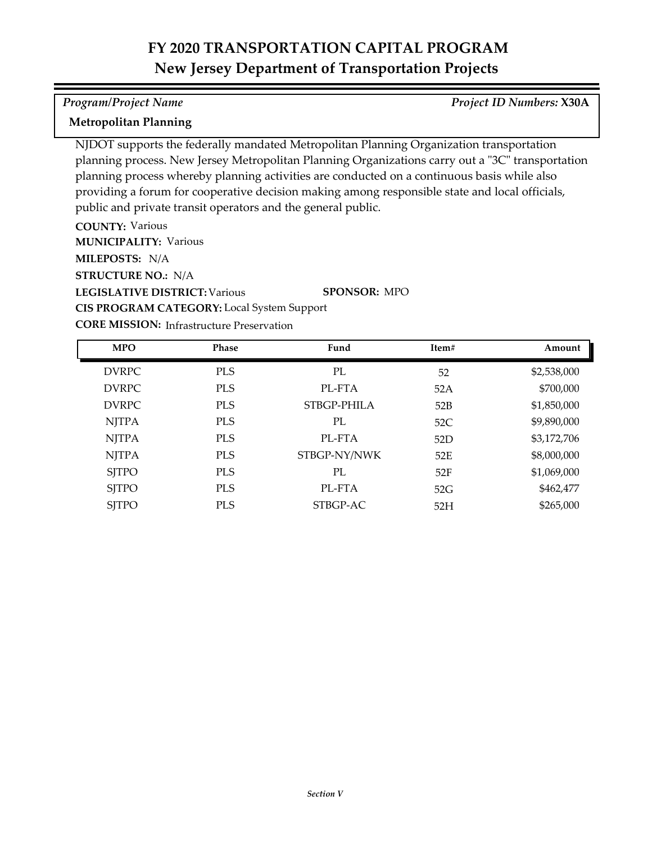### *Program/Project Name Project ID Numbers:* **X30A**

## **Metropolitan Planning**

NJDOT supports the federally mandated Metropolitan Planning Organization transportation planning process. New Jersey Metropolitan Planning Organizations carry out a "3C" transportation planning process whereby planning activities are conducted on a continuous basis while also providing a forum for cooperative decision making among responsible state and local officials, public and private transit operators and the general public.

**COUNTY:** Various

**MUNICIPALITY: Various** 

**MILEPOSTS:** N/A

**STRUCTURE NO.:** N/A

**LEGISLATIVE DISTRICT:** Various

**CIS PROGRAM CATEGORY:** Local System Support

**SPONSOR:** MPO

**CORE MISSION: Infrastructure Preservation** 

| <b>MPO</b>   | Phase      | Fund         | Item# | Amount      |
|--------------|------------|--------------|-------|-------------|
| <b>DVRPC</b> | <b>PLS</b> | PL           | 52    | \$2,538,000 |
| <b>DVRPC</b> | <b>PLS</b> | PL-FTA       | 52A   | \$700,000   |
| <b>DVRPC</b> | <b>PLS</b> | STBGP-PHILA  | 52B   | \$1,850,000 |
| <b>NJTPA</b> | <b>PLS</b> | PL           | 52C   | \$9,890,000 |
| <b>NJTPA</b> | <b>PLS</b> | PL-FTA       | 52D   | \$3,172,706 |
| <b>NJTPA</b> | <b>PLS</b> | STBGP-NY/NWK | 52E   | \$8,000,000 |
| <b>SJTPO</b> | <b>PLS</b> | PL           | 52F   | \$1,069,000 |
| <b>SJTPO</b> | <b>PLS</b> | PL-FTA       | 52G   | \$462,477   |
| <b>SJTPO</b> | <b>PLS</b> | STBGP-AC     | 52H   | \$265,000   |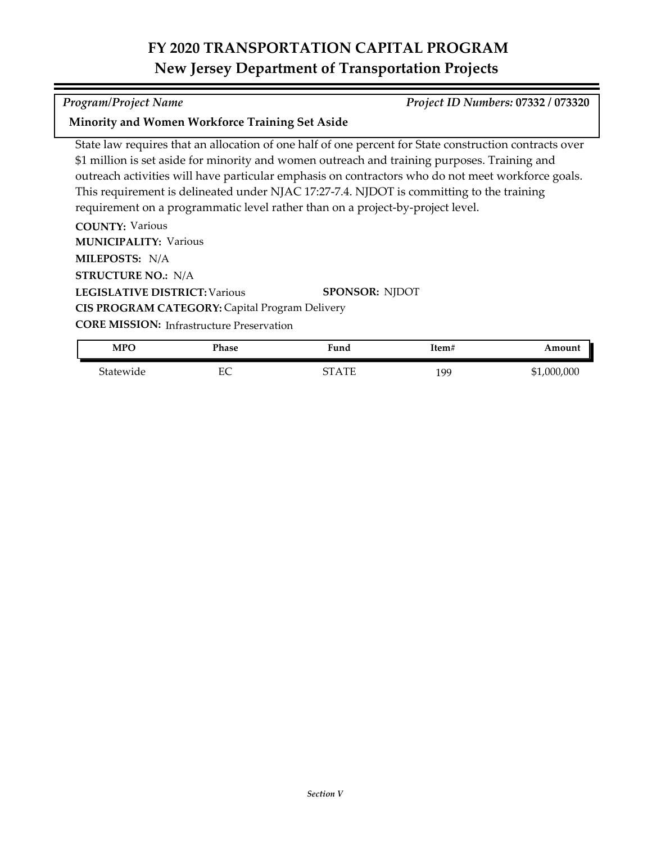#### *Program/Project Name Project ID Numbers:* **07332 / 073320**

### **Minority and Women Workforce Training Set Aside**

State law requires that an allocation of one half of one percent for State construction contracts over \$1 million is set aside for minority and women outreach and training purposes. Training and outreach activities will have particular emphasis on contractors who do not meet workforce goals. This requirement is delineated under NJAC 17:27-7.4. NJDOT is committing to the training requirement on a programmatic level rather than on a project-by-project level.

**COUNTY:** Various **LEGISLATIVE DISTRICT:** Various **MILEPOSTS:** N/A **STRUCTURE NO.:** N/A **MUNICIPALITY: Various SPONSOR:** NJDOT **CIS PROGRAM CATEGORY:** Capital Program Delivery

**CORE MISSION: Infrastructure Preservation** 

| <b>MPO</b> | Phase | Fund  | item# | Amount          |
|------------|-------|-------|-------|-----------------|
| 5tatewide  | EС    | 3TATE | 199   | ,000,000<br>\$1 |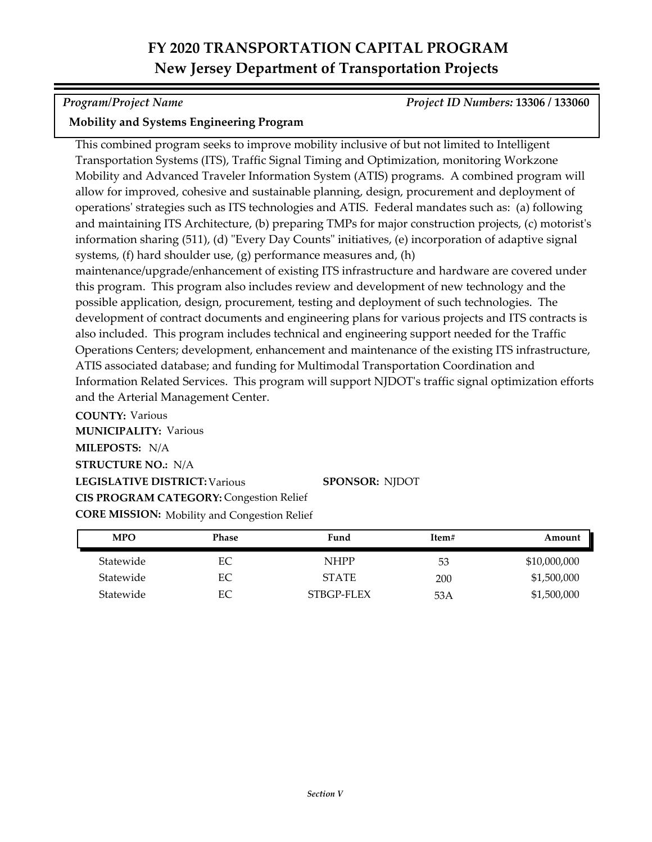*Program/Project Name Project ID Numbers:* **13306 / 133060**

## **Mobility and Systems Engineering Program**

and the Arterial Management Center.

This combined program seeks to improve mobility inclusive of but not limited to Intelligent Transportation Systems (ITS), Traffic Signal Timing and Optimization, monitoring Workzone Mobility and Advanced Traveler Information System (ATIS) programs. A combined program will allow for improved, cohesive and sustainable planning, design, procurement and deployment of operations' strategies such as ITS technologies and ATIS. Federal mandates such as: (a) following and maintaining ITS Architecture, (b) preparing TMPs for major construction projects, (c) motorist's information sharing (511), (d) "Every Day Counts" initiatives, (e) incorporation of adaptive signal systems, (f) hard shoulder use, (g) performance measures and, (h) maintenance/upgrade/enhancement of existing ITS infrastructure and hardware are covered under this program. This program also includes review and development of new technology and the possible application, design, procurement, testing and deployment of such technologies. The development of contract documents and engineering plans for various projects and ITS contracts is also included. This program includes technical and engineering support needed for the Traffic Operations Centers; development, enhancement and maintenance of the existing ITS infrastructure, ATIS associated database; and funding for Multimodal Transportation Coordination and Information Related Services. This program will support NJDOT's traffic signal optimization efforts

**COUNTY:** Various **LEGISLATIVE DISTRICT:** Various **MILEPOSTS:** N/A **STRUCTURE NO.:** N/A **MUNICIPALITY: Various CORE MISSION:** Mobility and Congestion Relief **SPONSOR:** NJDOT **CIS PROGRAM CATEGORY:** Congestion Relief

| <b>MPO</b> | <b>Phase</b> | Fund         | Item# | Amount       |
|------------|--------------|--------------|-------|--------------|
| Statewide  | EС           | <b>NHPP</b>  | 53    | \$10,000,000 |
| Statewide  | EС           | <b>STATE</b> | 200   | \$1,500,000  |
| Statewide  | EС           | STBGP-FLEX   | 53A   | \$1,500,000  |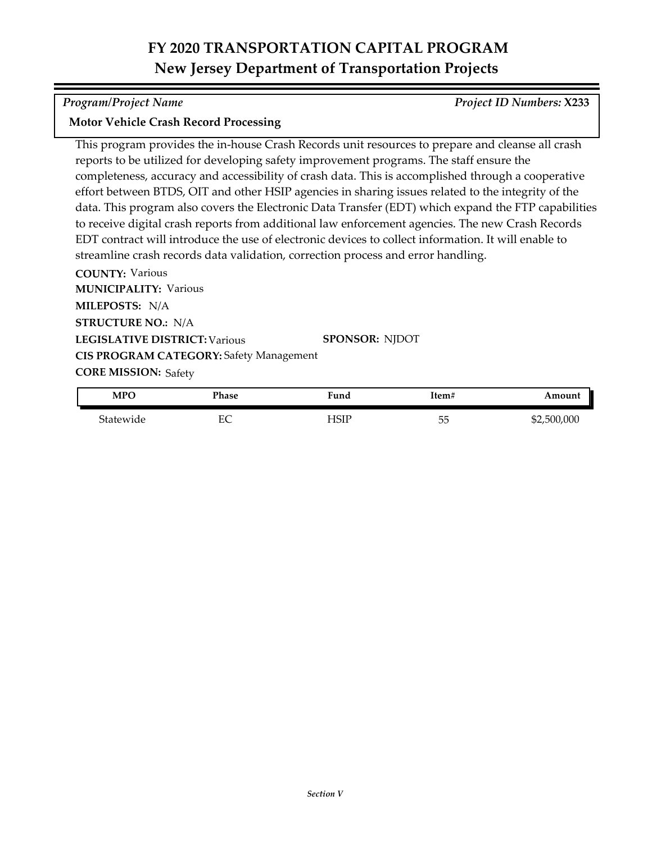*Program/Project Name Project ID Numbers:* **X233**

### **Motor Vehicle Crash Record Processing**

This program provides the in-house Crash Records unit resources to prepare and cleanse all crash reports to be utilized for developing safety improvement programs. The staff ensure the completeness, accuracy and accessibility of crash data. This is accomplished through a cooperative effort between BTDS, OIT and other HSIP agencies in sharing issues related to the integrity of the data. This program also covers the Electronic Data Transfer (EDT) which expand the FTP capabilities to receive digital crash reports from additional law enforcement agencies. The new Crash Records EDT contract will introduce the use of electronic devices to collect information. It will enable to streamline crash records data validation, correction process and error handling.

**COUNTY:** Various **LEGISLATIVE DISTRICT:** Various **MILEPOSTS:** N/A **STRUCTURE NO.:** N/A **MUNICIPALITY: Various CORE MISSION: Safety SPONSOR:** NJDOT **CIS PROGRAM CATEGORY:** Safety Management

| <b>MPO</b> | Phase | Fund  | Item#                        | Amount      |
|------------|-------|-------|------------------------------|-------------|
| Statewide  | EС    | -ISIP | $- -$<br>$\sim$ $\sim$<br>しこ | \$2,500,000 |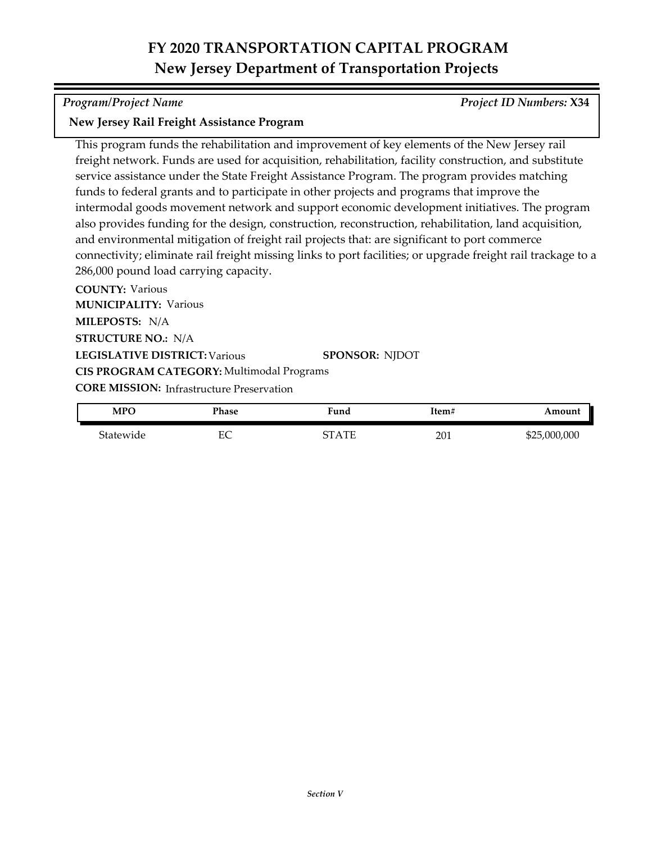*Program/Project Name Project ID Numbers:* **X34**

### **New Jersey Rail Freight Assistance Program**

This program funds the rehabilitation and improvement of key elements of the New Jersey rail freight network. Funds are used for acquisition, rehabilitation, facility construction, and substitute service assistance under the State Freight Assistance Program. The program provides matching funds to federal grants and to participate in other projects and programs that improve the intermodal goods movement network and support economic development initiatives. The program also provides funding for the design, construction, reconstruction, rehabilitation, land acquisition, and environmental mitigation of freight rail projects that: are significant to port commerce connectivity; eliminate rail freight missing links to port facilities; or upgrade freight rail trackage to a 286,000 pound load carrying capacity.

**COUNTY:** Various **LEGISLATIVE DISTRICT:** Various **MILEPOSTS:** N/A **STRUCTURE NO.:** N/A **MUNICIPALITY: Various CORE MISSION: Infrastructure Preservation SPONSOR:** NJDOT **CIS PROGRAM CATEGORY:** Multimodal Programs

| <b>MPO</b> | Phase | Fund                      | Item# | Amount       |
|------------|-------|---------------------------|-------|--------------|
| Statewide  | EС    | $\Delta \text{TE}$<br>7т. | 201   | \$25,000,000 |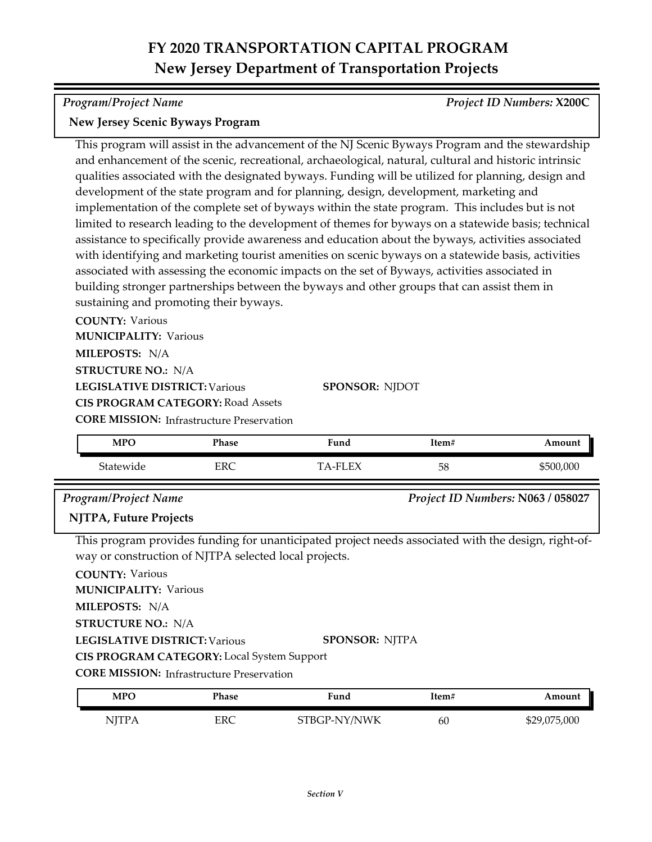*Program/Project Name Project ID Numbers:* **X200C**

### **New Jersey Scenic Byways Program**

This program will assist in the advancement of the NJ Scenic Byways Program and the stewardship and enhancement of the scenic, recreational, archaeological, natural, cultural and historic intrinsic qualities associated with the designated byways. Funding will be utilized for planning, design and development of the state program and for planning, design, development, marketing and implementation of the complete set of byways within the state program. This includes but is not limited to research leading to the development of themes for byways on a statewide basis; technical assistance to specifically provide awareness and education about the byways, activities associated with identifying and marketing tourist amenities on scenic byways on a statewide basis, activities associated with assessing the economic impacts on the set of Byways, activities associated in building stronger partnerships between the byways and other groups that can assist them in sustaining and promoting their byways.

**COUNTY:** Various **MUNICIPALITY: Various** 

**MILEPOSTS:** N/A

**STRUCTURE NO.:** N/A

**LEGISLATIVE DISTRICT:** Various

**CIS PROGRAM CATEGORY:** Road Assets

**CORE MISSION:** Infrastructure Preservation

| <b>MPO</b> | <b>Phase</b> | Fund                  | Item# | Amount    |
|------------|--------------|-----------------------|-------|-----------|
| Statewide  | <b>ERC</b>   | FУ<br>$\_$ FI $\cdot$ | 58    | \$500,000 |

**SPONSOR:** NJDOT

### *Program/Project Name Project ID Numbers:* **N063 / 058027**

## **NJTPA, Future Projects**

This program provides funding for unanticipated project needs associated with the design, right‐of‐ way or construction of NJTPA selected local projects.

**COUNTY:** Various

**MUNICIPALITY: Various** 

**MILEPOSTS:** N/A

**STRUCTURE NO.:** N/A

**LEGISLATIVE DISTRICT:** Various **SPONSOR:** NJTPA

**CIS PROGRAM CATEGORY:** Local System Support

**CORE MISSION:** Infrastructure Preservation

| MPO    | Phase | Fund         | Item# | Amount       |
|--------|-------|--------------|-------|--------------|
| NITP A | ERC   | STBGP-NY/NWK | 60    | \$29,075,000 |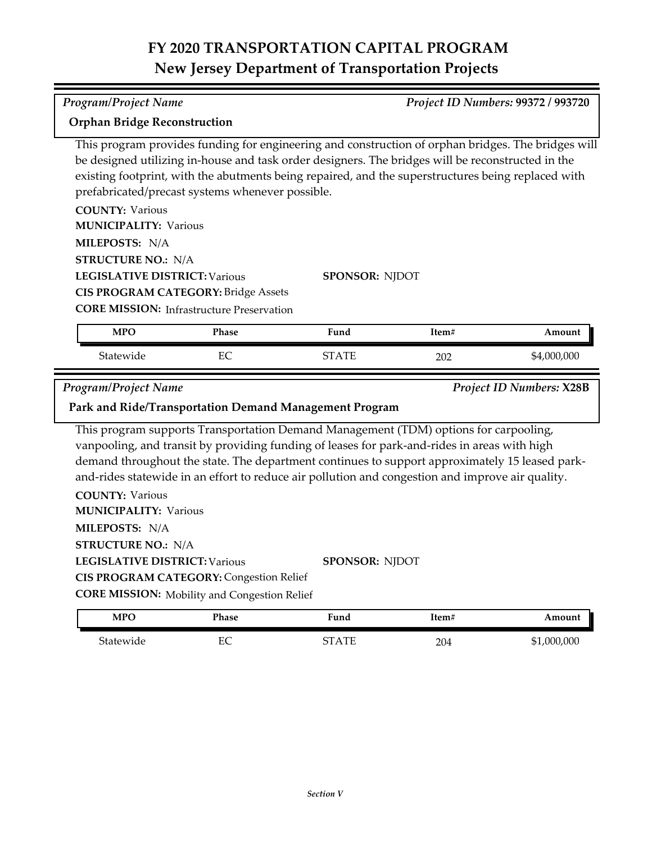*Program/Project Name Project ID Numbers:* **99372 / 993720**

| <b>Orphan Bridge Reconstruction</b>  |                                                     |                                                                                                                                                                                                                                                                                                               |       |                                 |
|--------------------------------------|-----------------------------------------------------|---------------------------------------------------------------------------------------------------------------------------------------------------------------------------------------------------------------------------------------------------------------------------------------------------------------|-------|---------------------------------|
|                                      | prefabricated/precast systems whenever possible.    | This program provides funding for engineering and construction of orphan bridges. The bridges will<br>be designed utilizing in-house and task order designers. The bridges will be reconstructed in the<br>existing footprint, with the abutments being repaired, and the superstructures being replaced with |       |                                 |
| <b>COUNTY: Various</b>               |                                                     |                                                                                                                                                                                                                                                                                                               |       |                                 |
| <b>MUNICIPALITY: Various</b>         |                                                     |                                                                                                                                                                                                                                                                                                               |       |                                 |
| MILEPOSTS: N/A                       |                                                     |                                                                                                                                                                                                                                                                                                               |       |                                 |
| <b>STRUCTURE NO.: N/A</b>            |                                                     |                                                                                                                                                                                                                                                                                                               |       |                                 |
| <b>LEGISLATIVE DISTRICT: Various</b> |                                                     | <b>SPONSOR: NJDOT</b>                                                                                                                                                                                                                                                                                         |       |                                 |
|                                      | <b>CIS PROGRAM CATEGORY: Bridge Assets</b>          |                                                                                                                                                                                                                                                                                                               |       |                                 |
|                                      | <b>CORE MISSION: Infrastructure Preservation</b>    |                                                                                                                                                                                                                                                                                                               |       |                                 |
| <b>MPO</b>                           | Phase                                               | Fund                                                                                                                                                                                                                                                                                                          | Item# | Amount                          |
| Statewide                            | EC                                                  | <b>STATE</b>                                                                                                                                                                                                                                                                                                  | 202   | \$4,000,000                     |
|                                      |                                                     |                                                                                                                                                                                                                                                                                                               |       |                                 |
|                                      |                                                     |                                                                                                                                                                                                                                                                                                               |       | <b>Project ID Numbers: X28B</b> |
| <b>Program/Project Name</b>          |                                                     | Park and Ride/Transportation Demand Management Program                                                                                                                                                                                                                                                        |       |                                 |
|                                      |                                                     | This program supports Transportation Demand Management (TDM) options for carpooling,<br>vanpooling, and transit by providing funding of leases for park-and-rides in areas with high<br>demand throughout the state. The department continues to support approximately 15 leased park-                        |       |                                 |
| <b>COUNTY: Various</b>               |                                                     | and-rides statewide in an effort to reduce air pollution and congestion and improve air quality.                                                                                                                                                                                                              |       |                                 |
| <b>MUNICIPALITY: Various</b>         |                                                     |                                                                                                                                                                                                                                                                                                               |       |                                 |
| MILEPOSTS: N/A                       |                                                     |                                                                                                                                                                                                                                                                                                               |       |                                 |
| <b>STRUCTURE NO.: N/A</b>            |                                                     |                                                                                                                                                                                                                                                                                                               |       |                                 |
| <b>LEGISLATIVE DISTRICT: Various</b> |                                                     | <b>SPONSOR: NJDOT</b>                                                                                                                                                                                                                                                                                         |       |                                 |
|                                      | <b>CIS PROGRAM CATEGORY: Congestion Relief</b>      |                                                                                                                                                                                                                                                                                                               |       |                                 |
|                                      | <b>CORE MISSION:</b> Mobility and Congestion Relief |                                                                                                                                                                                                                                                                                                               |       |                                 |
| <b>MPO</b>                           | Phase                                               | Fund                                                                                                                                                                                                                                                                                                          | Item# | Amount                          |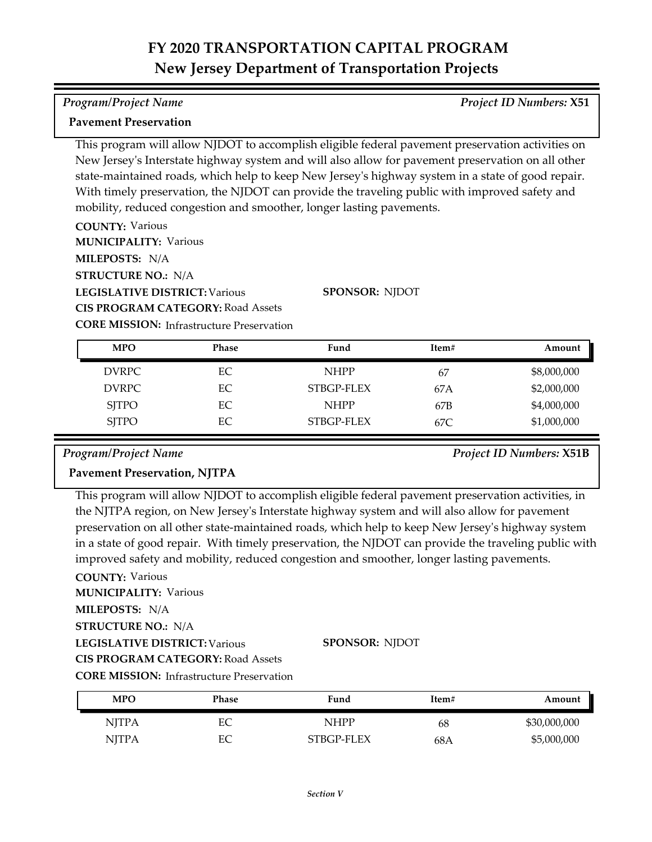#### *Program/Project Name Project ID Numbers:* **X51**

### **Pavement Preservation**

This program will allow NJDOT to accomplish eligible federal pavement preservation activities on New Jersey's Interstate highway system and will also allow for pavement preservation on all other state-maintained roads, which help to keep New Jersey's highway system in a state of good repair. With timely preservation, the NJDOT can provide the traveling public with improved safety and mobility, reduced congestion and smoother, longer lasting pavements.

**COUNTY:** Various **MUNICIPALITY: Various** 

**MILEPOSTS:** N/A

**STRUCTURE NO.:** N/A

**LEGISLATIVE DISTRICT:** Various

**CIS PROGRAM CATEGORY:** Road Assets

**SPONSOR:** NJDOT

**CORE MISSION: Infrastructure Preservation** 

| <b>MPO</b>   | <b>Phase</b> | Fund        | Item# | Amount      |
|--------------|--------------|-------------|-------|-------------|
| DVRPC        | EC           | <b>NHPP</b> | 67    | \$8,000,000 |
| <b>DVRPC</b> | EC           | STBGP-FLEX  | 67A   | \$2,000,000 |
| <b>SJTPO</b> | EС           | <b>NHPP</b> | 67B   | \$4,000,000 |
| <b>SJTPO</b> | EС           | STBGP-FLEX  | 67C.  | \$1,000,000 |

*Program/Project Name Project ID Numbers:* **X51B**

## **Pavement Preservation, NJTPA**

This program will allow NJDOT to accomplish eligible federal pavement preservation activities, in the NJTPA region, on New Jersey's Interstate highway system and will also allow for pavement preservation on all other state-maintained roads, which help to keep New Jersey's highway system in a state of good repair. With timely preservation, the NJDOT can provide the traveling public with improved safety and mobility, reduced congestion and smoother, longer lasting pavements.

**COUNTY:** Various

**MILEPOSTS:** N/A **MUNICIPALITY: Various** 

**STRUCTURE NO.:** N/A

**LEGISLATIVE DISTRICT:** Various

**SPONSOR:** NJDOT

**CIS PROGRAM CATEGORY:** Road Assets

**CORE MISSION: Infrastructure Preservation** 

| <b>MPO</b>   | Phase | Fund        | Item# | Amount       |
|--------------|-------|-------------|-------|--------------|
| <b>NJTPA</b> | EС    | <b>NHPP</b> | 68    | \$30,000,000 |
| <b>NJTPA</b> | EС    | STBGP-FLEX  | 68A   | \$5,000,000  |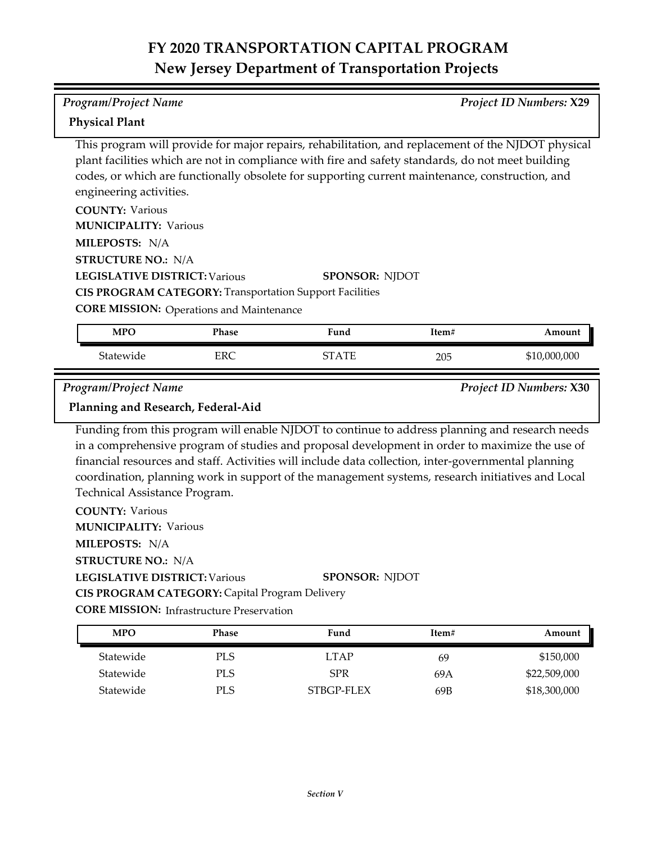#### *Program/Project Name Project ID Numbers:* **X29**

### **Physical Plant**

This program will provide for major repairs, rehabilitation, and replacement of the NJDOT physical plant facilities which are not in compliance with fire and safety standards, do not meet building codes, or which are functionally obsolete for supporting current maintenance, construction, and engineering activities.

| <b>COUNTY: Various</b>                                         |                       |
|----------------------------------------------------------------|-----------------------|
| <b>MUNICIPALITY: Various</b>                                   |                       |
| <b>MILEPOSTS: N/A</b>                                          |                       |
| <b>STRUCTURE NO.: N/A</b>                                      |                       |
| <b>LEGISLATIVE DISTRICT: Various</b>                           | <b>SPONSOR: NIDOT</b> |
| <b>CIS PROGRAM CATEGORY: Transportation Support Facilities</b> |                       |

**CORE MISSION: Operations and Maintenance** 

| <b>MPO</b> | <b>Phase</b> | $\blacksquare$<br>Fund | Item# | Amount       |
|------------|--------------|------------------------|-------|--------------|
| Statewide  | ERC          | $_{\rm ATE}$<br>חדיר   | 205   | \$10,000,000 |

*Program/Project Name Project ID Numbers:* **X30**

## **Planning and Research, Federal-Aid**

Funding from this program will enable NJDOT to continue to address planning and research needs in a comprehensive program of studies and proposal development in order to maximize the use of financial resources and staff. Activities will include data collection, inter‐governmental planning coordination, planning work in support of the management systems, research initiatives and Local Technical Assistance Program.

**COUNTY:** Various **LEGISLATIVE DISTRICT:** Various **MILEPOSTS:** N/A **STRUCTURE NO.:** N/A **MUNICIPALITY: Various CORE MISSION: Infrastructure Preservation SPONSOR:** NJDOT **CIS PROGRAM CATEGORY:** Capital Program Delivery

Statewide PLS LTAP 69 \$150,000 Statewide PLS SPR 69A \$22,509,000 Statewide PLS STBGP-FLEX 69B \$18,300,000 **MPO Phase Fund Item# Amount**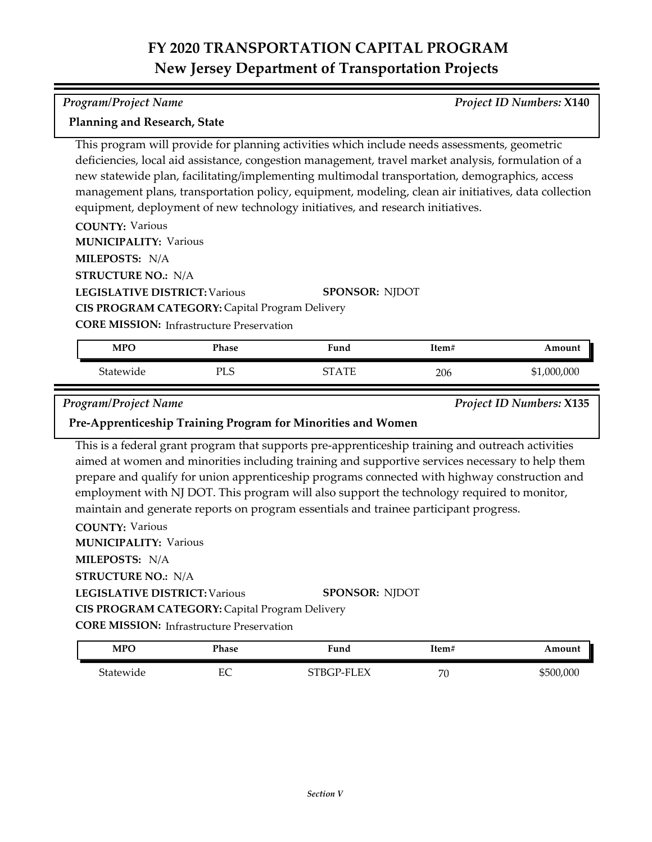#### *Program/Project Name Project ID Numbers:* **X140**

### **Planning and Research, State**

This program will provide for planning activities which include needs assessments, geometric deficiencies, local aid assistance, congestion management, travel market analysis, formulation of a new statewide plan, facilitating/implementing multimodal transportation, demographics, access management plans, transportation policy, equipment, modeling, clean air initiatives, data collection equipment, deployment of new technology initiatives, and research initiatives.

**COUNTY:** Various

**MUNICIPALITY: Various** 

**MILEPOSTS:** N/A

**STRUCTURE NO.:** N/A

**LEGISLATIVE DISTRICT:** Various **CIS PROGRAM CATEGORY:** Capital Program Delivery

**SPONSOR:** NJDOT

**CORE MISSION: Infrastructure Preservation** 

| <b>MPO</b> | Phase | Fund         | Item# | Amount      |
|------------|-------|--------------|-------|-------------|
| Statewide  | PL    | $\Lambda$ TI | 206   | \$1,000,000 |

*Program/Project Name Project ID Numbers:* **X135**

### **Pre-Apprenticeship Training Program for Minorities and Women**

This is a federal grant program that supports pre-apprenticeship training and outreach activities aimed at women and minorities including training and supportive services necessary to help them prepare and qualify for union apprenticeship programs connected with highway construction and employment with NJ DOT. This program will also support the technology required to monitor, maintain and generate reports on program essentials and trainee participant progress.

**COUNTY:** Various **LEGISLATIVE DISTRICT:** Various **MILEPOSTS:** N/A **STRUCTURE NO.:** N/A **MUNICIPALITY: Various CORE MISSION:** Infrastructure Preservation **SPONSOR:** NJDOT **CIS PROGRAM CATEGORY:** Capital Program Delivery

| <b>MPO</b> | Phase    | Fund       | ltem#   | Amount    |
|------------|----------|------------|---------|-----------|
| Statewide  | EС<br>ĽC | STBGP-FLEX | 70<br>U | \$500,000 |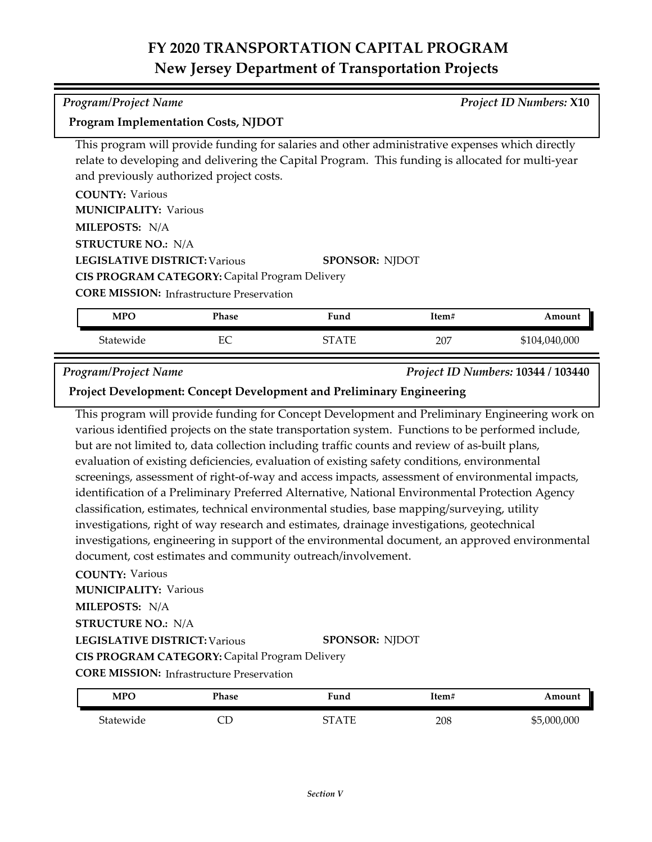| Program/Project Name | <b>Project ID Numbers: X10</b> |
|----------------------|--------------------------------|

### **Program Implementation Costs, NJDOT**

This program will provide funding for salaries and other administrative expenses which directly relate to developing and delivering the Capital Program. This funding is allocated for multi-year and previously authorized project costs.

| <b>COUNTY: Various</b>                           |                       |
|--------------------------------------------------|-----------------------|
| <b>MUNICIPALITY: Various</b>                     |                       |
| <b>MILEPOSTS: N/A</b>                            |                       |
| <b>STRUCTURE NO.: N/A</b>                        |                       |
| <b>LEGISLATIVE DISTRICT: Various</b>             | <b>SPONSOR: NJDOT</b> |
| CIS PROGRAM CATEGORY: Capital Program Delivery   |                       |
| <b>CORE MISSION:</b> Infrastructure Preservation |                       |

| <b>MPO</b> | Phase  | $\blacksquare$<br>Fund | Item# | Amount            |
|------------|--------|------------------------|-------|-------------------|
| Statewide  | ᠇<br>◡ | <b>TUT</b><br>∼∼       | 207   | 104,040,000<br>J. |

#### *Program/Project Name Project ID Numbers:* **10344 / 103440**

**Project Development: Concept Development and Preliminary Engineering**

This program will provide funding for Concept Development and Preliminary Engineering work on various identified projects on the state transportation system. Functions to be performed include, but are not limited to, data collection including traffic counts and review of as-built plans, evaluation of existing deficiencies, evaluation of existing safety conditions, environmental screenings, assessment of right-of-way and access impacts, assessment of environmental impacts, identification of a Preliminary Preferred Alternative, National Environmental Protection Agency classification, estimates, technical environmental studies, base mapping/surveying, utility investigations, right of way research and estimates, drainage investigations, geotechnical investigations, engineering in support of the environmental document, an approved environmental document, cost estimates and community outreach/involvement.

### **COUNTY:** Various

**LEGISLATIVE DISTRICT:** Various **MILEPOSTS:** N/A **STRUCTURE NO.:** N/A **MUNICIPALITY: Various SPONSOR:** NJDOT **CIS PROGRAM CATEGORY:** Capital Program Delivery

**CORE MISSION:** Infrastructure Preservation

| <b>MPO</b> | Phase | <b>Fund</b> | Item# | Amount               |
|------------|-------|-------------|-------|----------------------|
| Statewide  |       | STATF       | 208   | ,000,000<br>ፍ5<br>ФC |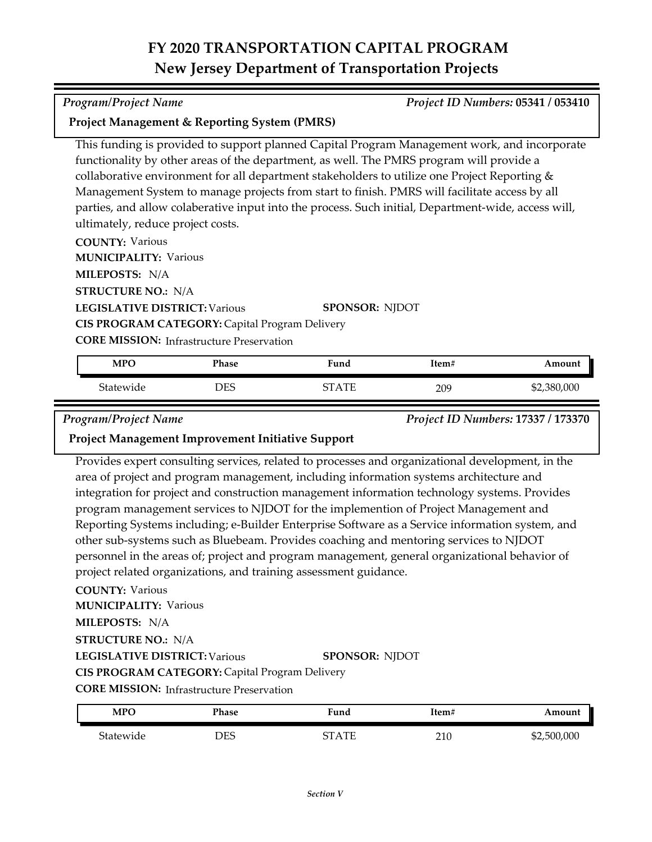| Project Management & Reporting System (PMRS) |
|----------------------------------------------|
|----------------------------------------------|

This funding is provided to support planned Capital Program Management work, and incorporate functionality by other areas of the department, as well. The PMRS program will provide a collaborative environment for all department stakeholders to utilize one Project Reporting & Management System to manage projects from start to finish. PMRS will facilitate access by all parties, and allow colaberative input into the process. Such initial, Department-wide, access will, ultimately, reduce project costs.

**COUNTY:** Various

**MUNICIPALITY: Various** 

**MILEPOSTS:** N/A

**STRUCTURE NO.:** N/A

**LEGISLATIVE DISTRICT:** Various

**SPONSOR:** NJDOT

**CIS PROGRAM CATEGORY:** Capital Program Delivery

**CORE MISSION:** Infrastructure Preservation

| <b>MPO</b> | Phase | iund         | Item# | Amount      |
|------------|-------|--------------|-------|-------------|
| Statewide  | DES   | $\Lambda$ TE | 209   | \$2,380,000 |

*Program/Project Name Project ID Numbers:* **17337 / 173370**

## **Project Management Improvement Initiative Support**

Provides expert consulting services, related to processes and organizational development, in the area of project and program management, including information systems architecture and integration for project and construction management information technology systems. Provides program management services to NJDOT for the implemention of Project Management and Reporting Systems including; e-Builder Enterprise Software as a Service information system, and other sub-systems such as Bluebeam. Provides coaching and mentoring services to NJDOT personnel in the areas of; project and program management, general organizational behavior of project related organizations, and training assessment guidance.

## **COUNTY:** Various

**MUNICIPALITY: Various** 

**MILEPOSTS:** N/A

**STRUCTURE NO.:** N/A

**LEGISLATIVE DISTRICT:** Various

### **SPONSOR:** NJDOT

**CIS PROGRAM CATEGORY:** Capital Program Delivery

**CORE MISSION: Infrastructure Preservation** 

| <b>MPC</b> | Phase | Fund    | Item# | Amount      |
|------------|-------|---------|-------|-------------|
| Statewide  | DES   | CT A TE | 210   | \$2,500,000 |

*Program/Project Name Project ID Numbers:* **05341 / 053410**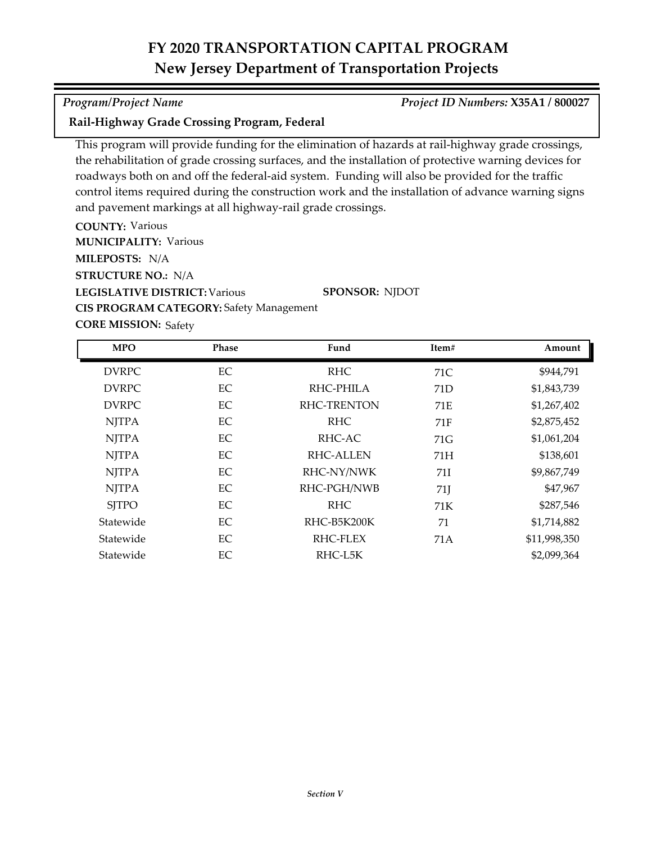### *Program/Project Name Project ID Numbers:* **X35A1 / 800027**

### **Rail-Highway Grade Crossing Program, Federal**

This program will provide funding for the elimination of hazards at rail-highway grade crossings, the rehabilitation of grade crossing surfaces, and the installation of protective warning devices for roadways both on and off the federal-aid system. Funding will also be provided for the traffic control items required during the construction work and the installation of advance warning signs and pavement markings at all highway-rail grade crossings.

**COUNTY:** Various **LEGISLATIVE DISTRICT:** Various **MILEPOSTS:** N/A **STRUCTURE NO.:** N/A **MUNICIPALITY: Various CORE MISSION: Safety SPONSOR:** NJDOT **CIS PROGRAM CATEGORY:** Safety Management

DVRPC BC RHC 71C \$944,791 DVRPC BC RHC-PHILA 71D \$1,843,739 DVRPC BC RHC-TRENTON 71E \$1,267,402 NJTPA EC RHC 71F \$2,875,452 NJTPA EC RHC-AC 71G \$1,061,204 NJTPA EC RHC-ALLEN 71H \$138,601 NJTPA EC RHC-NY/NWK 71I \$9,867,749 NJTPA EC RHC-PGH/NWB 71J \$47,967 SJTPO EC RHC 71K \$287,546 Statewide EC RHC-B5K200K 71 \$1,714,882 Statewide EC RHC-FLEX 71A \$11,998,350 Statewide EC RHC-L5K \$2,099,364 **MPO Phase Fund Item# Amount**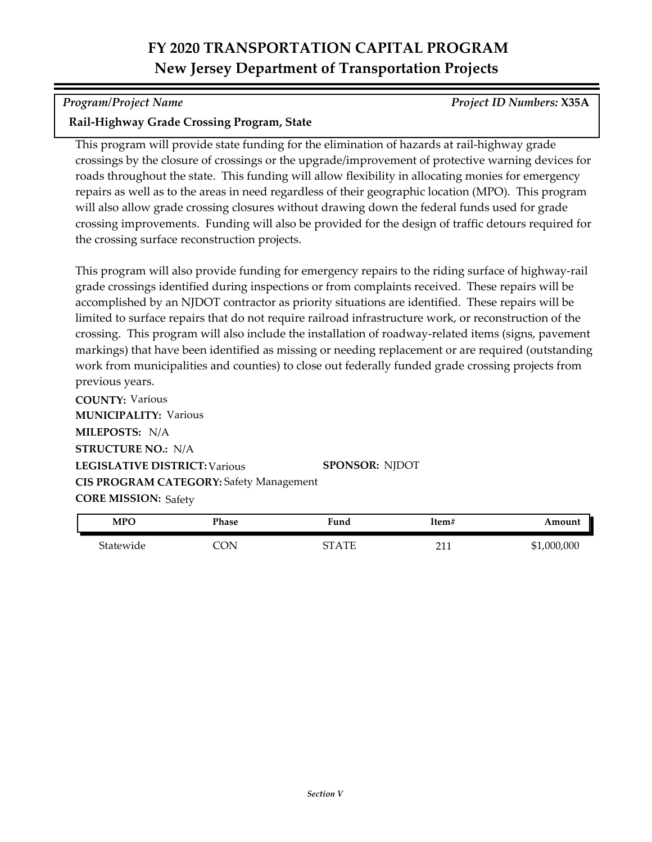*Program/Project Name Project ID Numbers:* **X35A**

## **Rail-Highway Grade Crossing Program, State**

This program will provide state funding for the elimination of hazards at rail-highway grade crossings by the closure of crossings or the upgrade/improvement of protective warning devices for roads throughout the state. This funding will allow flexibility in allocating monies for emergency repairs as well as to the areas in need regardless of their geographic location (MPO). This program will also allow grade crossing closures without drawing down the federal funds used for grade crossing improvements. Funding will also be provided for the design of traffic detours required for the crossing surface reconstruction projects.

This program will also provide funding for emergency repairs to the riding surface of highway-rail grade crossings identified during inspections or from complaints received. These repairs will be accomplished by an NJDOT contractor as priority situations are identified. These repairs will be limited to surface repairs that do not require railroad infrastructure work, or reconstruction of the crossing. This program will also include the installation of roadway-related items (signs, pavement markings) that have been identified as missing or needing replacement or are required (outstanding work from municipalities and counties) to close out federally funded grade crossing projects from previous years.

**COUNTY:** Various **LEGISLATIVE DISTRICT:** Various **MILEPOSTS:** N/A **STRUCTURE NO.:** N/A **MUNICIPALITY: Various CORE MISSION: Safety SPONSOR:** NJDOT **CIS PROGRAM CATEGORY:** Safety Management

| <b>MPO</b> | Phase | Fund               | Item# | Amount      |
|------------|-------|--------------------|-------|-------------|
| Statewide  | CON   | $\Lambda$ TE<br>∼− | 011   | \$1,000,000 |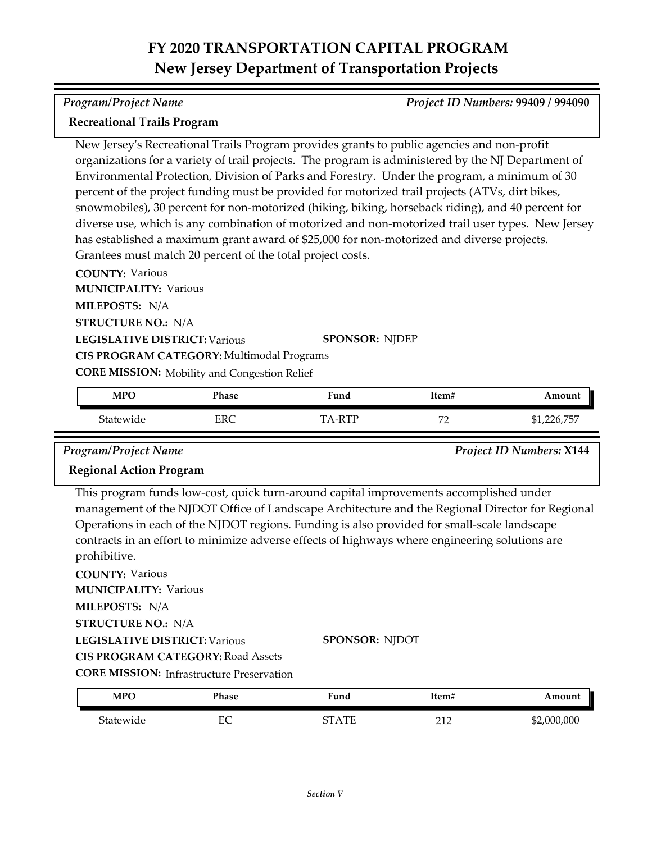#### *Program/Project Name Project ID Numbers:* **99409 / 994090**

### **Recreational Trails Program**

New Jersey's Recreational Trails Program provides grants to public agencies and non-profit organizations for a variety of trail projects. The program is administered by the NJ Department of Environmental Protection, Division of Parks and Forestry. Under the program, a minimum of 30 percent of the project funding must be provided for motorized trail projects (ATVs, dirt bikes, snowmobiles), 30 percent for non-motorized (hiking, biking, horseback riding), and 40 percent for diverse use, which is any combination of motorized and non-motorized trail user types. New Jersey has established a maximum grant award of \$25,000 for non-motorized and diverse projects. Grantees must match 20 percent of the total project costs.

**COUNTY:** Various **LEGISLATIVE DISTRICT:** Various **MILEPOSTS:** N/A **STRUCTURE NO.:** N/A **MUNICIPALITY: Various CORE MISSION:** Mobility and Congestion Relief **SPONSOR:** NJDEP **CIS PROGRAM CATEGORY:** Multimodal Programs

| <b>MPO</b> | Phase | Fund                        | Item#                           | Amount                |
|------------|-------|-----------------------------|---------------------------------|-----------------------|
| Statewide  | ERC   | DTL.<br>$\mathbf{T} \Delta$ | $H^{\prime}$<br>$\cdot$ $\cdot$ | 776 757<br>71,440,797 |

### *Program/Project Name Project ID Numbers:* **X144**

## **Regional Action Program**

This program funds low‐cost, quick turn-around capital improvements accomplished under management of the NJDOT Office of Landscape Architecture and the Regional Director for Regional Operations in each of the NJDOT regions. Funding is also provided for small‐scale landscape contracts in an effort to minimize adverse effects of highways where engineering solutions are prohibitive.

**COUNTY:** Various **LEGISLATIVE DISTRICT:** Various **MILEPOSTS:** N/A **STRUCTURE NO.:** N/A **MUNICIPALITY: Various CORE MISSION:** Infrastructure Preservation **SPONSOR:** NJDOT **CIS PROGRAM CATEGORY:** Road Assets

| <b>MPO</b> | Phase | Fund    | Item#      | Amount      |
|------------|-------|---------|------------|-------------|
| Statewide  | EС    | CT A TE | 210<br>∠⊥∠ | \$2,000,000 |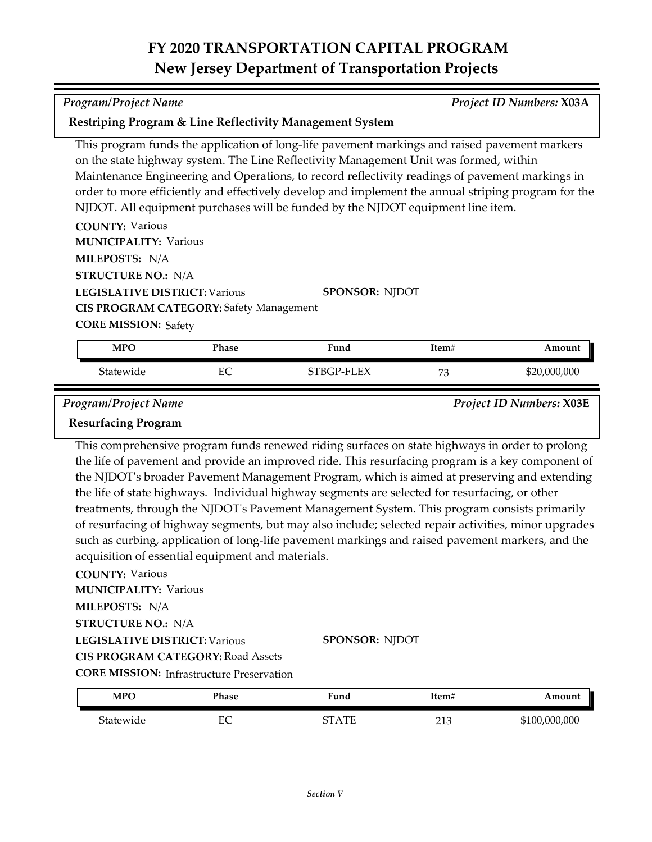| <b>Program/Project Name</b>                                                                           |       |                                                                                                                                                                                                                                                                                                                                                                                                                                                                                     | Project ID Numbers: X03A |                                 |
|-------------------------------------------------------------------------------------------------------|-------|-------------------------------------------------------------------------------------------------------------------------------------------------------------------------------------------------------------------------------------------------------------------------------------------------------------------------------------------------------------------------------------------------------------------------------------------------------------------------------------|--------------------------|---------------------------------|
|                                                                                                       |       | Restriping Program & Line Reflectivity Management System                                                                                                                                                                                                                                                                                                                                                                                                                            |                          |                                 |
| <b>COUNTY: Various</b><br><b>MUNICIPALITY: Various</b><br>MILEPOSTS: N/A<br><b>STRUCTURE NO.: N/A</b> |       | This program funds the application of long-life pavement markings and raised pavement markers<br>on the state highway system. The Line Reflectivity Management Unit was formed, within<br>Maintenance Engineering and Operations, to record reflectivity readings of pavement markings in<br>order to more efficiently and effectively develop and implement the annual striping program for the<br>NJDOT. All equipment purchases will be funded by the NJDOT equipment line item. |                          |                                 |
| <b>LEGISLATIVE DISTRICT: Various</b>                                                                  |       | <b>SPONSOR: NJDOT</b>                                                                                                                                                                                                                                                                                                                                                                                                                                                               |                          |                                 |
| <b>CIS PROGRAM CATEGORY: Safety Management</b>                                                        |       |                                                                                                                                                                                                                                                                                                                                                                                                                                                                                     |                          |                                 |
| <b>CORE MISSION: Safety</b>                                                                           |       |                                                                                                                                                                                                                                                                                                                                                                                                                                                                                     |                          |                                 |
| <b>MPO</b>                                                                                            | Phase | Fund                                                                                                                                                                                                                                                                                                                                                                                                                                                                                | Item#                    | Amount                          |
| Statewide                                                                                             | EC    | STBGP-FLEX                                                                                                                                                                                                                                                                                                                                                                                                                                                                          | 73                       | \$20,000,000                    |
| <b>Program/Project Name</b><br><b>Resurfacing Program</b>                                             |       |                                                                                                                                                                                                                                                                                                                                                                                                                                                                                     |                          | <b>Project ID Numbers: X03E</b> |

This comprehensive program funds renewed riding surfaces on state highways in order to prolong the life of pavement and provide an improved ride. This resurfacing program is a key component of the NJDOT's broader Pavement Management Program, which is aimed at preserving and extending the life of state highways. Individual highway segments are selected for resurfacing, or other treatments, through the NJDOT's Pavement Management System. This program consists primarily of resurfacing of highway segments, but may also include; selected repair activities, minor upgrades such as curbing, application of long-life pavement markings and raised pavement markers, and the acquisition of essential equipment and materials.

#### **COUNTY:** Various

**MILEPOSTS:** N/A **MUNICIPALITY: Various** 

**STRUCTURE NO.:** N/A

**LEGISLATIVE DISTRICT:** Various

**CIS PROGRAM CATEGORY:** Road Assets

| <b>MPO</b> | Phase   | $T$ una    | Item#      | Amount       |
|------------|---------|------------|------------|--------------|
| Statewide  | гc<br>∼ | . TT<br>חי | 212<br>∠⊥∪ | 6100,000,000 |

**SPONSOR:** NJDOT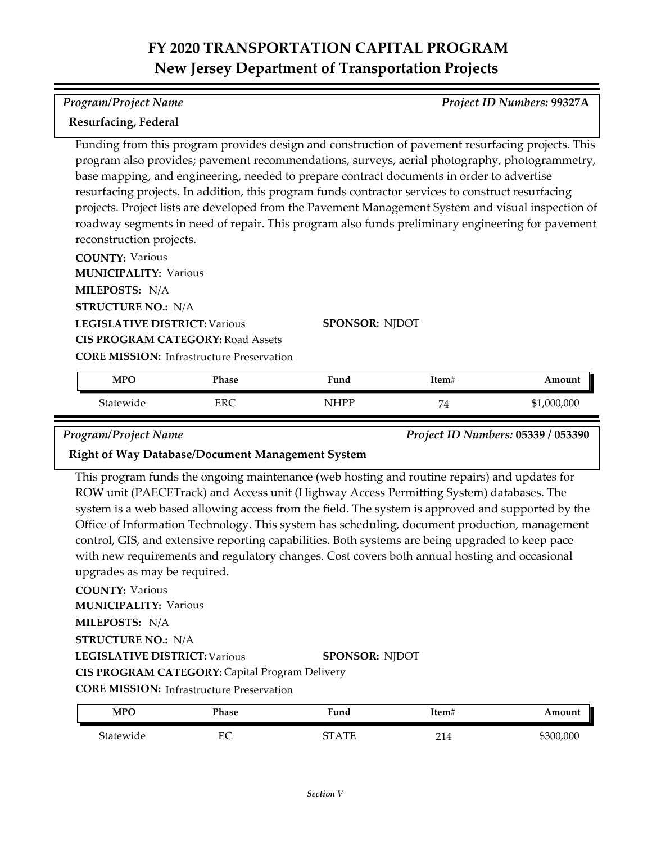### *Program/Project Name Project ID Numbers:* **99327A**

## **Resurfacing, Federal**

Funding from this program provides design and construction of pavement resurfacing projects. This program also provides; pavement recommendations, surveys, aerial photography, photogrammetry, base mapping, and engineering, needed to prepare contract documents in order to advertise resurfacing projects. In addition, this program funds contractor services to construct resurfacing projects. Project lists are developed from the Pavement Management System and visual inspection of roadway segments in need of repair. This program also funds preliminary engineering for pavement reconstruction projects.

**COUNTY:** Various **LEGISLATIVE DISTRICT:** Various **MILEPOSTS:** N/A **STRUCTURE NO.:** N/A **MUNICIPALITY: Various CORE MISSION: Infrastructure Preservation SPONSOR:** NJDOT **CIS PROGRAM CATEGORY:** Road Assets

| <b>MPO</b> | Phase | Fund | Item#                    | Amount      |
|------------|-------|------|--------------------------|-------------|
| Statewide  | ERC   | NHPP | $\mathbf{r}$<br><b>.</b> | \$1,000,000 |

*Program/Project Name Project ID Numbers:* **05339 / 053390**

## **Right of Way Database/Document Management System**

This program funds the ongoing maintenance (web hosting and routine repairs) and updates for ROW unit (PAECETrack) and Access unit (Highway Access Permitting System) databases. The system is a web based allowing access from the field. The system is approved and supported by the Office of Information Technology. This system has scheduling, document production, management control, GIS, and extensive reporting capabilities. Both systems are being upgraded to keep pace with new requirements and regulatory changes. Cost covers both annual hosting and occasional upgrades as may be required.

### **COUNTY:** Various

**MUNICIPALITY: Various** 

**MILEPOSTS:** N/A

**STRUCTURE NO.:** N/A

**LEGISLATIVE DISTRICT:** Various

### **SPONSOR:** NJDOT

**CIS PROGRAM CATEGORY:** Capital Program Delivery

**CORE MISSION: Infrastructure Preservation** 

| <b>MPC</b> | Phase          | $\mathbf{r}$<br>Fund | Item#            | Amount  |
|------------|----------------|----------------------|------------------|---------|
| Statewide  | г $\cap$<br>ĿĆ | . TT<br>חי           | $^{\sim}$<br>214 | 300,000 |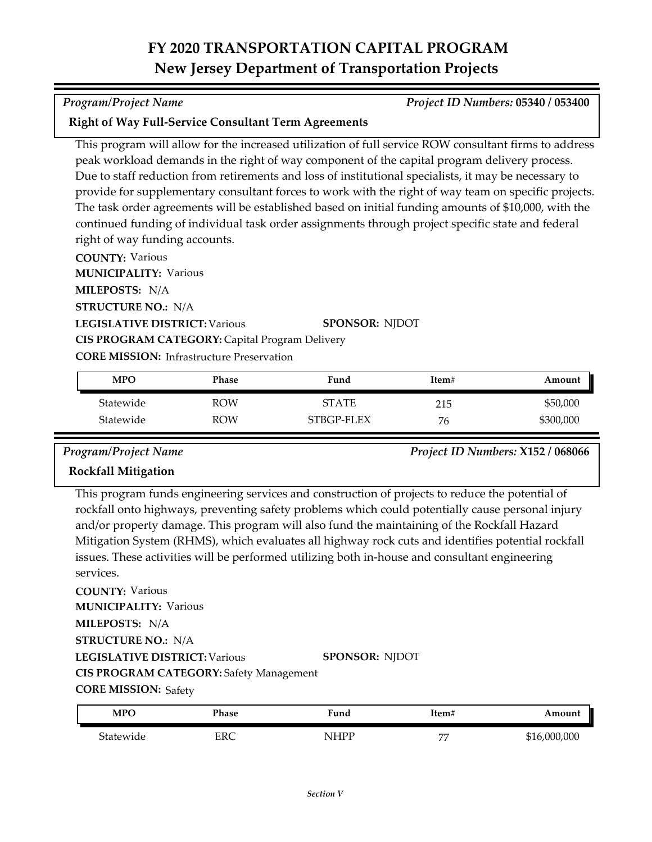#### *Program/Project Name Project ID Numbers:* **05340 / 053400**

### **Right of Way Full-Service Consultant Term Agreements**

This program will allow for the increased utilization of full service ROW consultant firms to address peak workload demands in the right of way component of the capital program delivery process. Due to staff reduction from retirements and loss of institutional specialists, it may be necessary to provide for supplementary consultant forces to work with the right of way team on specific projects. The task order agreements will be established based on initial funding amounts of \$10,000, with the continued funding of individual task order assignments through project specific state and federal right of way funding accounts.

**COUNTY:** Various

**MUNICIPALITY: Various** 

**MILEPOSTS:** N/A

**STRUCTURE NO.:** N/A

**LEGISLATIVE DISTRICT:** Various

**SPONSOR:** NJDOT

**CORE MISSION: Infrastructure Preservation** 

**CIS PROGRAM CATEGORY:** Capital Program Delivery

| <b>MPO</b> | Phase | Fund         | Item# | Amount    |
|------------|-------|--------------|-------|-----------|
| Statewide  | ROW   | <b>STATE</b> | 215   | \$50,000  |
| Statewide  | ROW   | STBGP-FLEX   | 76    | \$300,000 |

*Program/Project Name Project ID Numbers:* **X152 / 068066**

## **Rockfall Mitigation**

This program funds engineering services and construction of projects to reduce the potential of rockfall onto highways, preventing safety problems which could potentially cause personal injury and/or property damage. This program will also fund the maintaining of the Rockfall Hazard Mitigation System (RHMS), which evaluates all highway rock cuts and identifies potential rockfall issues. These activities will be performed utilizing both in‐house and consultant engineering services.

**COUNTY:** Various **LEGISLATIVE DISTRICT:** Various **MILEPOSTS:** N/A **STRUCTURE NO.:** N/A **MUNICIPALITY: Various CIS PROGRAM CATEGORY:** Safety Management

**SPONSOR:** NJDOT

**CORE MISSION: Safety** 

| <b>MPO</b> | Phase | Fund             | Item#          | Amount   |
|------------|-------|------------------|----------------|----------|
| Statewide  | ERC   | <b>IHDD</b><br>N | $\overline{ }$ | .000.000 |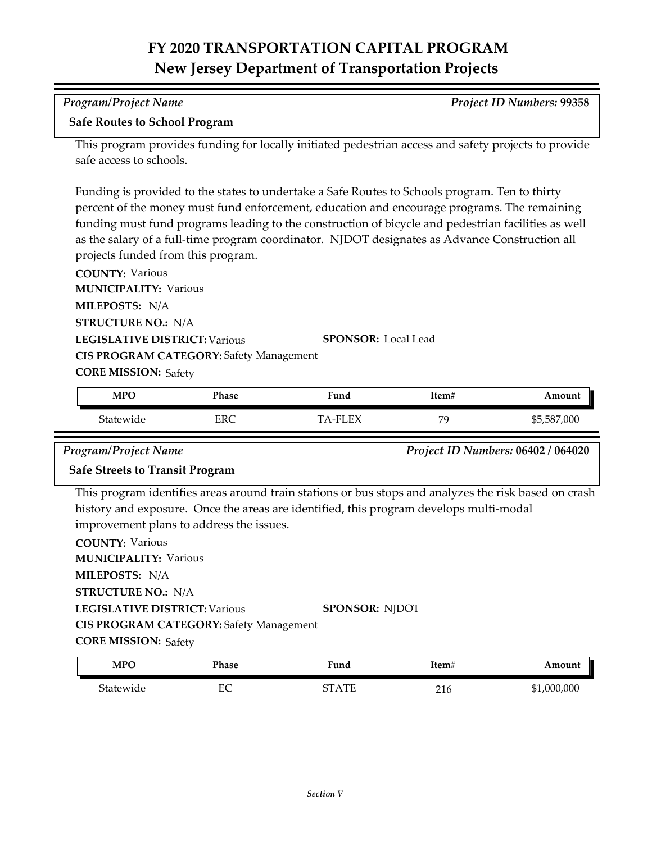| Program/Project Name                 | <b>Project ID Numbers: 99358</b> |
|--------------------------------------|----------------------------------|
| <b>Safe Routes to School Program</b> |                                  |

This program provides funding for locally initiated pedestrian access and safety projects to provide safe access to schools.

Funding is provided to the states to undertake a Safe Routes to Schools program. Ten to thirty percent of the money must fund enforcement, education and encourage programs. The remaining funding must fund programs leading to the construction of bicycle and pedestrian facilities as well as the salary of a full-time program coordinator. NJDOT designates as Advance Construction all projects funded from this program.

**COUNTY:** Various **LEGISLATIVE DISTRICT:** Various **MILEPOSTS:** N/A **STRUCTURE NO.:** N/A **MUNICIPALITY: Various CORE MISSION: Safety SPONSOR:** Local Lead **CIS PROGRAM CATEGORY:** Safety Management

| <b>MPO</b> | Phase | Fund          | Item# | Amount      |
|------------|-------|---------------|-------|-------------|
| Statewide  | ERC   | $TA$ -FI $FX$ | 7C    | \$5,587,000 |

*Program/Project Name Project ID Numbers:* **06402 / 064020**

### **Safe Streets to Transit Program**

This program identifies areas around train stations or bus stops and analyzes the risk based on crash history and exposure. Once the areas are identified, this program develops multi-modal improvement plans to address the issues.

**COUNTY:** Various **LEGISLATIVE DISTRICT:** Various **MILEPOSTS:** N/A **STRUCTURE NO.:** N/A **MUNICIPALITY: Various CORE MISSION: Safety SPONSOR:** NJDOT **CIS PROGRAM CATEGORY:** Safety Management

| <b>MPO</b> | Phase     | iund         | ™tem# | Amount           |
|------------|-----------|--------------|-------|------------------|
| Statewide  | гΩ<br>EV. | $\Lambda$ TL | 216   | ,000,000<br>-\$1 |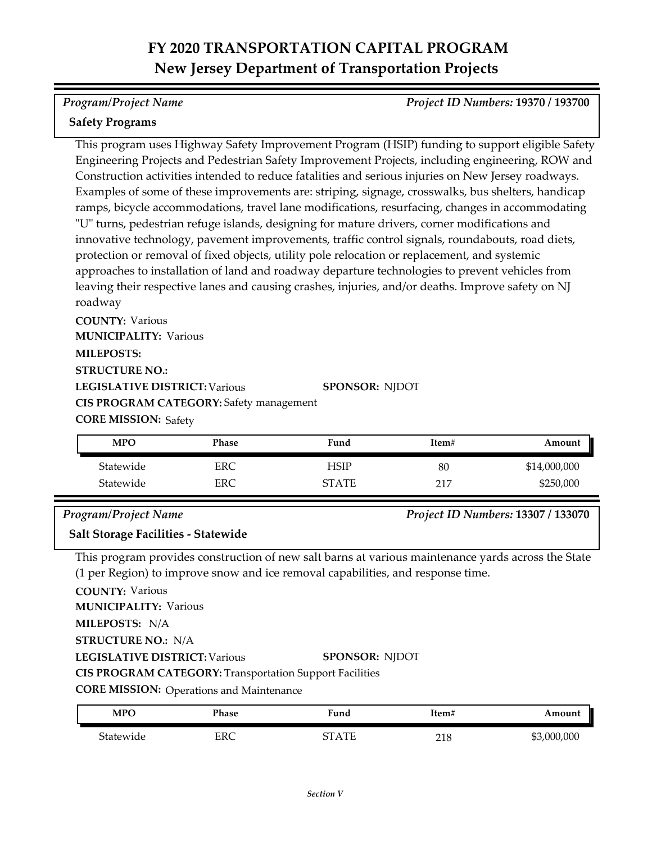### *Program/Project Name Project ID Numbers:* **19370 / 193700**

### **Safety Programs**

This program uses Highway Safety Improvement Program (HSIP) funding to support eligible Safety Engineering Projects and Pedestrian Safety Improvement Projects, including engineering, ROW and Construction activities intended to reduce fatalities and serious injuries on New Jersey roadways. Examples of some of these improvements are: striping, signage, crosswalks, bus shelters, handicap ramps, bicycle accommodations, travel lane modifications, resurfacing, changes in accommodating "U" turns, pedestrian refuge islands, designing for mature drivers, corner modifications and innovative technology, pavement improvements, traffic control signals, roundabouts, road diets, protection or removal of fixed objects, utility pole relocation or replacement, and systemic approaches to installation of land and roadway departure technologies to prevent vehicles from leaving their respective lanes and causing crashes, injuries, and/or deaths. Improve safety on NJ roadway

**COUNTY:** Various **LEGISLATIVE DISTRICT:** Various **MILEPOSTS: STRUCTURE NO.: MUNICIPALITY: Various CORE MISSION: Safety SPONSOR:** NJDOT **CIS PROGRAM CATEGORY:** Safety management

| <b>MPO</b> | Phase | Fund         | Item# | Amount       |
|------------|-------|--------------|-------|--------------|
| Statewide  | ERC   | HSIP         | 80    | \$14,000,000 |
| Statewide  | ERC   | <b>STATE</b> | 217   | \$250,000    |

### *Program/Project Name Project ID Numbers:* **13307 / 133070**

**Salt Storage Facilities - Statewide**

This program provides construction of new salt barns at various maintenance yards across the State (1 per Region) to improve snow and ice removal capabilities, and response time.

**COUNTY:** Various

**MUNICIPALITY: Various** 

**MILEPOSTS:** N/A

**STRUCTURE NO.:** N/A

**LEGISLATIVE DISTRICT:** Various

#### **SPONSOR:** NJDOT

**CIS PROGRAM CATEGORY:** Transportation Support Facilities

**CORE MISSION: Operations and Maintenance** 

| <b>MPC</b> | Phase | $\blacksquare$<br>Fund | ltem#      | Amount      |
|------------|-------|------------------------|------------|-------------|
| Statewide  | ERC   | CT A TE                | 210<br>∠⊥∪ | \$3,000,000 |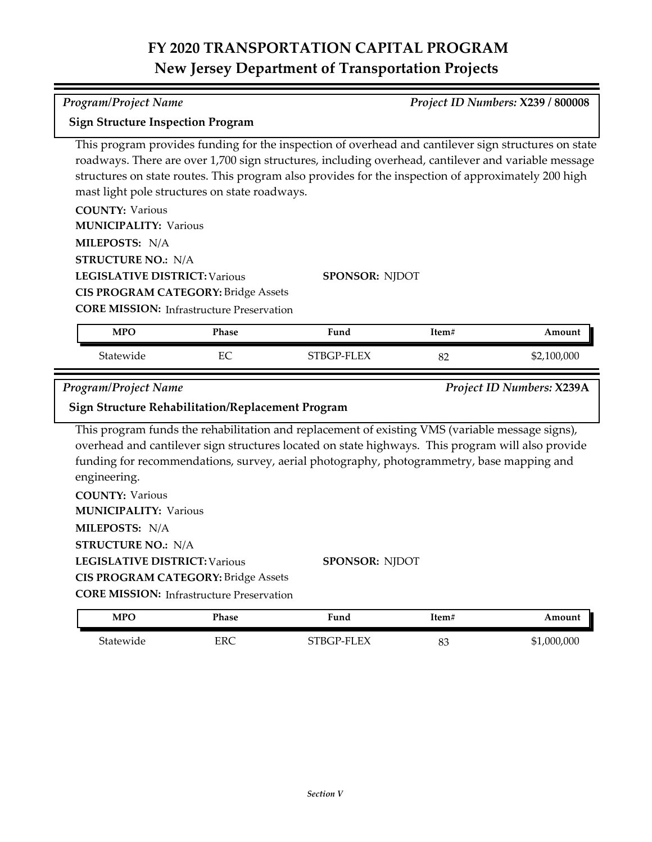*Program/Project Name Project ID Numbers:* **X239 / 800008**

| <b>Sign Structure Inspection Program</b>                                                                                                                      |                                                                                                |                                                                                                                                                                                                                                                                                                                     |       |                           |
|---------------------------------------------------------------------------------------------------------------------------------------------------------------|------------------------------------------------------------------------------------------------|---------------------------------------------------------------------------------------------------------------------------------------------------------------------------------------------------------------------------------------------------------------------------------------------------------------------|-------|---------------------------|
|                                                                                                                                                               | mast light pole structures on state roadways.                                                  | This program provides funding for the inspection of overhead and cantilever sign structures on state<br>roadways. There are over 1,700 sign structures, including overhead, cantilever and variable message<br>structures on state routes. This program also provides for the inspection of approximately 200 high  |       |                           |
| <b>COUNTY: Various</b>                                                                                                                                        |                                                                                                |                                                                                                                                                                                                                                                                                                                     |       |                           |
| <b>MUNICIPALITY: Various</b>                                                                                                                                  |                                                                                                |                                                                                                                                                                                                                                                                                                                     |       |                           |
| MILEPOSTS: N/A                                                                                                                                                |                                                                                                |                                                                                                                                                                                                                                                                                                                     |       |                           |
| <b>STRUCTURE NO.: N/A</b>                                                                                                                                     |                                                                                                |                                                                                                                                                                                                                                                                                                                     |       |                           |
| <b>LEGISLATIVE DISTRICT: Various</b>                                                                                                                          |                                                                                                | <b>SPONSOR: NJDOT</b>                                                                                                                                                                                                                                                                                               |       |                           |
|                                                                                                                                                               | <b>CIS PROGRAM CATEGORY: Bridge Assets</b>                                                     |                                                                                                                                                                                                                                                                                                                     |       |                           |
|                                                                                                                                                               | <b>CORE MISSION: Infrastructure Preservation</b>                                               |                                                                                                                                                                                                                                                                                                                     |       |                           |
| <b>MPO</b>                                                                                                                                                    | Phase                                                                                          | Fund                                                                                                                                                                                                                                                                                                                | Item# | Amount                    |
| Statewide                                                                                                                                                     | EC                                                                                             | STBGP-FLEX                                                                                                                                                                                                                                                                                                          | 82    | \$2,100,000               |
|                                                                                                                                                               |                                                                                                |                                                                                                                                                                                                                                                                                                                     |       |                           |
|                                                                                                                                                               |                                                                                                |                                                                                                                                                                                                                                                                                                                     |       |                           |
| <b>Program/Project Name</b>                                                                                                                                   |                                                                                                |                                                                                                                                                                                                                                                                                                                     |       | Project ID Numbers: X239A |
| <b>Sign Structure Rehabilitation/Replacement Program</b>                                                                                                      |                                                                                                |                                                                                                                                                                                                                                                                                                                     |       |                           |
| engineering.<br><b>COUNTY: Various</b><br><b>MUNICIPALITY: Various</b><br>MILEPOSTS: N/A<br><b>STRUCTURE NO.: N/A</b><br><b>LEGISLATIVE DISTRICT: Various</b> | <b>CIS PROGRAM CATEGORY: Bridge Assets</b><br><b>CORE MISSION: Infrastructure Preservation</b> | This program funds the rehabilitation and replacement of existing VMS (variable message signs),<br>overhead and cantilever sign structures located on state highways. This program will also provide<br>funding for recommendations, survey, aerial photography, photogrammetry, base mapping and<br>SPONSOR: NJDOT |       |                           |
| <b>MPO</b>                                                                                                                                                    | <b>Phase</b>                                                                                   | Fund                                                                                                                                                                                                                                                                                                                | Item# | Amount                    |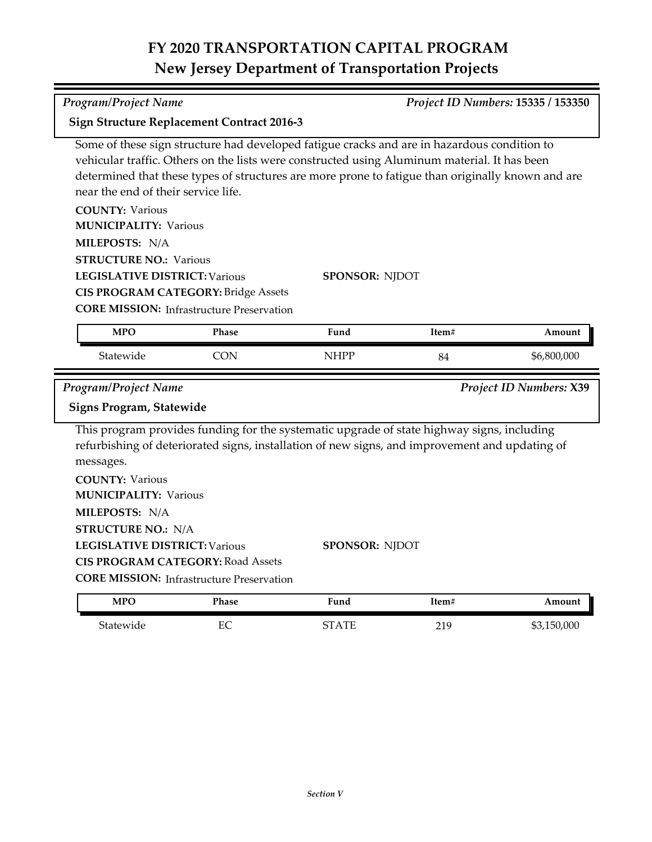| <b>Program/Project Name</b>                       |                                                  |                                                                                                                                                                                              |       | Project ID Numbers: 15335 / 153350 |
|---------------------------------------------------|--------------------------------------------------|----------------------------------------------------------------------------------------------------------------------------------------------------------------------------------------------|-------|------------------------------------|
| <b>Sign Structure Replacement Contract 2016-3</b> |                                                  |                                                                                                                                                                                              |       |                                    |
|                                                   |                                                  | Some of these sign structure had developed fatigue cracks and are in hazardous condition to                                                                                                  |       |                                    |
|                                                   |                                                  | vehicular traffic. Others on the lists were constructed using Aluminum material. It has been                                                                                                 |       |                                    |
|                                                   |                                                  | determined that these types of structures are more prone to fatigue than originally known and are                                                                                            |       |                                    |
| near the end of their service life.               |                                                  |                                                                                                                                                                                              |       |                                    |
| <b>COUNTY: Various</b>                            |                                                  |                                                                                                                                                                                              |       |                                    |
| <b>MUNICIPALITY: Various</b>                      |                                                  |                                                                                                                                                                                              |       |                                    |
| MILEPOSTS: N/A                                    |                                                  |                                                                                                                                                                                              |       |                                    |
| <b>STRUCTURE NO.: Various</b>                     |                                                  |                                                                                                                                                                                              |       |                                    |
| <b>LEGISLATIVE DISTRICT: Various</b>              |                                                  | <b>SPONSOR: NJDOT</b>                                                                                                                                                                        |       |                                    |
|                                                   | <b>CIS PROGRAM CATEGORY: Bridge Assets</b>       |                                                                                                                                                                                              |       |                                    |
|                                                   | <b>CORE MISSION:</b> Infrastructure Preservation |                                                                                                                                                                                              |       |                                    |
| <b>MPO</b>                                        | Phase                                            | Fund                                                                                                                                                                                         | Item# | Amount                             |
| Statewide                                         | <b>CON</b>                                       | <b>NHPP</b>                                                                                                                                                                                  | 84    | \$6,800,000                        |
| <b>Program/Project Name</b>                       |                                                  |                                                                                                                                                                                              |       | Project ID Numbers: X39            |
| Signs Program, Statewide                          |                                                  |                                                                                                                                                                                              |       |                                    |
| messages.                                         |                                                  | This program provides funding for the systematic upgrade of state highway signs, including<br>refurbishing of deteriorated signs, installation of new signs, and improvement and updating of |       |                                    |
| <b>COUNTY: Various</b>                            |                                                  |                                                                                                                                                                                              |       |                                    |
| <b>MUNICIPALITY: Various</b>                      |                                                  |                                                                                                                                                                                              |       |                                    |
| MILEPOSTS: N/A                                    |                                                  |                                                                                                                                                                                              |       |                                    |
| <b>STRUCTURE NO.: N/A</b>                         |                                                  |                                                                                                                                                                                              |       |                                    |
| <b>LEGISLATIVE DISTRICT: Various</b>              |                                                  | <b>SPONSOR: NJDOT</b>                                                                                                                                                                        |       |                                    |
| <b>CIS PROGRAM CATEGORY: Road Assets</b>          |                                                  |                                                                                                                                                                                              |       |                                    |
|                                                   |                                                  |                                                                                                                                                                                              |       |                                    |
|                                                   | <b>CORE MISSION:</b> Infrastructure Preservation |                                                                                                                                                                                              |       |                                    |

Statewide EC STATE 219 \$3,150,000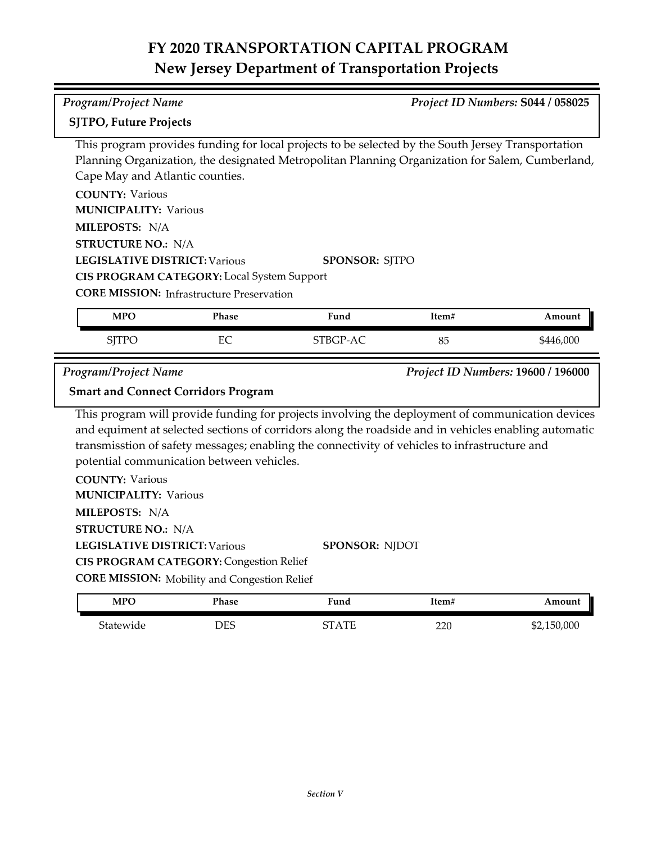| Program/Project Name                                   |                                                                                                                                                                                                                                                                                                                                                        |                       |       | Project ID Numbers: S044 / 058025  |
|--------------------------------------------------------|--------------------------------------------------------------------------------------------------------------------------------------------------------------------------------------------------------------------------------------------------------------------------------------------------------------------------------------------------------|-----------------------|-------|------------------------------------|
| <b>SJTPO, Future Projects</b>                          |                                                                                                                                                                                                                                                                                                                                                        |                       |       |                                    |
| Cape May and Atlantic counties.                        | This program provides funding for local projects to be selected by the South Jersey Transportation<br>Planning Organization, the designated Metropolitan Planning Organization for Salem, Cumberland,                                                                                                                                                  |                       |       |                                    |
| <b>COUNTY: Various</b><br><b>MUNICIPALITY: Various</b> |                                                                                                                                                                                                                                                                                                                                                        |                       |       |                                    |
| MILEPOSTS: N/A                                         |                                                                                                                                                                                                                                                                                                                                                        |                       |       |                                    |
| <b>STRUCTURE NO.: N/A</b>                              |                                                                                                                                                                                                                                                                                                                                                        |                       |       |                                    |
| <b>LEGISLATIVE DISTRICT: Various</b>                   |                                                                                                                                                                                                                                                                                                                                                        | <b>SPONSOR: SJTPO</b> |       |                                    |
|                                                        | CIS PROGRAM CATEGORY: Local System Support                                                                                                                                                                                                                                                                                                             |                       |       |                                    |
|                                                        | <b>CORE MISSION:</b> Infrastructure Preservation                                                                                                                                                                                                                                                                                                       |                       |       |                                    |
| <b>MPO</b>                                             | Phase                                                                                                                                                                                                                                                                                                                                                  | Fund                  | Item# | Amount                             |
| <b>SJTPO</b>                                           | EC                                                                                                                                                                                                                                                                                                                                                     | STBGP-AC              | 85    | \$446,000                          |
|                                                        |                                                                                                                                                                                                                                                                                                                                                        |                       |       |                                    |
| <b>Program/Project Name</b>                            |                                                                                                                                                                                                                                                                                                                                                        |                       |       | Project ID Numbers: 19600 / 196000 |
|                                                        | <b>Smart and Connect Corridors Program</b>                                                                                                                                                                                                                                                                                                             |                       |       |                                    |
| <b>COUNTY: Various</b>                                 | This program will provide funding for projects involving the deployment of communication devices<br>and equiment at selected sections of corridors along the roadside and in vehicles enabling automatic<br>transmisstion of safety messages; enabling the connectivity of vehicles to infrastructure and<br>potential communication between vehicles. |                       |       |                                    |
| <b>MUNICIPALITY: Various</b>                           |                                                                                                                                                                                                                                                                                                                                                        |                       |       |                                    |
| MILEPOSTS: N/A                                         |                                                                                                                                                                                                                                                                                                                                                        |                       |       |                                    |
| <b>STRUCTURE NO.: N/A</b>                              |                                                                                                                                                                                                                                                                                                                                                        |                       |       |                                    |
| <b>LEGISLATIVE DISTRICT: Various</b>                   |                                                                                                                                                                                                                                                                                                                                                        | <b>SPONSOR: NJDOT</b> |       |                                    |
|                                                        | <b>CIS PROGRAM CATEGORY: Congestion Relief</b>                                                                                                                                                                                                                                                                                                         |                       |       |                                    |
| <b>MPO</b>                                             | <b>CORE MISSION:</b> Mobility and Congestion Relief<br>Phase                                                                                                                                                                                                                                                                                           | Fund                  | Item# | Amount                             |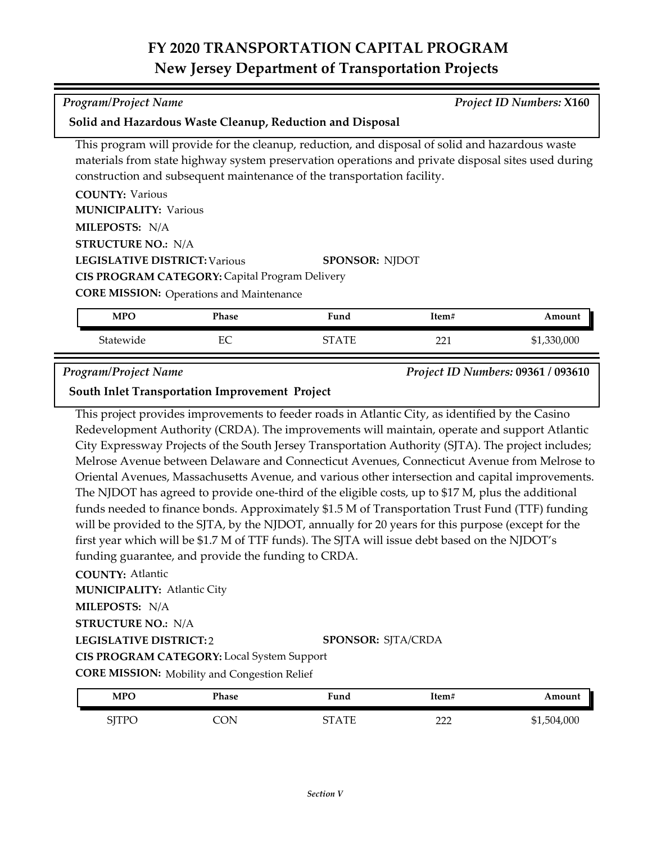| Program/Project Name                                                                            | <b>Project ID Numbers: X160</b> |
|-------------------------------------------------------------------------------------------------|---------------------------------|
| Solid and Hazardous Waste Cleanup, Reduction and Disposal                                       |                                 |
| This program will provide for the cleanup, reduction, and disposal of solid and hazardous waste |                                 |

ction, and disposal of solid an materials from state highway system preservation operations and private disposal sites used during construction and subsequent maintenance of the transportation facility.

| <b>COUNTY: Various</b>                                |                       |
|-------------------------------------------------------|-----------------------|
| <b>MUNICIPALITY: Various</b>                          |                       |
| <b>MILEPOSTS: N/A</b>                                 |                       |
| <b>STRUCTURE NO.: N/A</b>                             |                       |
| <b>LEGISLATIVE DISTRICT: Various</b>                  | <b>SPONSOR: NJDOT</b> |
| <b>CIS PROGRAM CATEGORY: Capital Program Delivery</b> |                       |
| $C_{\mathbf{Q}}$                                      |                       |

**CORE MISSION:** Operations and Maintenance

| <b>MPO</b> | Phase | Fund    | Item#  | Amount      |
|------------|-------|---------|--------|-------------|
| Statewide  | EС    | CT A TE | $\sim$ | \$1,330,000 |

*Program/Project Name Project ID Numbers:* **09361 / 093610**

**South Inlet Transportation Improvement Project**

This project provides improvements to feeder roads in Atlantic City, as identified by the Casino Redevelopment Authority (CRDA). The improvements will maintain, operate and support Atlantic City Expressway Projects of the South Jersey Transportation Authority (SJTA). The project includes; Melrose Avenue between Delaware and Connecticut Avenues, Connecticut Avenue from Melrose to Oriental Avenues, Massachusetts Avenue, and various other intersection and capital improvements. The NJDOT has agreed to provide one-third of the eligible costs, up to \$17 M, plus the additional funds needed to finance bonds. Approximately \$1.5 M of Transportation Trust Fund (TTF) funding will be provided to the SJTA, by the NJDOT, annually for 20 years for this purpose (except for the first year which will be \$1.7 M of TTF funds). The SJTA will issue debt based on the NJDOT's funding guarantee, and provide the funding to CRDA.

## **COUNTY:** Atlantic

**MUNICIPALITY: Atlantic City** 

**MILEPOSTS:** N/A **STRUCTURE NO.:** N/A

## **LEGISLATIVE DISTRICT:** 2

## **SPONSOR:** SJTA/CRDA

**CIS PROGRAM CATEGORY:** Local System Support

| <b>CORE MISSION:</b> Mobility and Congestion Relief |  |  |  |
|-----------------------------------------------------|--|--|--|
|-----------------------------------------------------|--|--|--|

| <b>MPO</b>            | Phase | Fund  | Item#      | Amount      |
|-----------------------|-------|-------|------------|-------------|
| STTPC<br>  1 1 V<br>◡ | ON    | STATE | ררר<br>∸∸∸ | \$1,504,000 |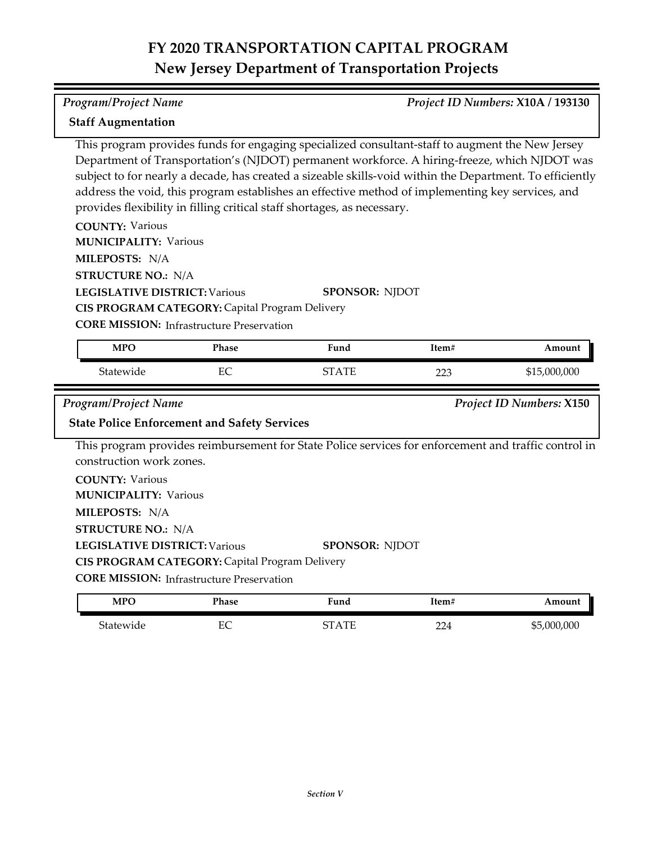### *Program/Project Name Project ID Numbers:* **X10A / 193130**

### **Staff Augmentation**

This program provides funds for engaging specialized consultant-staff to augment the New Jersey Department of Transportation's (NJDOT) permanent workforce. A hiring-freeze, which NJDOT was subject to for nearly a decade, has created a sizeable skills-void within the Department. To efficiently address the void, this program establishes an effective method of implementing key services, and provides flexibility in filling critical staff shortages, as necessary.

**COUNTY:** Various

**MUNICIPALITY: Various** 

**MILEPOSTS:** N/A

**STRUCTURE NO.:** N/A

**LEGISLATIVE DISTRICT:** Various

**SPONSOR:** NJDOT **CIS PROGRAM CATEGORY:** Capital Program Delivery

**CORE MISSION: Infrastructure Preservation** 

| <b>MPO</b> | Phase | Fund                     | Item#     | Amount       |
|------------|-------|--------------------------|-----------|--------------|
| Statewide  | EC    | $\Delta \text{TF}$<br>∼− | າາາ<br>دک | \$15,000,000 |

*Program/Project Name Project ID Numbers:* **X150**

## **State Police Enforcement and Safety Services**

This program provides reimbursement for State Police services for enforcement and traffic control in construction work zones.

**COUNTY:** Various **LEGISLATIVE DISTRICT:** Various **MILEPOSTS:** N/A **STRUCTURE NO.:** N/A **MUNICIPALITY: Various CORE MISSION: Infrastructure Preservation SPONSOR:** NJDOT **CIS PROGRAM CATEGORY:** Capital Program Delivery

| <b>MPO</b> | Phase | Fund    | Item#      | Amount            |
|------------|-------|---------|------------|-------------------|
| Statewide  | EC    | CT A TE | 224<br>∠∠≖ | ,000,000,<br>\$5. |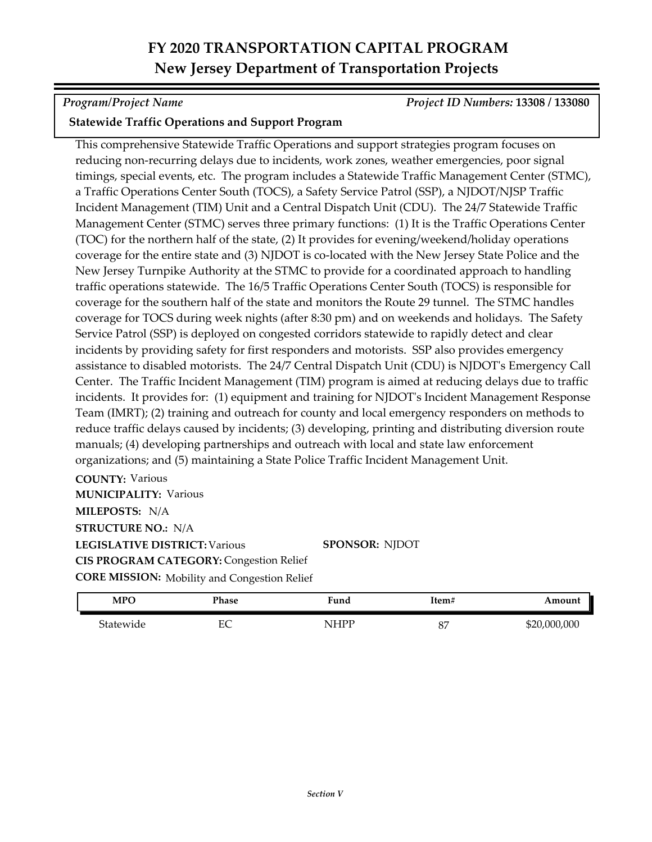*Program/Project Name Project ID Numbers:* **13308 / 133080**

## **Statewide Traffic Operations and Support Program**

This comprehensive Statewide Traffic Operations and support strategies program focuses on reducing non-recurring delays due to incidents, work zones, weather emergencies, poor signal timings, special events, etc. The program includes a Statewide Traffic Management Center (STMC), a Traffic Operations Center South (TOCS), a Safety Service Patrol (SSP), a NJDOT/NJSP Traffic Incident Management (TIM) Unit and a Central Dispatch Unit (CDU). The 24/7 Statewide Traffic Management Center (STMC) serves three primary functions: (1) It is the Traffic Operations Center (TOC) for the northern half of the state, (2) It provides for evening/weekend/holiday operations coverage for the entire state and (3) NJDOT is co-located with the New Jersey State Police and the New Jersey Turnpike Authority at the STMC to provide for a coordinated approach to handling traffic operations statewide. The 16/5 Traffic Operations Center South (TOCS) is responsible for coverage for the southern half of the state and monitors the Route 29 tunnel. The STMC handles coverage for TOCS during week nights (after 8:30 pm) and on weekends and holidays. The Safety Service Patrol (SSP) is deployed on congested corridors statewide to rapidly detect and clear incidents by providing safety for first responders and motorists. SSP also provides emergency assistance to disabled motorists. The 24/7 Central Dispatch Unit (CDU) is NJDOT's Emergency Call Center. The Traffic Incident Management (TIM) program is aimed at reducing delays due to traffic incidents. It provides for: (1) equipment and training for NJDOT's Incident Management Response Team (IMRT); (2) training and outreach for county and local emergency responders on methods to reduce traffic delays caused by incidents; (3) developing, printing and distributing diversion route manuals; (4) developing partnerships and outreach with local and state law enforcement organizations; and (5) maintaining a State Police Traffic Incident Management Unit.

**COUNTY:** Various **LEGISLATIVE DISTRICT:** Various **MILEPOSTS:** N/A **STRUCTURE NO.:** N/A **MUNICIPALITY: Various CORE MISSION:** Mobility and Congestion Relief **CIS PROGRAM CATEGORY: Congestion Relief** 

**SPONSOR:** NJDOT

| <b>MPO</b> | Phase    | Fund | Item#    | Amount       |
|------------|----------|------|----------|--------------|
| Statewide  | гΩ<br>ĿĆ | NHPP | nг<br>01 | \$20,000,000 |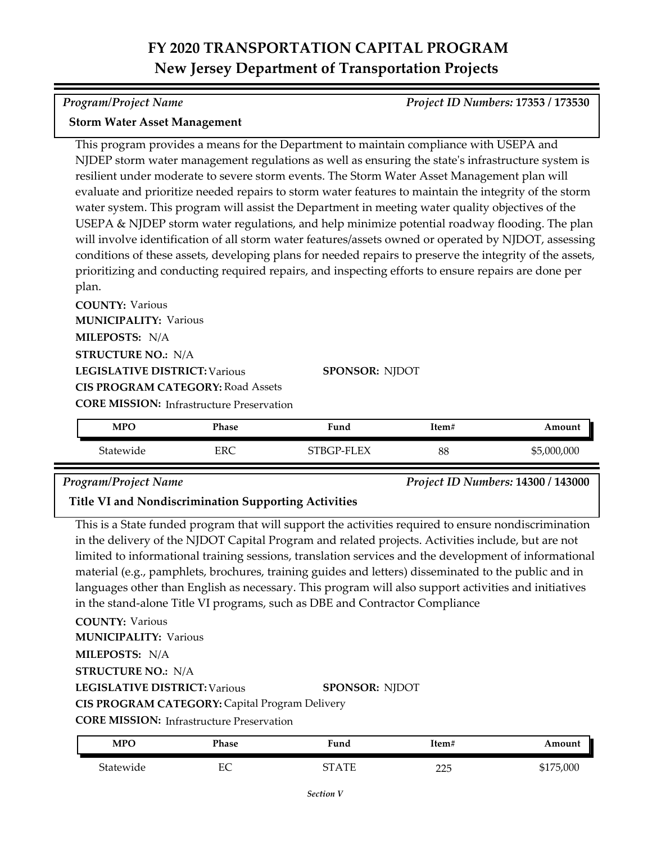*Program/Project Name Project ID Numbers:* **17353 / 173530**

### **Storm Water Asset Management**

This program provides a means for the Department to maintain compliance with USEPA and NJDEP storm water management regulations as well as ensuring the state's infrastructure system is resilient under moderate to severe storm events. The Storm Water Asset Management plan will evaluate and prioritize needed repairs to storm water features to maintain the integrity of the storm water system. This program will assist the Department in meeting water quality objectives of the USEPA & NJDEP storm water regulations, and help minimize potential roadway flooding. The plan will involve identification of all storm water features/assets owned or operated by NJDOT, assessing conditions of these assets, developing plans for needed repairs to preserve the integrity of the assets, prioritizing and conducting required repairs, and inspecting efforts to ensure repairs are done per plan.

**COUNTY:** Various **LEGISLATIVE DISTRICT:** Various **MILEPOSTS:** N/A **STRUCTURE NO.:** N/A **MUNICIPALITY: Various CORE MISSION: Infrastructure Preservation SPONSOR:** NJDOT **CIS PROGRAM CATEGORY:** Road Assets

Statewide ERC STBGP-FLEX 88 \$5,000,000 **MPO Phase Fund Item# Amount**

## *Program/Project Name Project ID Numbers:* **14300 / 143000**

**Title VI and Nondiscrimination Supporting Activities**

This is a State funded program that will support the activities required to ensure nondiscrimination in the delivery of the NJDOT Capital Program and related projects. Activities include, but are not limited to informational training sessions, translation services and the development of informational material (e.g., pamphlets, brochures, training guides and letters) disseminated to the public and in languages other than English as necessary. This program will also support activities and initiatives in the stand-alone Title VI programs, such as DBE and Contractor Compliance

**COUNTY:** Various **LEGISLATIVE DISTRICT:** Various **MILEPOSTS:** N/A **STRUCTURE NO.:** N/A **MUNICIPALITY: Various SPONSOR:** NJDOT **CIS PROGRAM CATEGORY:** Capital Program Delivery

**CORE MISSION: Infrastructure Preservation** 

| <b>MPO</b> | Phase  | Fund         | Item#       | Amount    |
|------------|--------|--------------|-------------|-----------|
| Statewide  | ⊷<br>∽ | <b>CTATE</b> | つつに<br>تتمك | \$175,000 |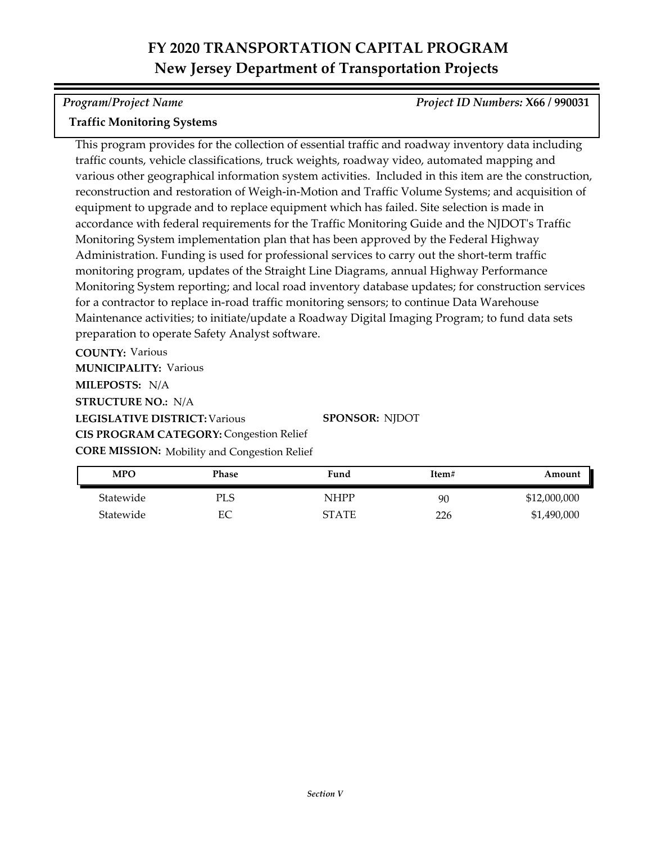*Program/Project Name Project ID Numbers:* **X66 / 990031**

## **Traffic Monitoring Systems**

This program provides for the collection of essential traffic and roadway inventory data including traffic counts, vehicle classifications, truck weights, roadway video, automated mapping and various other geographical information system activities. Included in this item are the construction, reconstruction and restoration of Weigh-in-Motion and Traffic Volume Systems; and acquisition of equipment to upgrade and to replace equipment which has failed. Site selection is made in accordance with federal requirements for the Traffic Monitoring Guide and the NJDOT's Traffic Monitoring System implementation plan that has been approved by the Federal Highway Administration. Funding is used for professional services to carry out the short-term traffic monitoring program, updates of the Straight Line Diagrams, annual Highway Performance Monitoring System reporting; and local road inventory database updates; for construction services for a contractor to replace in-road traffic monitoring sensors; to continue Data Warehouse Maintenance activities; to initiate/update a Roadway Digital Imaging Program; to fund data sets preparation to operate Safety Analyst software.

**COUNTY:** Various **LEGISLATIVE DISTRICT:** Various **MILEPOSTS:** N/A **STRUCTURE NO.:** N/A **MUNICIPALITY: Various CORE MISSION:** Mobility and Congestion Relief **CIS PROGRAM CATEGORY: Congestion Relief** 

**SPONSOR:** NJDOT

| MPO       | Phase | Fund         | Item# | Amount       |
|-----------|-------|--------------|-------|--------------|
| Statewide | PLS   | <b>NHPP</b>  | 90    | \$12,000,000 |
| Statewide | EС    | <b>STATE</b> | 226   | \$1,490,000  |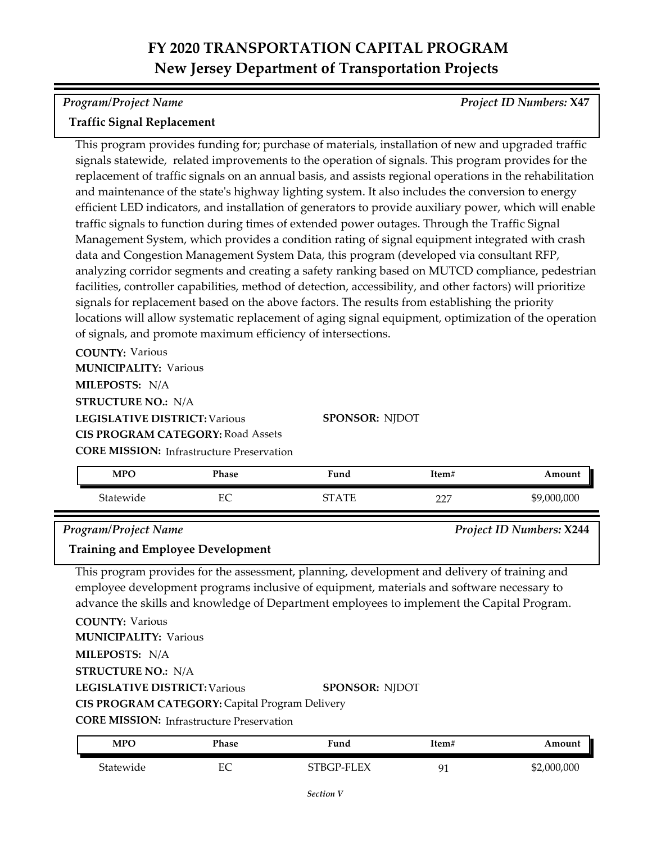*Program/Project Name Project ID Numbers:* **X47**

### **Traffic Signal Replacement**

This program provides funding for; purchase of materials, installation of new and upgraded traffic signals statewide, related improvements to the operation of signals. This program provides for the replacement of traffic signals on an annual basis, and assists regional operations in the rehabilitation and maintenance of the state's highway lighting system. It also includes the conversion to energy efficient LED indicators, and installation of generators to provide auxiliary power, which will enable traffic signals to function during times of extended power outages. Through the Traffic Signal Management System, which provides a condition rating of signal equipment integrated with crash data and Congestion Management System Data, this program (developed via consultant RFP, analyzing corridor segments and creating a safety ranking based on MUTCD compliance, pedestrian facilities, controller capabilities, method of detection, accessibility, and other factors) will prioritize signals for replacement based on the above factors. The results from establishing the priority locations will allow systematic replacement of aging signal equipment, optimization of the operation of signals, and promote maximum efficiency of intersections.

**COUNTY:** Various **LEGISLATIVE DISTRICT:** Various **MILEPOSTS:** N/A **STRUCTURE NO.:** N/A **MUNICIPALITY: Various CIS PROGRAM CATEGORY:** Road Assets

**SPONSOR:** NJDOT

**CORE MISSION:** Infrastructure Preservation

| <b>MPO</b> | Phase    | Fund | Item#         | Amount      |
|------------|----------|------|---------------|-------------|
| Statewide  | гΩ<br>ĽV | TЕ   | $\sim$<br>--- | \$9,000,000 |

*Program/Project Name Project ID Numbers:* **X244**

### **Training and Employee Development**

This program provides for the assessment, planning, development and delivery of training and employee development programs inclusive of equipment, materials and software necessary to advance the skills and knowledge of Department employees to implement the Capital Program.

**COUNTY:** Various **LEGISLATIVE DISTRICT:** Various **MILEPOSTS:** N/A **STRUCTURE NO.:** N/A **MUNICIPALITY: Various SPONSOR:** NJDOT **CIS PROGRAM CATEGORY:** Capital Program Delivery

**CORE MISSION: Infrastructure Preservation** 

| <b>MPC</b>     | Phase    | Fund           | Item# | Amount      |
|----------------|----------|----------------|-------|-------------|
| .<br>Statewide | ЕС<br>ĽĆ | P-FLEX<br>TTRG | Q٦    | \$2,000,000 |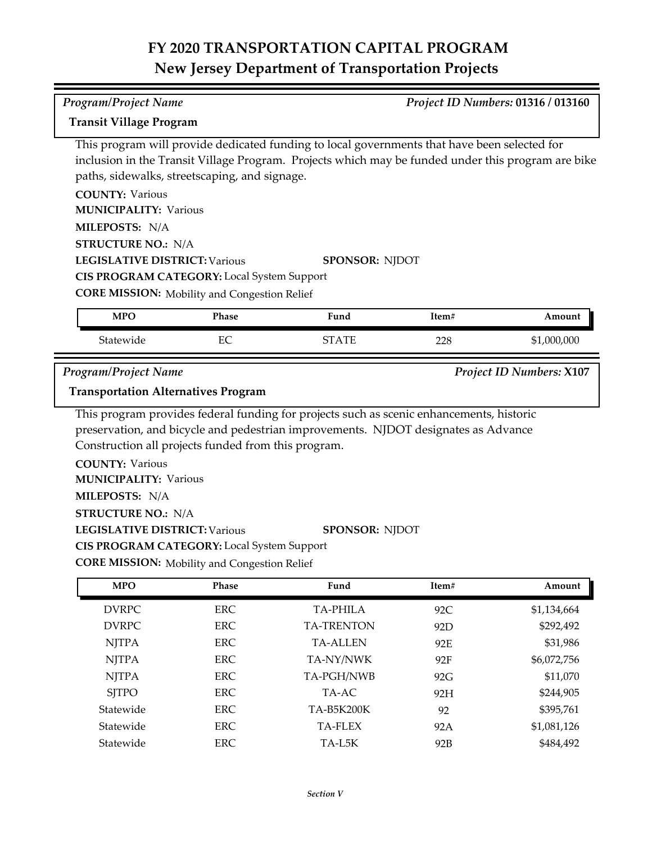## *Program/Project Name Project ID Numbers:* **01316 / 013160**

### **Transit Village Program**

This program will provide dedicated funding to local governments that have been selected for inclusion in the Transit Village Program. Projects which may be funded under this program are bike paths, sidewalks, streetscaping, and signage.

**COUNTY:** Various **LEGISLATIVE DISTRICT:** Various **MILEPOSTS:** N/A **STRUCTURE NO.:** N/A **MUNICIPALITY: Various SPONSOR:** NJDOT

**CIS PROGRAM CATEGORY:** Local System Support

**CORE MISSION:** Mobility and Congestion Relief

| <b>MPO</b> | Phase   | Fund                 | Item# | Amount                   |
|------------|---------|----------------------|-------|--------------------------|
| Statewide  | ᠇╭<br>◡ | $\mathbf{A}$ T<br>∼⊤ | 228   | ,000,000<br>ـ ـ ـ<br>ורה |

*Program/Project Name Project ID Numbers:* **X107**

### **Transportation Alternatives Program**

This program provides federal funding for projects such as scenic enhancements, historic preservation, and bicycle and pedestrian improvements. NJDOT designates as Advance Construction all projects funded from this program.

**COUNTY:** Various

**MUNICIPALITY: Various** 

**MILEPOSTS:** N/A

**STRUCTURE NO.:** N/A

**LEGISLATIVE DISTRICT:** Various

**SPONSOR:** NJDOT

**CORE MISSION:** Mobility and Congestion Relief **CIS PROGRAM CATEGORY:** Local System Support

| <b>MPO</b>   | <b>Phase</b> | Fund              | Item# | Amount      |
|--------------|--------------|-------------------|-------|-------------|
| <b>DVRPC</b> | <b>ERC</b>   | TA-PHILA          | 92C   | \$1,134,664 |
| <b>DVRPC</b> | <b>ERC</b>   | <b>TA-TRENTON</b> | 92D   | \$292,492   |
| <b>NJTPA</b> | ERC.         | <b>TA-ALLEN</b>   | 92E   | \$31,986    |
| <b>NJTPA</b> | ERC.         | TA-NY/NWK         | 92F   | \$6,072,756 |
| <b>NJTPA</b> | ERC.         | TA-PGH/NWB        | 92G   | \$11,070    |
| <b>SITPO</b> | <b>ERC</b>   | TA-AC             | 92H   | \$244,905   |
| Statewide    | ERC.         | TA-B5K200K        | 92    | \$395,761   |
| Statewide    | ERC.         | <b>TA-FLEX</b>    | 92A   | \$1,081,126 |
| Statewide    | ERC.         | TA-L5K            | 92B   | \$484,492   |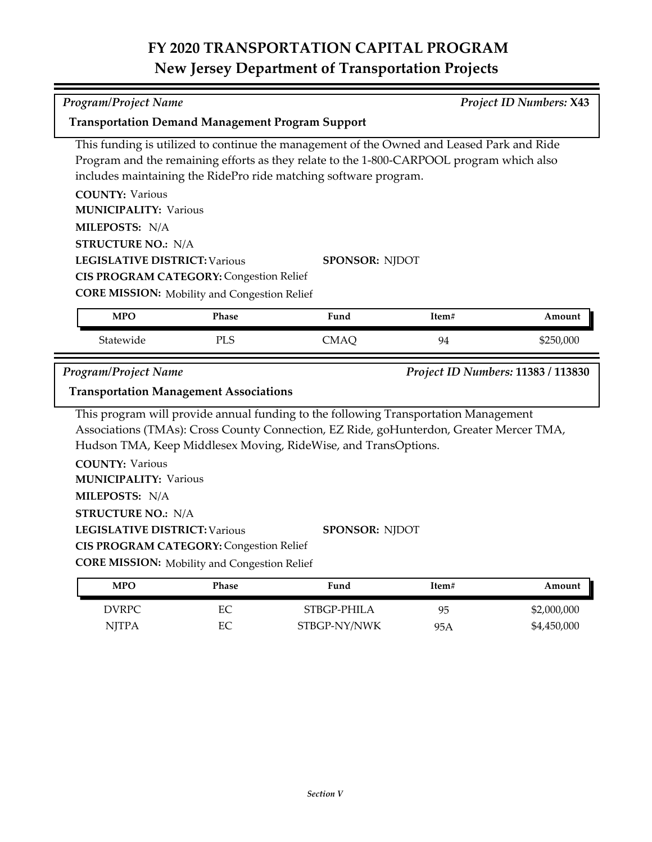| <b>Program/Project Name</b><br><b>Project ID Numbers: X43</b><br><b>Transportation Demand Management Program Support</b>                      |            |                                                                                                                                                                                                                                                                           |           |                            |  |
|-----------------------------------------------------------------------------------------------------------------------------------------------|------------|---------------------------------------------------------------------------------------------------------------------------------------------------------------------------------------------------------------------------------------------------------------------------|-----------|----------------------------|--|
|                                                                                                                                               |            | This funding is utilized to continue the management of the Owned and Leased Park and Ride<br>Program and the remaining efforts as they relate to the 1-800-CARPOOL program which also<br>includes maintaining the RidePro ride matching software program.                 |           |                            |  |
| <b>COUNTY: Various</b><br><b>MUNICIPALITY: Various</b><br>MILEPOSTS: N/A<br><b>STRUCTURE NO.: N/A</b>                                         |            |                                                                                                                                                                                                                                                                           |           |                            |  |
| <b>LEGISLATIVE DISTRICT: Various</b><br><b>CIS PROGRAM CATEGORY: Congestion Relief</b><br><b>CORE MISSION:</b> Mobility and Congestion Relief |            | <b>SPONSOR: NJDOT</b>                                                                                                                                                                                                                                                     |           |                            |  |
| <b>MPO</b>                                                                                                                                    | Phase      | Fund                                                                                                                                                                                                                                                                      | Item#     | Amount                     |  |
| Statewide                                                                                                                                     | <b>PLS</b> | <b>CMAQ</b>                                                                                                                                                                                                                                                               | 94        | \$250,000                  |  |
| Program/Project Name<br>Project ID Numbers: 11383 / 113830<br><b>Transportation Management Associations</b>                                   |            |                                                                                                                                                                                                                                                                           |           |                            |  |
| <b>COUNTY: Various</b><br><b>MUNICIPALITY: Various</b><br>MILEPOSTS: N/A<br><b>STRUCTURE NO.: N/A</b><br><b>LEGISLATIVE DISTRICT: Various</b> |            | This program will provide annual funding to the following Transportation Management<br>Associations (TMAs): Cross County Connection, EZ Ride, goHunterdon, Greater Mercer TMA,<br>Hudson TMA, Keep Middlesex Moving, RideWise, and TransOptions.<br><b>SPONSOR: NJDOT</b> |           |                            |  |
| <b>CIS PROGRAM CATEGORY: Congestion Relief</b><br><b>CORE MISSION:</b> Mobility and Congestion Relief                                         |            |                                                                                                                                                                                                                                                                           |           |                            |  |
| <b>MPO</b>                                                                                                                                    | Phase      | Fund                                                                                                                                                                                                                                                                      | Item#     | Amount                     |  |
| <b>DVRPC</b><br><b>NJTPA</b>                                                                                                                  | EC<br>EC   | STBGP-PHILA<br>STBGP-NY/NWK                                                                                                                                                                                                                                               | 95<br>95A | \$2,000,000<br>\$4,450,000 |  |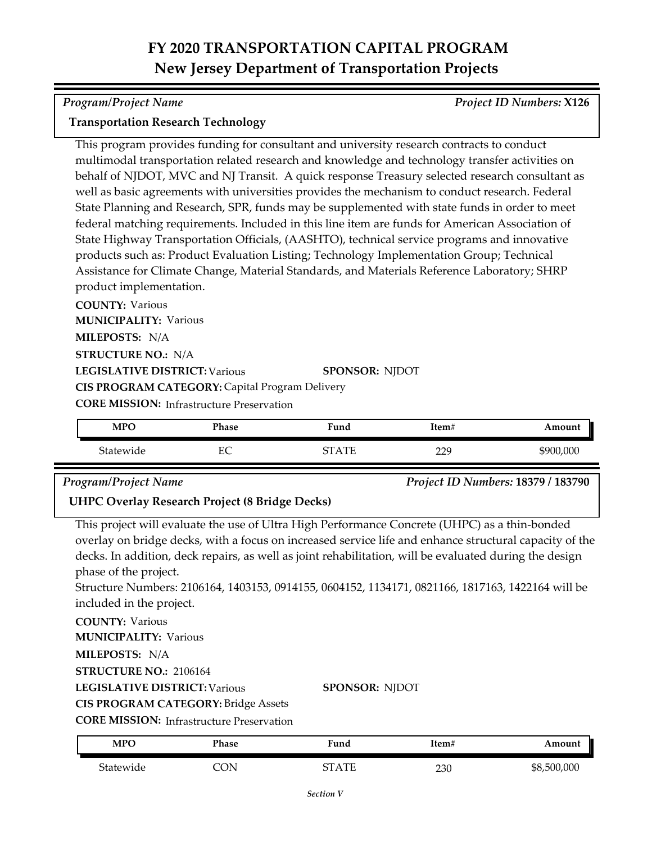*Program/Project Name Project ID Numbers:* **X126**

### **Transportation Research Technology**

This program provides funding for consultant and university research contracts to conduct multimodal transportation related research and knowledge and technology transfer activities on behalf of NJDOT, MVC and NJ Transit. A quick response Treasury selected research consultant as well as basic agreements with universities provides the mechanism to conduct research. Federal State Planning and Research, SPR, funds may be supplemented with state funds in order to meet federal matching requirements. Included in this line item are funds for American Association of State Highway Transportation Officials, (AASHTO), technical service programs and innovative products such as: Product Evaluation Listing; Technology Implementation Group; Technical Assistance for Climate Change, Material Standards, and Materials Reference Laboratory; SHRP product implementation.

**COUNTY:** Various **LEGISLATIVE DISTRICT:** Various **MILEPOSTS:** N/A **STRUCTURE NO.:** N/A **MUNICIPALITY: Various CORE MISSION: Infrastructure Preservation SPONSOR:** NJDOT **CIS PROGRAM CATEGORY:** Capital Program Delivery

| <b>MPO</b> | Phase             | $\mathbf{r}$<br>⊦und         | Item#            | Amount    |
|------------|-------------------|------------------------------|------------------|-----------|
| Statewide  | г $\cap$<br>حاتنا | $\Delta \, \text{TE}$<br>חדי | າາດ<br><u></u> . | \$900,000 |

*Program/Project Name Project ID Numbers:* **18379 / 183790**

## **UHPC Overlay Research Project (8 Bridge Decks)**

This project will evaluate the use of Ultra High Performance Concrete (UHPC) as a thin-bonded overlay on bridge decks, with a focus on increased service life and enhance structural capacity of the decks. In addition, deck repairs, as well as joint rehabilitation, will be evaluated during the design phase of the project.

Structure Numbers: 2106164, 1403153, 0914155, 0604152, 1134171, 0821166, 1817163, 1422164 will be included in the project.

**COUNTY:** Various

**MUNICIPALITY: Various** 

**MILEPOSTS:** N/A

**STRUCTURE NO.:** 2106164

**LEGISLATIVE DISTRICT:** Various

**CIS PROGRAM CATEGORY:** Bridge Assets

**CORE MISSION: Infrastructure Preservation** 

| <b>MPO</b> | Phase | ™und  | Item# | Amount      |
|------------|-------|-------|-------|-------------|
| Statewide  | CON   | STATE | 230   | \$8,500,000 |

**SPONSOR:** NJDOT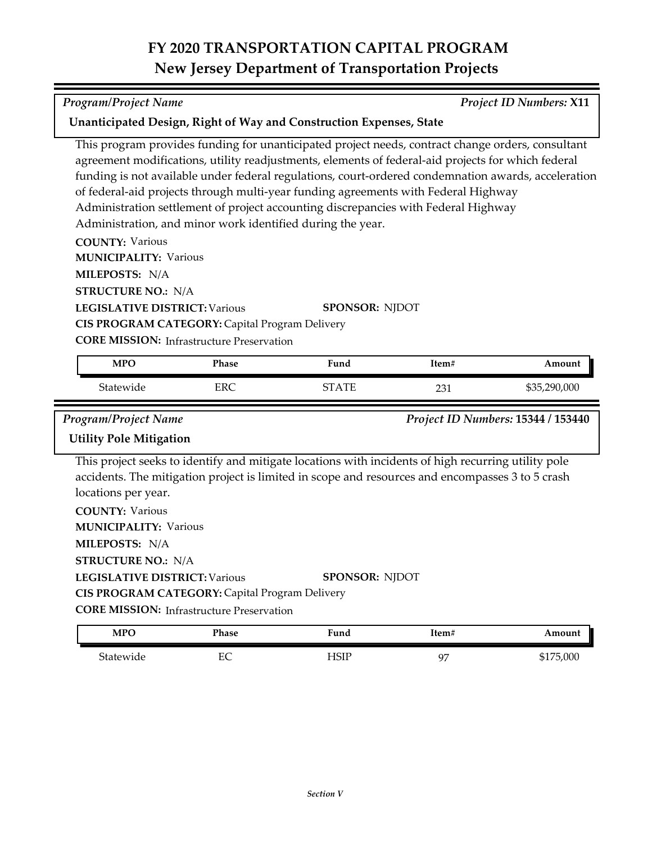┑

| <b>Program/Project Name</b>                                                                                                                                                                                                                                                                                                                                                                                                                                                                                                                                                                                        |                                                                                                    |                                                                                                                                                                                                         |       | <b>Project ID Numbers: X11</b> |  |
|--------------------------------------------------------------------------------------------------------------------------------------------------------------------------------------------------------------------------------------------------------------------------------------------------------------------------------------------------------------------------------------------------------------------------------------------------------------------------------------------------------------------------------------------------------------------------------------------------------------------|----------------------------------------------------------------------------------------------------|---------------------------------------------------------------------------------------------------------------------------------------------------------------------------------------------------------|-------|--------------------------------|--|
| Unanticipated Design, Right of Way and Construction Expenses, State                                                                                                                                                                                                                                                                                                                                                                                                                                                                                                                                                |                                                                                                    |                                                                                                                                                                                                         |       |                                |  |
| This program provides funding for unanticipated project needs, contract change orders, consultant<br>agreement modifications, utility readjustments, elements of federal-aid projects for which federal<br>funding is not available under federal regulations, court-ordered condemnation awards, acceleration<br>of federal-aid projects through multi-year funding agreements with Federal Highway<br>Administration settlement of project accounting discrepancies with Federal Highway<br>Administration, and minor work identified during the year.<br><b>COUNTY: Various</b><br><b>MUNICIPALITY: Various</b> |                                                                                                    |                                                                                                                                                                                                         |       |                                |  |
| MILEPOSTS: N/A                                                                                                                                                                                                                                                                                                                                                                                                                                                                                                                                                                                                     |                                                                                                    |                                                                                                                                                                                                         |       |                                |  |
| <b>STRUCTURE NO.: N/A</b><br><b>LEGISLATIVE DISTRICT: Various</b>                                                                                                                                                                                                                                                                                                                                                                                                                                                                                                                                                  | CIS PROGRAM CATEGORY: Capital Program Delivery<br><b>CORE MISSION:</b> Infrastructure Preservation | <b>SPONSOR: NJDOT</b>                                                                                                                                                                                   |       |                                |  |
| <b>MPO</b>                                                                                                                                                                                                                                                                                                                                                                                                                                                                                                                                                                                                         | Phase                                                                                              | Fund                                                                                                                                                                                                    | Item# | Amount                         |  |
| Statewide                                                                                                                                                                                                                                                                                                                                                                                                                                                                                                                                                                                                          | <b>ERC</b>                                                                                         | <b>STATE</b>                                                                                                                                                                                            | 231   | \$35,290,000                   |  |
| <b>Program/Project Name</b><br>Project ID Numbers: 15344 / 153440<br><b>Utility Pole Mitigation</b>                                                                                                                                                                                                                                                                                                                                                                                                                                                                                                                |                                                                                                    |                                                                                                                                                                                                         |       |                                |  |
| locations per year.<br><b>COUNTY: Various</b><br><b>MUNICIPALITY: Various</b><br>MILEPOSTS: N/A<br><b>STRUCTURE NO.: N/A</b>                                                                                                                                                                                                                                                                                                                                                                                                                                                                                       |                                                                                                    | This project seeks to identify and mitigate locations with incidents of high recurring utility pole<br>accidents. The mitigation project is limited in scope and resources and encompasses 3 to 5 crash |       |                                |  |
| <b>LEGISLATIVE DISTRICT: Various</b>                                                                                                                                                                                                                                                                                                                                                                                                                                                                                                                                                                               | CIS PROGRAM CATEGORY: Capital Program Delivery<br><b>CORE MISSION:</b> Infrastructure Preservation | <b>SPONSOR: NJDOT</b>                                                                                                                                                                                   |       |                                |  |
| <b>MPO</b>                                                                                                                                                                                                                                                                                                                                                                                                                                                                                                                                                                                                         | Phase                                                                                              | Fund                                                                                                                                                                                                    | Item# | Amount                         |  |